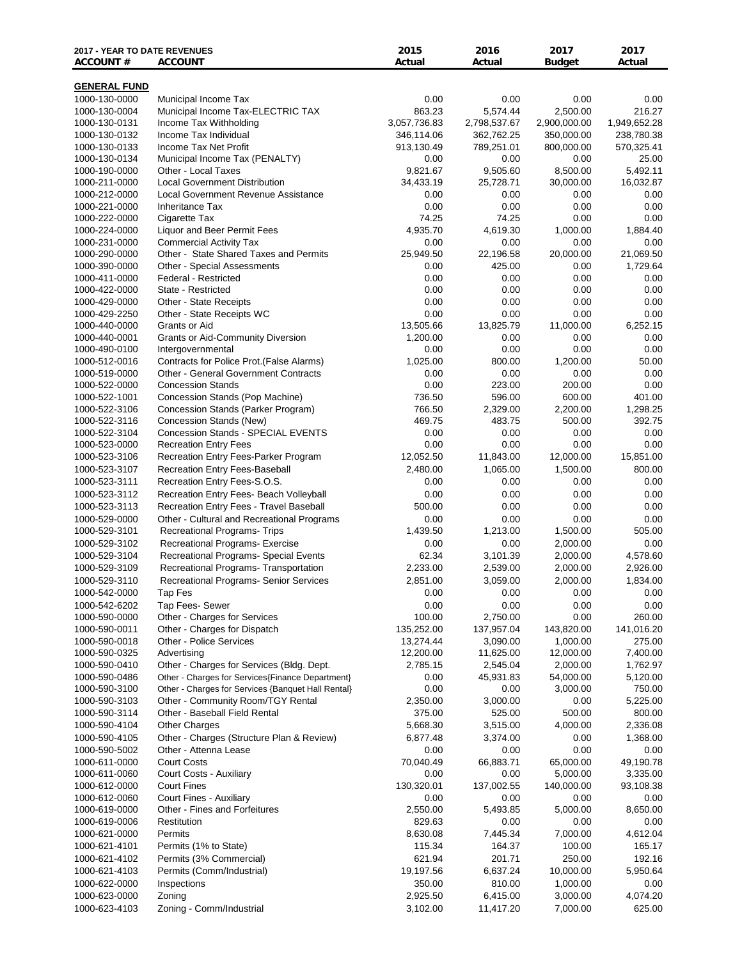| <b>2017 - YEAR TO DATE REVENUES</b><br><b>ACCOUNT#</b> | <b>ACCOUNT</b>                                                           | 2015<br>Actual     | 2016<br>Actual      | 2017<br><b>Budget</b>  | 2017<br>Actual        |
|--------------------------------------------------------|--------------------------------------------------------------------------|--------------------|---------------------|------------------------|-----------------------|
| <b>GENERAL FUND</b>                                    |                                                                          |                    |                     |                        |                       |
| 1000-130-0000                                          | Municipal Income Tax                                                     | 0.00               | 0.00                | 0.00                   | 0.00                  |
| 1000-130-0004                                          | Municipal Income Tax-ELECTRIC TAX                                        | 863.23             | 5,574.44            | 2,500.00               | 216.27                |
| 1000-130-0131                                          | Income Tax Withholding                                                   | 3,057,736.83       | 2,798,537.67        | 2,900,000.00           | 1,949,652.28          |
| 1000-130-0132                                          | Income Tax Individual                                                    | 346,114.06         | 362,762.25          | 350,000.00             | 238,780.38            |
| 1000-130-0133                                          | Income Tax Net Profit                                                    | 913,130.49         | 789,251.01          | 800,000.00             | 570,325.41            |
| 1000-130-0134                                          | Municipal Income Tax (PENALTY)                                           | 0.00               | 0.00                | 0.00                   | 25.00                 |
| 1000-190-0000                                          | Other - Local Taxes                                                      | 9,821.67           | 9,505.60            | 8,500.00               | 5,492.11              |
| 1000-211-0000                                          | <b>Local Government Distribution</b>                                     | 34,433.19          | 25,728.71           | 30,000.00              | 16,032.87             |
| 1000-212-0000                                          | <b>Local Government Revenue Assistance</b>                               | 0.00               | 0.00                | 0.00                   | 0.00                  |
| 1000-221-0000                                          | <b>Inheritance Tax</b>                                                   | 0.00               | 0.00                | 0.00                   | 0.00                  |
| 1000-222-0000                                          | Cigarette Tax                                                            | 74.25              | 74.25               | 0.00                   | 0.00                  |
| 1000-224-0000                                          | Liquor and Beer Permit Fees                                              | 4,935.70           | 4,619.30            | 1,000.00               | 1,884.40              |
| 1000-231-0000                                          | <b>Commercial Activity Tax</b><br>Other - State Shared Taxes and Permits | 0.00<br>25,949.50  | 0.00                | 0.00<br>20,000.00      | 0.00<br>21,069.50     |
| 1000-290-0000<br>1000-390-0000                         | Other - Special Assessments                                              | 0.00               | 22,196.58<br>425.00 | 0.00                   | 1,729.64              |
| 1000-411-0000                                          | <b>Federal - Restricted</b>                                              | 0.00               | 0.00                | 0.00                   | 0.00                  |
| 1000-422-0000                                          | State - Restricted                                                       | 0.00               | 0.00                | 0.00                   | 0.00                  |
| 1000-429-0000                                          | Other - State Receipts                                                   | 0.00               | 0.00                | 0.00                   | 0.00                  |
| 1000-429-2250                                          | Other - State Receipts WC                                                | 0.00               | 0.00                | 0.00                   | 0.00                  |
| 1000-440-0000                                          | Grants or Aid                                                            | 13,505.66          | 13,825.79           | 11,000.00              | 6,252.15              |
| 1000-440-0001                                          | <b>Grants or Aid-Community Diversion</b>                                 | 1,200.00           | 0.00                | 0.00                   | 0.00                  |
| 1000-490-0100                                          | Intergovernmental                                                        | 0.00               | 0.00                | 0.00                   | 0.00                  |
| 1000-512-0016                                          | Contracts for Police Prot. (False Alarms)                                | 1,025.00           | 800.00              | 1,200.00               | 50.00                 |
| 1000-519-0000                                          | <b>Other - General Government Contracts</b>                              | 0.00               | 0.00                | 0.00                   | 0.00                  |
| 1000-522-0000                                          | <b>Concession Stands</b>                                                 | 0.00               | 223.00              | 200.00                 | 0.00                  |
| 1000-522-1001                                          | Concession Stands (Pop Machine)                                          | 736.50             | 596.00              | 600.00                 | 401.00                |
| 1000-522-3106                                          | Concession Stands (Parker Program)                                       | 766.50             | 2,329.00            | 2,200.00               | 1,298.25              |
| 1000-522-3116                                          | Concession Stands (New)                                                  | 469.75             | 483.75              | 500.00                 | 392.75                |
| 1000-522-3104                                          | Concession Stands - SPECIAL EVENTS                                       | 0.00               | 0.00                | 0.00                   | 0.00                  |
| 1000-523-0000                                          | <b>Recreation Entry Fees</b>                                             | 0.00               | 0.00                | 0.00                   | 0.00                  |
| 1000-523-3106                                          | Recreation Entry Fees-Parker Program                                     | 12,052.50          | 11,843.00           | 12,000.00              | 15,851.00             |
| 1000-523-3107                                          | Recreation Entry Fees-Baseball                                           | 2,480.00           | 1,065.00            | 1,500.00               | 800.00                |
| 1000-523-3111                                          | Recreation Entry Fees-S.O.S.                                             | 0.00               | 0.00                | 0.00                   | 0.00                  |
| 1000-523-3112                                          | Recreation Entry Fees- Beach Volleyball                                  | 0.00               | 0.00                | 0.00                   | 0.00                  |
| 1000-523-3113                                          | Recreation Entry Fees - Travel Baseball                                  | 500.00             | 0.00                | 0.00                   | 0.00                  |
| 1000-529-0000                                          | Other - Cultural and Recreational Programs                               | 0.00               | 0.00                | 0.00                   | 0.00<br>505.00        |
| 1000-529-3101                                          | Recreational Programs- Trips                                             | 1,439.50           | 1,213.00            | 1,500.00<br>2,000.00   | 0.00                  |
| 1000-529-3102<br>1000-529-3104                         | Recreational Programs- Exercise<br>Recreational Programs- Special Events | 0.00<br>62.34      | 0.00<br>3,101.39    | 2,000.00               | 4,578.60              |
| 1000-529-3109                                          | Recreational Programs- Transportation                                    | 2,233.00           | 2,539.00            | 2,000.00               | 2,926.00              |
| 1000-529-3110                                          | Recreational Programs- Senior Services                                   | 2,851.00           | 3,059.00            | 2,000.00               | 1,834.00              |
| 1000-542-0000                                          | Tap Fes                                                                  | 0.00               | 0.00                | 0.00                   | $0.00\,$              |
| 1000-542-6202                                          | Tap Fees- Sewer                                                          | 0.00               | 0.00                | 0.00                   | 0.00                  |
| 1000-590-0000                                          | Other - Charges for Services                                             | 100.00             | 2,750.00            | 0.00                   | 260.00                |
| 1000-590-0011                                          | Other - Charges for Dispatch                                             | 135,252.00         | 137,957.04          | 143,820.00             | 141,016.20            |
| 1000-590-0018                                          | <b>Other - Police Services</b>                                           | 13,274.44          | 3,090.00            | 1,000.00               | 275.00                |
| 1000-590-0325                                          | Advertising                                                              | 12,200.00          | 11,625.00           | 12,000.00              | 7,400.00              |
| 1000-590-0410                                          | Other - Charges for Services (Bldg. Dept.                                | 2,785.15           | 2,545.04            | 2,000.00               | 1,762.97              |
| 1000-590-0486                                          | Other - Charges for Services {Finance Department}                        | 0.00               | 45,931.83           | 54,000.00              | 5,120.00              |
| 1000-590-3100                                          | Other - Charges for Services {Banquet Hall Rental}                       | 0.00               | 0.00                | 3,000.00               | 750.00                |
| 1000-590-3103                                          | Other - Community Room/TGY Rental                                        | 2,350.00           | 3,000.00            | 0.00                   | 5,225.00              |
| 1000-590-3114                                          | Other - Baseball Field Rental                                            | 375.00             | 525.00              | 500.00                 | 800.00                |
| 1000-590-4104                                          | <b>Other Charges</b>                                                     | 5,668.30           | 3,515.00            | 4,000.00               | 2,336.08              |
| 1000-590-4105                                          | Other - Charges (Structure Plan & Review)                                | 6,877.48           | 3,374.00            | 0.00                   | 1,368.00              |
| 1000-590-5002                                          | Other - Attenna Lease                                                    | 0.00               | 0.00                | 0.00                   | 0.00                  |
| 1000-611-0000                                          | <b>Court Costs</b>                                                       | 70,040.49          | 66,883.71           | 65,000.00              | 49,190.78             |
| 1000-611-0060<br>1000-612-0000                         | Court Costs - Auxiliary<br><b>Court Fines</b>                            | 0.00<br>130,320.01 | 0.00<br>137,002.55  | 5,000.00<br>140,000.00 | 3,335.00<br>93,108.38 |
| 1000-612-0060                                          | Court Fines - Auxiliary                                                  | 0.00               | 0.00                | 0.00                   | 0.00                  |
| 1000-619-0000                                          | Other - Fines and Forfeitures                                            | 2,550.00           | 5,493.85            | 5,000.00               | 8,650.00              |
| 1000-619-0006                                          | Restitution                                                              | 829.63             | 0.00                | 0.00                   | 0.00                  |
| 1000-621-0000                                          | Permits                                                                  | 8,630.08           | 7,445.34            | 7,000.00               | 4,612.04              |
| 1000-621-4101                                          | Permits (1% to State)                                                    | 115.34             | 164.37              | 100.00                 | 165.17                |
| 1000-621-4102                                          | Permits (3% Commercial)                                                  | 621.94             | 201.71              | 250.00                 | 192.16                |
| 1000-621-4103                                          | Permits (Comm/Industrial)                                                | 19,197.56          | 6,637.24            | 10,000.00              | 5,950.64              |
| 1000-622-0000                                          | Inspections                                                              | 350.00             | 810.00              | 1,000.00               | 0.00                  |
| 1000-623-0000                                          | Zoning                                                                   | 2,925.50           | 6,415.00            | 3,000.00               | 4,074.20              |
| 1000-623-4103                                          | Zoning - Comm/Industrial                                                 | 3,102.00           | 11,417.20           | 7,000.00               | 625.00                |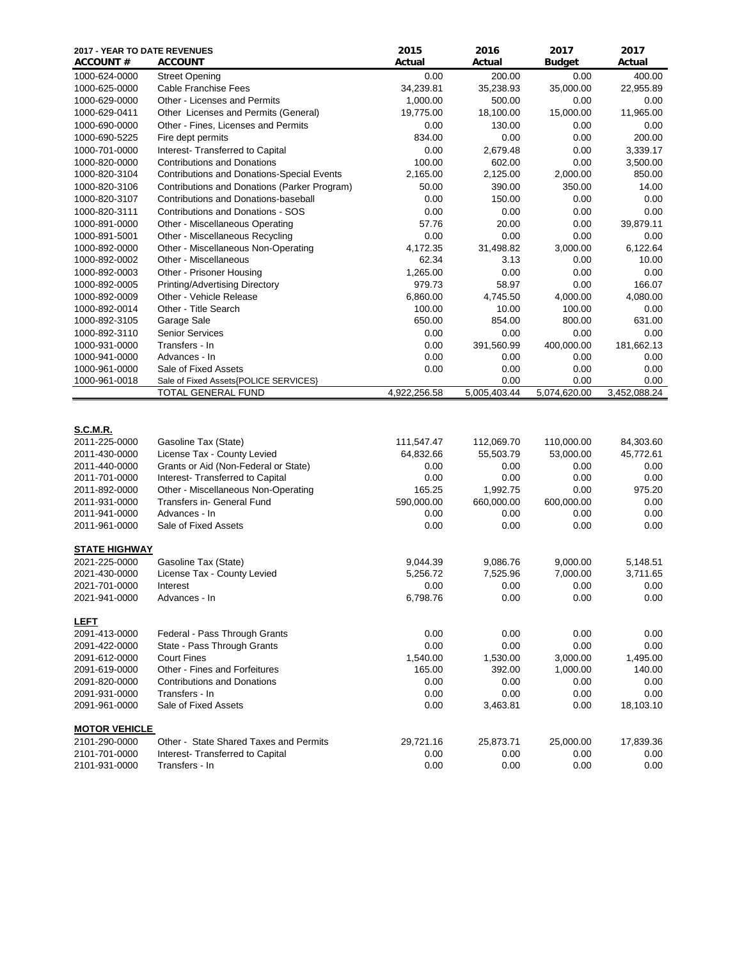| 2017 - YEAR TO DATE REVENUES<br><b>ACCOUNT #</b>                                    | <b>ACCOUNT</b>                                                                                                                  | 2015<br>Actual                          | 2016<br>Actual                          | 2017<br><b>Budget</b>                   | 2017<br>Actual                         |
|-------------------------------------------------------------------------------------|---------------------------------------------------------------------------------------------------------------------------------|-----------------------------------------|-----------------------------------------|-----------------------------------------|----------------------------------------|
| 1000-624-0000                                                                       | <b>Street Opening</b>                                                                                                           | 0.00                                    | 200.00                                  | 0.00                                    | 400.00                                 |
| 1000-625-0000                                                                       | Cable Franchise Fees                                                                                                            | 34,239.81                               | 35,238.93                               | 35,000.00                               | 22,955.89                              |
| 1000-629-0000                                                                       | Other - Licenses and Permits                                                                                                    | 1,000.00                                | 500.00                                  | 0.00                                    | 0.00                                   |
| 1000-629-0411                                                                       | Other Licenses and Permits (General)                                                                                            | 19,775.00                               | 18,100.00                               | 15,000.00                               | 11,965.00                              |
| 1000-690-0000                                                                       | Other - Fines, Licenses and Permits                                                                                             | 0.00                                    | 130.00                                  | 0.00                                    | 0.00                                   |
| 1000-690-5225                                                                       | Fire dept permits                                                                                                               | 834.00                                  | 0.00                                    | 0.00                                    | 200.00                                 |
| 1000-701-0000                                                                       | Interest- Transferred to Capital                                                                                                | 0.00                                    | 2,679.48                                | 0.00                                    | 3,339.17                               |
| 1000-820-0000                                                                       | <b>Contributions and Donations</b>                                                                                              | 100.00                                  | 602.00                                  | 0.00                                    | 3,500.00                               |
| 1000-820-3104                                                                       | <b>Contributions and Donations-Special Events</b>                                                                               | 2,165.00                                | 2,125.00                                | 2,000.00                                | 850.00                                 |
| 1000-820-3106                                                                       | Contributions and Donations (Parker Program)                                                                                    | 50.00                                   | 390.00                                  | 350.00                                  | 14.00                                  |
| 1000-820-3107                                                                       | Contributions and Donations-baseball                                                                                            | 0.00                                    | 150.00                                  | 0.00                                    | 0.00                                   |
| 1000-820-3111                                                                       | Contributions and Donations - SOS                                                                                               | 0.00                                    | 0.00                                    | 0.00                                    | 0.00                                   |
| 1000-891-0000                                                                       | Other - Miscellaneous Operating                                                                                                 | 57.76                                   | 20.00                                   | 0.00                                    | 39,879.11                              |
| 1000-891-5001                                                                       | Other - Miscellaneous Recycling                                                                                                 | 0.00                                    | 0.00                                    | 0.00                                    | 0.00                                   |
| 1000-892-0000                                                                       | Other - Miscellaneous Non-Operating                                                                                             | 4,172.35                                | 31,498.82                               | 3,000.00                                | 6,122.64                               |
| 1000-892-0002                                                                       | Other - Miscellaneous                                                                                                           | 62.34                                   | 3.13                                    | 0.00                                    | 10.00                                  |
| 1000-892-0003                                                                       | Other - Prisoner Housing                                                                                                        | 1,265.00                                | 0.00                                    | 0.00                                    | 0.00                                   |
| 1000-892-0005                                                                       | Printing/Advertising Directory                                                                                                  | 979.73                                  | 58.97                                   | 0.00                                    | 166.07                                 |
| 1000-892-0009                                                                       | Other - Vehicle Release                                                                                                         | 6,860.00                                | 4,745.50                                | 4,000.00                                | 4,080.00                               |
| 1000-892-0014                                                                       | Other - Title Search                                                                                                            | 100.00                                  | 10.00                                   | 100.00                                  | 0.00                                   |
| 1000-892-3105                                                                       | Garage Sale                                                                                                                     | 650.00                                  | 854.00                                  | 800.00                                  | 631.00                                 |
| 1000-892-3110                                                                       | <b>Senior Services</b>                                                                                                          | 0.00                                    | 0.00                                    | 0.00                                    | 0.00                                   |
| 1000-931-0000                                                                       | Transfers - In                                                                                                                  | 0.00                                    | 391,560.99                              | 400,000.00                              | 181,662.13                             |
| 1000-941-0000                                                                       | Advances - In                                                                                                                   | 0.00                                    | 0.00                                    | 0.00                                    | 0.00                                   |
| 1000-961-0000                                                                       | Sale of Fixed Assets                                                                                                            | 0.00                                    | 0.00                                    | 0.00                                    | 0.00                                   |
| 1000-961-0018                                                                       | Sale of Fixed Assets{POLICE SERVICES}                                                                                           |                                         | 0.00                                    | 0.00                                    | 0.00                                   |
|                                                                                     | TOTAL GENERAL FUND                                                                                                              | 4,922,256.58                            | 5,005,403.44                            | 5,074,620.00                            | 3,452,088.24                           |
| <b>S.C.M.R.</b><br>2011-225-0000<br>2011-430-0000<br>2011-440-0000<br>2011-701-0000 | Gasoline Tax (State)<br>License Tax - County Levied<br>Grants or Aid (Non-Federal or State)<br>Interest- Transferred to Capital | 111,547.47<br>64,832.66<br>0.00<br>0.00 | 112,069.70<br>55,503.79<br>0.00<br>0.00 | 110,000.00<br>53,000.00<br>0.00<br>0.00 | 84,303.60<br>45,772.61<br>0.00<br>0.00 |
| 2011-892-0000                                                                       | Other - Miscellaneous Non-Operating                                                                                             | 165.25                                  | 1,992.75                                | 0.00                                    | 975.20                                 |
| 2011-931-0000                                                                       | Transfers in- General Fund                                                                                                      | 590,000.00                              | 660,000.00                              | 600,000.00                              | 0.00                                   |
| 2011-941-0000                                                                       | Advances - In                                                                                                                   | 0.00                                    | 0.00                                    | 0.00                                    | 0.00                                   |
| 2011-961-0000                                                                       | Sale of Fixed Assets                                                                                                            | 0.00                                    | 0.00                                    | 0.00                                    | 0.00                                   |
| <b>STATE HIGHWAY</b>                                                                |                                                                                                                                 |                                         |                                         |                                         |                                        |
| 2021-225-0000                                                                       | Gasoline Tax (State)                                                                                                            | 9,044.39                                | 9,086.76                                | 9,000.00                                | 5,148.51                               |
| 2021-430-0000                                                                       | License Tax - County Levied                                                                                                     | 5,256.72                                | 7,525.96                                | 7,000.00                                | 3,711.65                               |
| 2021-701-0000                                                                       | Interest                                                                                                                        | 0.00                                    | 0.00                                    | 0.00                                    | 0.00                                   |
| 2021-941-0000                                                                       | Advances - In                                                                                                                   | 6,798.76                                | 0.00                                    | 0.00                                    | 0.00                                   |
| <b>LEFT</b><br>2091-413-0000                                                        | Federal - Pass Through Grants                                                                                                   | 0.00                                    | 0.00                                    | 0.00                                    | 0.00                                   |
| 2091-422-0000                                                                       | State - Pass Through Grants                                                                                                     | 0.00                                    | 0.00                                    | 0.00                                    | 0.00                                   |
| 2091-612-0000                                                                       | <b>Court Fines</b>                                                                                                              | 1,540.00                                | 1,530.00                                | 3,000.00                                | 1,495.00                               |
| 2091-619-0000                                                                       | Other - Fines and Forfeitures                                                                                                   | 165.00                                  | 392.00                                  | 1,000.00                                | 140.00                                 |
| 2091-820-0000                                                                       | <b>Contributions and Donations</b>                                                                                              | 0.00                                    | 0.00                                    | 0.00                                    | 0.00                                   |
| 2091-931-0000                                                                       | Transfers - In                                                                                                                  | 0.00                                    | 0.00                                    | 0.00                                    | 0.00                                   |
| 2091-961-0000                                                                       | Sale of Fixed Assets                                                                                                            | 0.00                                    | 3,463.81                                | 0.00                                    | 18,103.10                              |
|                                                                                     |                                                                                                                                 |                                         |                                         |                                         |                                        |
| <b>MOTOR VEHICLE</b>                                                                |                                                                                                                                 |                                         |                                         |                                         |                                        |
| 2101-290-0000                                                                       | Other - State Shared Taxes and Permits                                                                                          | 29,721.16                               | 25,873.71                               | 25,000.00                               | 17,839.36                              |
| 2101-701-0000<br>2101-931-0000                                                      | Interest- Transferred to Capital                                                                                                | 0.00<br>0.00                            | 0.00                                    | 0.00                                    | 0.00                                   |
|                                                                                     | Transfers - In                                                                                                                  |                                         | 0.00                                    | 0.00                                    | 0.00                                   |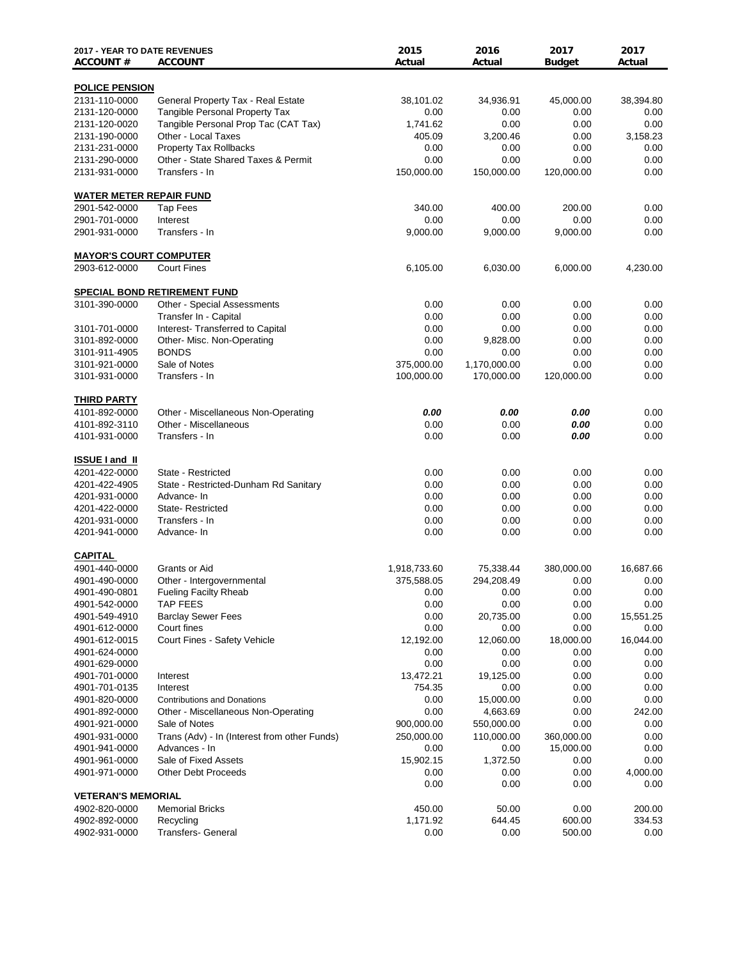| <b>2017 - YEAR TO DATE REVENUES</b><br><b>ACCOUNT#</b> | <b>ACCOUNT</b>                                  | 2015<br>Actual     | 2016<br>Actual             | 2017<br><b>Budget</b> | 2017<br>Actual   |
|--------------------------------------------------------|-------------------------------------------------|--------------------|----------------------------|-----------------------|------------------|
| <b>POLICE PENSION</b>                                  |                                                 |                    |                            |                       |                  |
| 2131-110-0000                                          | General Property Tax - Real Estate              | 38,101.02          | 34,936.91                  | 45,000.00             | 38,394.80        |
| 2131-120-0000                                          | <b>Tangible Personal Property Tax</b>           | 0.00               | 0.00                       | 0.00                  | 0.00             |
| 2131-120-0020                                          | Tangible Personal Prop Tac (CAT Tax)            | 1,741.62           | 0.00                       | 0.00                  | 0.00             |
| 2131-190-0000                                          | Other - Local Taxes                             | 405.09             | 3,200.46                   | 0.00                  | 3,158.23         |
| 2131-231-0000                                          | <b>Property Tax Rollbacks</b>                   | 0.00               | 0.00                       | 0.00                  | 0.00             |
| 2131-290-0000                                          | Other - State Shared Taxes & Permit             | 0.00               | 0.00                       | 0.00                  | 0.00             |
| 2131-931-0000                                          | Transfers - In                                  | 150,000.00         | 150,000.00                 | 120,000.00            | 0.00             |
| <b>WATER METER REPAIR FUND</b>                         |                                                 |                    |                            |                       |                  |
| 2901-542-0000                                          | <b>Tap Fees</b>                                 | 340.00             | 400.00                     | 200.00                | 0.00             |
| 2901-701-0000                                          | Interest                                        | 0.00               | 0.00                       | 0.00                  | 0.00             |
| 2901-931-0000                                          | Transfers - In                                  | 9,000.00           | 9,000.00                   | 9,000.00              | 0.00             |
| <b>MAYOR'S COURT COMPUTER</b>                          |                                                 |                    |                            |                       |                  |
| 2903-612-0000                                          | <b>Court Fines</b>                              | 6,105.00           | 6,030.00                   | 6,000.00              | 4,230.00         |
|                                                        | <b>SPECIAL BOND RETIREMENT FUND</b>             |                    |                            |                       |                  |
| 3101-390-0000                                          | <b>Other - Special Assessments</b>              | 0.00               | 0.00                       | 0.00                  | 0.00             |
|                                                        | Transfer In - Capital                           | 0.00               | 0.00                       | 0.00                  | 0.00             |
| 3101-701-0000                                          | Interest- Transferred to Capital                | 0.00               | 0.00                       | 0.00                  | 0.00             |
| 3101-892-0000                                          | Other- Misc. Non-Operating                      | 0.00               | 9,828.00                   | 0.00                  | 0.00             |
| 3101-911-4905                                          | <b>BONDS</b>                                    | 0.00<br>375,000.00 | 0.00                       | 0.00                  | 0.00             |
| 3101-921-0000<br>3101-931-0000                         | Sale of Notes<br>Transfers - In                 | 100,000.00         | 1,170,000.00<br>170,000.00 | 0.00<br>120,000.00    | 0.00<br>0.00     |
|                                                        |                                                 |                    |                            |                       |                  |
| <b>THIRD PARTY</b>                                     |                                                 |                    |                            |                       |                  |
| 4101-892-0000                                          | Other - Miscellaneous Non-Operating             | 0.00               | 0.00                       | 0.00                  | 0.00             |
| 4101-892-3110                                          | Other - Miscellaneous                           | 0.00               | 0.00                       | 0.00                  | 0.00             |
| 4101-931-0000                                          | Transfers - In                                  | 0.00               | 0.00                       | 0.00                  | 0.00             |
| <b>ISSUE I and II</b>                                  |                                                 |                    |                            |                       |                  |
| 4201-422-0000                                          | State - Restricted                              | 0.00               | 0.00                       | 0.00                  | 0.00             |
| 4201-422-4905                                          | State - Restricted-Dunham Rd Sanitary           | 0.00               | 0.00                       | 0.00                  | 0.00             |
| 4201-931-0000                                          | Advance- In                                     | 0.00               | 0.00                       | 0.00                  | 0.00             |
| 4201-422-0000                                          | State-Restricted                                | 0.00               | 0.00                       | 0.00                  | 0.00             |
| 4201-931-0000                                          | Transfers - In                                  | 0.00               | 0.00                       | 0.00                  | 0.00             |
| 4201-941-0000                                          | Advance-In                                      | 0.00               | 0.00                       | 0.00                  | 0.00             |
| <b>CAPITAL</b><br>4901-440-0000                        |                                                 |                    |                            |                       |                  |
|                                                        | Grants or Aid                                   | 1,918,733.60       | 75,338.44                  | 380,000.00            | 16,687.66        |
| 4901-490-0000                                          | Other - Intergovernmental                       | 375,588.05         | 294,208.49                 | 0.00                  | $0.00\,$         |
| 4901-490-0801                                          | <b>Fueling Facilty Rheab</b><br><b>TAP FEES</b> | 0.00               | 0.00                       | 0.00<br>0.00          | $0.00\,$<br>0.00 |
| 4901-542-0000<br>4901-549-4910                         | <b>Barclay Sewer Fees</b>                       | 0.00<br>0.00       | 0.00<br>20,735.00          | 0.00                  | 15,551.25        |
| 4901-612-0000                                          | Court fines                                     | 0.00               | 0.00                       | 0.00                  | 0.00             |
| 4901-612-0015                                          | Court Fines - Safety Vehicle                    | 12,192.00          | 12,060.00                  | 18,000.00             | 16,044.00        |
| 4901-624-0000                                          |                                                 | 0.00               | 0.00                       | 0.00                  | 0.00             |
| 4901-629-0000                                          |                                                 | 0.00               | 0.00                       | 0.00                  | 0.00             |
| 4901-701-0000                                          | Interest                                        | 13,472.21          | 19,125.00                  | 0.00                  | $0.00\,$         |
| 4901-701-0135                                          | Interest                                        | 754.35             | 0.00                       | 0.00                  | 0.00             |
| 4901-820-0000                                          | <b>Contributions and Donations</b>              | 0.00               | 15,000.00                  | 0.00                  | 0.00             |
| 4901-892-0000                                          | Other - Miscellaneous Non-Operating             | 0.00               | 4,663.69                   | 0.00                  | 242.00           |
| 4901-921-0000                                          | Sale of Notes                                   | 900,000.00         | 550,000.00                 | 0.00                  | 0.00             |
| 4901-931-0000                                          | Trans (Adv) - In (Interest from other Funds)    | 250,000.00         | 110,000.00                 | 360,000.00            | 0.00             |
| 4901-941-0000                                          | Advances - In                                   | 0.00               | 0.00                       | 15,000.00             | 0.00             |
| 4901-961-0000                                          | Sale of Fixed Assets                            | 15,902.15          | 1,372.50                   | 0.00                  | 0.00             |
| 4901-971-0000                                          | <b>Other Debt Proceeds</b>                      | 0.00               | 0.00                       | 0.00                  | 4,000.00         |
|                                                        |                                                 | 0.00               | 0.00                       | 0.00                  | $0.00\,$         |
| <b>VETERAN'S MEMORIAL</b>                              |                                                 |                    |                            |                       |                  |
| 4902-820-0000                                          | <b>Memorial Bricks</b>                          | 450.00             | 50.00                      | 0.00                  | 200.00           |
| 4902-892-0000                                          | Recycling                                       | 1,171.92           | 644.45                     | 600.00                | 334.53           |
| 4902-931-0000                                          | <b>Transfers- General</b>                       | 0.00               | 0.00                       | 500.00                | $0.00\,$         |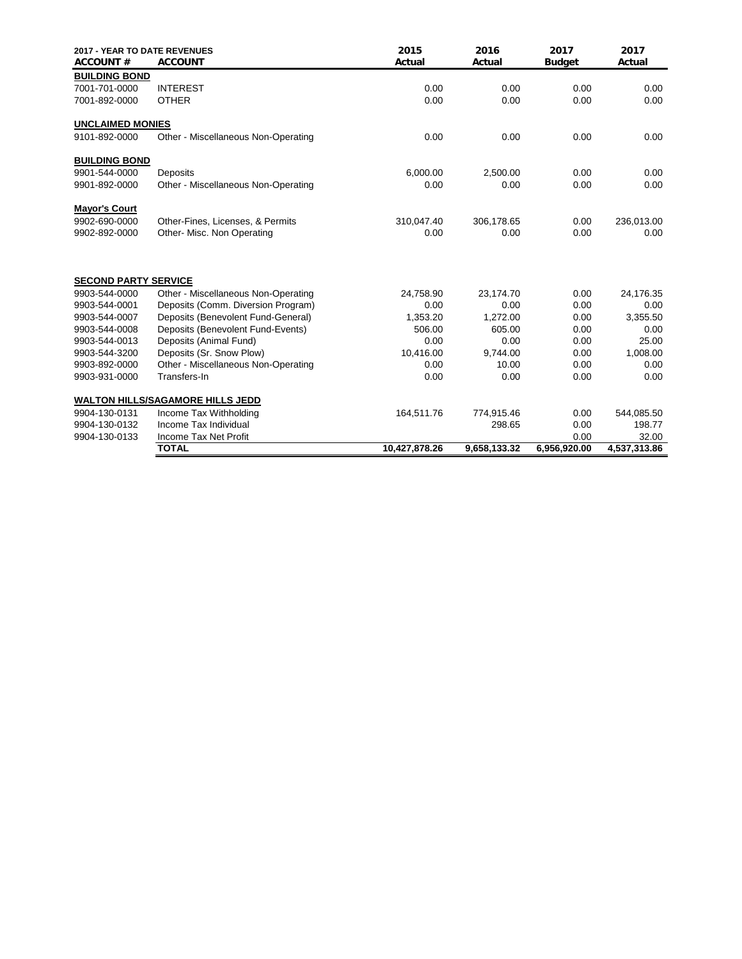| <b>2017 - YEAR TO DATE REVENUES</b><br><b>ACCOUNT#</b> | <b>ACCOUNT</b>                          | 2015<br>Actual | 2016<br>Actual | 2017<br><b>Budget</b> | 2017<br>Actual |
|--------------------------------------------------------|-----------------------------------------|----------------|----------------|-----------------------|----------------|
| <b>BUILDING BOND</b>                                   |                                         |                |                |                       |                |
| 7001-701-0000                                          | <b>INTEREST</b>                         | 0.00           | 0.00           | 0.00                  | 0.00           |
| 7001-892-0000                                          | <b>OTHER</b>                            | 0.00           | 0.00           | 0.00                  | 0.00           |
| <b>UNCLAIMED MONIES</b>                                |                                         |                |                |                       |                |
| 9101-892-0000                                          | Other - Miscellaneous Non-Operating     | 0.00           | 0.00           | 0.00                  | 0.00           |
| <b>BUILDING BOND</b>                                   |                                         |                |                |                       |                |
| 9901-544-0000                                          | Deposits                                | 6,000.00       | 2,500.00       | 0.00                  | 0.00           |
| 9901-892-0000                                          | Other - Miscellaneous Non-Operating     | 0.00           | 0.00           | 0.00                  | 0.00           |
| <b>Mayor's Court</b>                                   |                                         |                |                |                       |                |
| 9902-690-0000                                          | Other-Fines, Licenses, & Permits        | 310,047.40     | 306,178.65     | 0.00                  | 236,013.00     |
| 9902-892-0000                                          | Other- Misc. Non Operating              | 0.00           | 0.00           | 0.00                  | 0.00           |
| <b>SECOND PARTY SERVICE</b>                            |                                         |                |                |                       |                |
| 9903-544-0000                                          | Other - Miscellaneous Non-Operating     | 24,758.90      | 23,174.70      | 0.00                  | 24,176.35      |
| 9903-544-0001                                          | Deposits (Comm. Diversion Program)      | 0.00           | 0.00           | 0.00                  | 0.00           |
| 9903-544-0007                                          | Deposits (Benevolent Fund-General)      | 1,353.20       | 1,272.00       | 0.00                  | 3,355.50       |
| 9903-544-0008                                          | Deposits (Benevolent Fund-Events)       | 506.00         | 605.00         | 0.00                  | 0.00           |
| 9903-544-0013                                          | Deposits (Animal Fund)                  | 0.00           | 0.00           | 0.00                  | 25.00          |
| 9903-544-3200                                          | Deposits (Sr. Snow Plow)                | 10,416.00      | 9.744.00       | 0.00                  | 1,008.00       |
| 9903-892-0000                                          | Other - Miscellaneous Non-Operating     | 0.00           | 10.00          | 0.00                  | 0.00           |
| 9903-931-0000                                          | Transfers-In                            | 0.00           | 0.00           | 0.00                  | 0.00           |
|                                                        | <b>WALTON HILLS/SAGAMORE HILLS JEDD</b> |                |                |                       |                |
| 9904-130-0131                                          | Income Tax Withholding                  | 164,511.76     | 774,915.46     | 0.00                  | 544,085.50     |
| 9904-130-0132                                          | Income Tax Individual                   |                | 298.65         | 0.00                  | 198.77         |
| 9904-130-0133                                          | Income Tax Net Profit                   |                |                | 0.00                  | 32.00          |
|                                                        | <b>TOTAL</b>                            | 10,427,878.26  | 9,658,133.32   | 6,956,920.00          | 4,537,313.86   |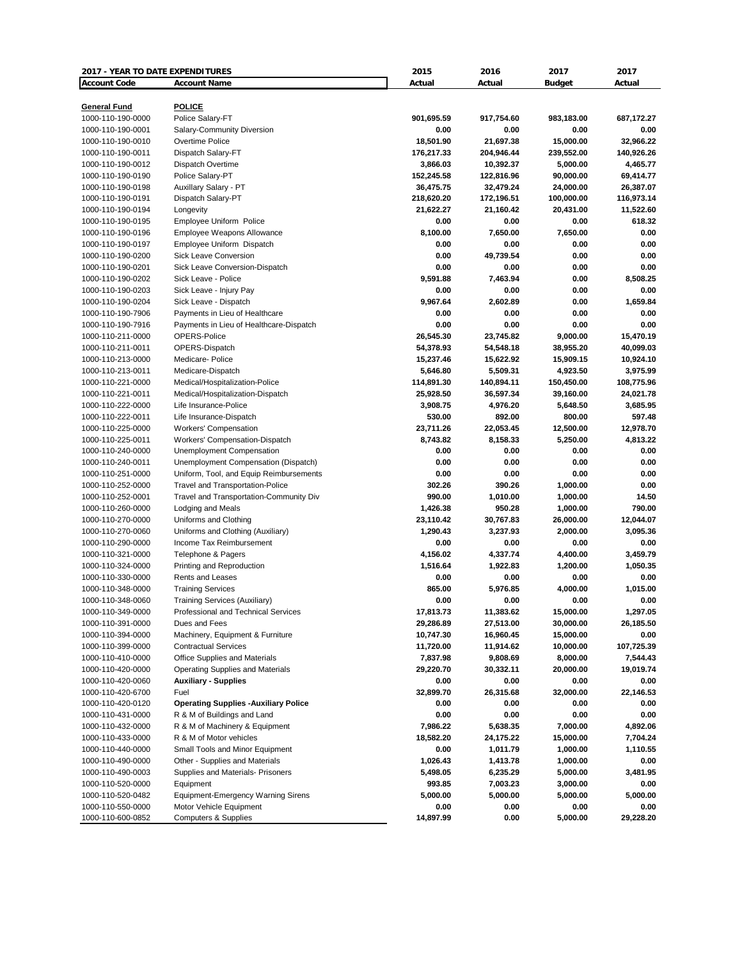| 2017 - YEAR TO DATE EXPENDITURES |                                              | 2015       | 2016       | 2017                 | 2017       |
|----------------------------------|----------------------------------------------|------------|------------|----------------------|------------|
| <b>Account Code</b>              | <b>Account Name</b>                          | Actual     | Actual     | <b>Budget</b>        | Actual     |
|                                  |                                              |            |            |                      |            |
| <b>General Fund</b>              | <b>POLICE</b>                                |            |            |                      |            |
| 1000-110-190-0000                | Police Salary-FT                             | 901,695.59 | 917,754.60 | 983,183.00           | 687,172.27 |
| 1000-110-190-0001                | Salary-Community Diversion                   | 0.00       | 0.00       | 0.00                 | 0.00       |
| 1000-110-190-0010                | Overtime Police                              | 18,501.90  | 21,697.38  | 15,000.00            | 32,966.22  |
| 1000-110-190-0011                | Dispatch Salary-FT                           | 176,217.33 | 204,946.44 | 239,552.00           | 140,926.26 |
| 1000-110-190-0012                | Dispatch Overtime                            | 3,866.03   | 10,392.37  | 5,000.00             | 4,465.77   |
| 1000-110-190-0190                | Police Salary-PT                             | 152,245.58 | 122,816.96 | 90,000.00            | 69,414.77  |
| 1000-110-190-0198                | Auxillary Salary - PT                        | 36,475.75  | 32,479.24  | 24,000.00            | 26,387.07  |
| 1000-110-190-0191                | Dispatch Salary-PT                           | 218,620.20 | 172,196.51 | 100,000.00           | 116,973.14 |
| 1000-110-190-0194                | Longevity                                    | 21,622.27  | 21,160.42  | 20,431.00            | 11,522.60  |
| 1000-110-190-0195                | Employee Uniform Police                      | 0.00       | 0.00       | 0.00                 | 618.32     |
| 1000-110-190-0196                | Employee Weapons Allowance                   | 8,100.00   | 7.650.00   | 7,650.00             | 0.00       |
| 1000-110-190-0197                | Employee Uniform Dispatch                    | 0.00       | 0.00       | 0.00                 | 0.00       |
| 1000-110-190-0200                | <b>Sick Leave Conversion</b>                 | 0.00       | 49,739.54  | 0.00                 | 0.00       |
| 1000-110-190-0201                | Sick Leave Conversion-Dispatch               | 0.00       | 0.00       | 0.00                 | 0.00       |
| 1000-110-190-0202                | Sick Leave - Police                          | 9,591.88   | 7,463.94   | 0.00                 | 8,508.25   |
| 1000-110-190-0203                | Sick Leave - Injury Pay                      | 0.00       | 0.00       | 0.00                 | 0.00       |
| 1000-110-190-0204                | Sick Leave - Dispatch                        | 9.967.64   | 2,602.89   | 0.00                 | 1,659.84   |
| 1000-110-190-7906                | Payments in Lieu of Healthcare               | 0.00       | 0.00       | 0.00                 | 0.00       |
| 1000-110-190-7916                | Payments in Lieu of Healthcare-Dispatch      | 0.00       | 0.00       | 0.00                 | 0.00       |
| 1000-110-211-0000                | OPERS-Police                                 | 26,545.30  | 23,745.82  | 9,000.00             | 15,470.19  |
| 1000-110-211-0011                | OPERS-Dispatch                               | 54,378.93  | 54,548.18  | 38,955.20            | 40,099.03  |
| 1000-110-213-0000                | Medicare-Police                              | 15,237.46  | 15,622.92  | 15,909.15            | 10,924.10  |
| 1000-110-213-0011                | Medicare-Dispatch                            | 5,646.80   | 5,509.31   | 4,923.50             | 3,975.99   |
| 1000-110-221-0000                | Medical/Hospitalization-Police               | 114,891.30 | 140,894.11 | 150,450.00           | 108,775.96 |
| 1000-110-221-0011                | Medical/Hospitalization-Dispatch             | 25,928.50  | 36,597.34  | 39,160.00            | 24,021.78  |
| 1000-110-222-0000                | Life Insurance-Police                        | 3,908.75   | 4,976.20   | 5,648.50             | 3,685.95   |
| 1000-110-222-0011                | Life Insurance-Dispatch                      | 530.00     | 892.00     | 800.00               | 597.48     |
| 1000-110-225-0000                | <b>Workers' Compensation</b>                 | 23,711.26  | 22,053.45  | 12,500.00            | 12,978.70  |
| 1000-110-225-0011                | Workers' Compensation-Dispatch               | 8,743.82   | 8,158.33   | 5,250.00             | 4,813.22   |
| 1000-110-240-0000                | Unemployment Compensation                    | 0.00       | 0.00       | 0.00                 | 0.00       |
| 1000-110-240-0011                | Unemployment Compensation (Dispatch)         | 0.00       | 0.00       | 0.00                 | 0.00       |
| 1000-110-251-0000                | Uniform, Tool, and Equip Reimbursements      | 0.00       | 0.00       | 0.00                 | 0.00       |
| 1000-110-252-0000                | <b>Travel and Transportation-Police</b>      | 302.26     | 390.26     | 1,000.00             | 0.00       |
| 1000-110-252-0001                | Travel and Transportation-Community Div      | 990.00     | 1,010.00   | 1,000.00             | 14.50      |
| 1000-110-260-0000                | Lodging and Meals                            | 1,426.38   | 950.28     | 1,000.00             | 790.00     |
| 1000-110-270-0000                | Uniforms and Clothing                        | 23,110.42  | 30,767.83  | 26,000.00            | 12,044.07  |
| 1000-110-270-0060                | Uniforms and Clothing (Auxiliary)            | 1,290.43   | 3,237.93   | 2,000.00             | 3,095.36   |
| 1000-110-290-0000                | Income Tax Reimbursement                     | 0.00       | 0.00       | 0.00                 | 0.00       |
| 1000-110-321-0000                |                                              |            |            |                      | 3,459.79   |
|                                  | Telephone & Pagers                           | 4,156.02   | 4,337.74   | 4,400.00<br>1,200.00 |            |
| 1000-110-324-0000                | Printing and Reproduction                    | 1,516.64   | 1,922.83   |                      | 1,050.35   |
| 1000-110-330-0000                | Rents and Leases                             | 0.00       | 0.00       | 0.00                 | 0.00       |
| 1000-110-348-0000                | <b>Training Services</b>                     | 865.00     | 5,976.85   | 4,000.00             | 1,015.00   |
| 1000-110-348-0060                | <b>Training Services (Auxiliary)</b>         | 0.00       | 0.00       | 0.00                 | 0.00       |
| 1000-110-349-0000                | Professional and Technical Services          | 17,813.73  | 11,383.62  | 15,000.00            | 1,297.05   |
| 1000-110-391-0000                | Dues and Fees                                | 29,286.89  | 27,513.00  | 30,000.00            | 26,185.50  |
| 1000-110-394-0000                | Machinery, Equipment & Furniture             | 10,747.30  | 16,960.45  | 15,000.00            | 0.00       |
| 1000-110-399-0000                | <b>Contractual Services</b>                  | 11,720.00  | 11,914.62  | 10,000.00            | 107,725.39 |
| 1000-110-410-0000                | <b>Office Supplies and Materials</b>         | 7,837.98   | 9,808.69   | 8,000.00             | 7,544.43   |
| 1000-110-420-0000                | <b>Operating Supplies and Materials</b>      | 29,220.70  | 30,332.11  | 20,000.00            | 19,019.74  |
| 1000-110-420-0060                | <b>Auxiliary - Supplies</b>                  | 0.00       | 0.00       | 0.00                 | 0.00       |
| 1000-110-420-6700                | Fuel                                         | 32,899.70  | 26,315.68  | 32,000.00            | 22,146.53  |
| 1000-110-420-0120                | <b>Operating Supplies - Auxiliary Police</b> | 0.00       | 0.00       | 0.00                 | 0.00       |
| 1000-110-431-0000                | R & M of Buildings and Land                  | 0.00       | 0.00       | 0.00                 | 0.00       |
| 1000-110-432-0000                | R & M of Machinery & Equipment               | 7,986.22   | 5,638.35   | 7,000.00             | 4,892.06   |
| 1000-110-433-0000                | R & M of Motor vehicles                      | 18,582.20  | 24,175.22  | 15,000.00            | 7,704.24   |
| 1000-110-440-0000                | Small Tools and Minor Equipment              | 0.00       | 1,011.79   | 1,000.00             | 1,110.55   |
| 1000-110-490-0000                | Other - Supplies and Materials               | 1,026.43   | 1,413.78   | 1,000.00             | 0.00       |
| 1000-110-490-0003                | Supplies and Materials- Prisoners            | 5,498.05   | 6,235.29   | 5,000.00             | 3,481.95   |
| 1000-110-520-0000                | Equipment                                    | 993.85     | 7,003.23   | 3,000.00             | 0.00       |
| 1000-110-520-0482                | Equipment-Emergency Warning Sirens           | 5,000.00   | 5,000.00   | 5,000.00             | 5,000.00   |
| 1000-110-550-0000                | Motor Vehicle Equipment                      | 0.00       | 0.00       | 0.00                 | 0.00       |
| 1000-110-600-0852                | <b>Computers &amp; Supplies</b>              | 14,897.99  | 0.00       | 5,000.00             | 29,228.20  |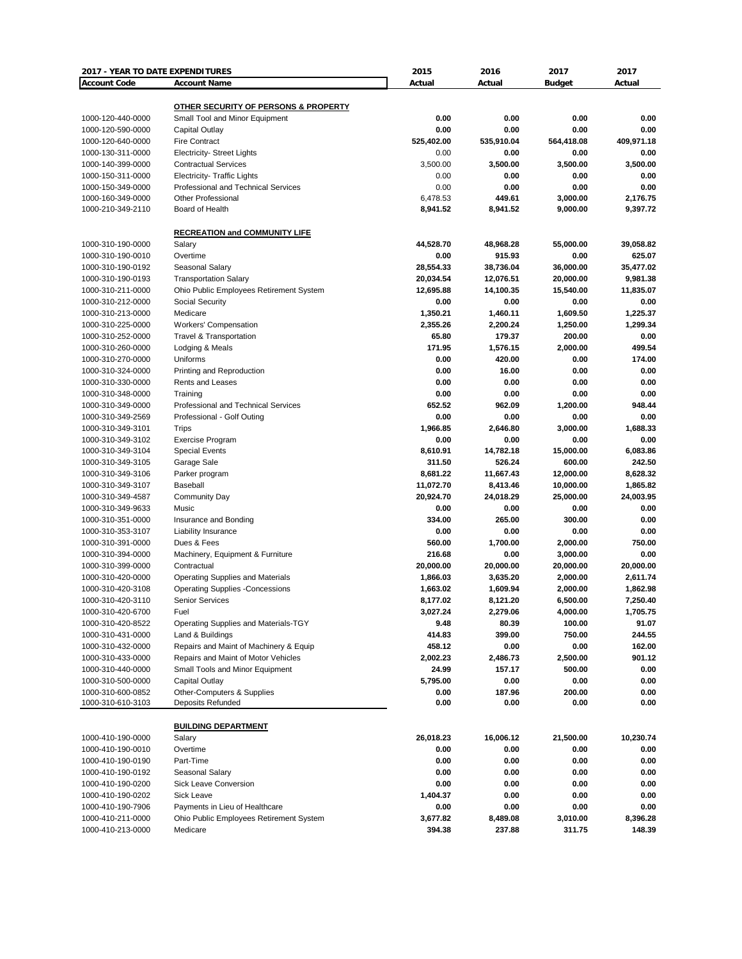| 2017 - YEAR TO DATE EXPENDITURES |                                         | 2015       | 2016       | 2017          | 2017       |
|----------------------------------|-----------------------------------------|------------|------------|---------------|------------|
| <b>Account Code</b>              | <b>Account Name</b>                     | Actual     | Actual     | <b>Budget</b> | Actual     |
|                                  |                                         |            |            |               |            |
|                                  | OTHER SECURITY OF PERSONS & PROPERTY    |            |            |               |            |
| 1000-120-440-0000                | Small Tool and Minor Equipment          | 0.00       | 0.00       | 0.00          | 0.00       |
| 1000-120-590-0000                | Capital Outlay                          | 0.00       | 0.00       | 0.00          | 0.00       |
| 1000-120-640-0000                | <b>Fire Contract</b>                    | 525,402.00 | 535,910.04 | 564,418.08    | 409,971.18 |
| 1000-130-311-0000                | <b>Electricity- Street Lights</b>       | 0.00       | 0.00       | 0.00          | 0.00       |
| 1000-140-399-0000                | <b>Contractual Services</b>             | 3,500.00   | 3,500.00   | 3,500.00      | 3,500.00   |
| 1000-150-311-0000                | <b>Electricity- Traffic Lights</b>      | 0.00       | 0.00       | 0.00          | 0.00       |
| 1000-150-349-0000                | Professional and Technical Services     | 0.00       | 0.00       | 0.00          | 0.00       |
| 1000-160-349-0000                | <b>Other Professional</b>               | 6,478.53   | 449.61     | 3,000.00      | 2,176.75   |
| 1000-210-349-2110                | Board of Health                         | 8,941.52   | 8,941.52   | 9,000.00      | 9,397.72   |
|                                  |                                         |            |            |               |            |
|                                  | <b>RECREATION and COMMUNITY LIFE</b>    |            |            |               |            |
| 1000-310-190-0000                | Salary                                  | 44,528.70  | 48,968.28  | 55,000.00     | 39,058.82  |
| 1000-310-190-0010                | Overtime                                | 0.00       | 915.93     | 0.00          | 625.07     |
| 1000-310-190-0192                | Seasonal Salary                         | 28,554.33  | 38,736.04  | 36,000.00     | 35,477.02  |
| 1000-310-190-0193                | <b>Transportation Salary</b>            | 20,034.54  | 12,076.51  | 20,000.00     | 9,981.38   |
| 1000-310-211-0000                | Ohio Public Employees Retirement System | 12,695.88  | 14,100.35  | 15,540.00     | 11,835.07  |
| 1000-310-212-0000                | Social Security                         | 0.00       | 0.00       | 0.00          | 0.00       |
|                                  |                                         |            |            |               |            |
| 1000-310-213-0000                | Medicare                                | 1,350.21   | 1,460.11   | 1,609.50      | 1,225.37   |
| 1000-310-225-0000                | <b>Workers' Compensation</b>            | 2,355.26   | 2,200.24   | 1,250.00      | 1,299.34   |
| 1000-310-252-0000                | Travel & Transportation                 | 65.80      | 179.37     | 200.00        | 0.00       |
| 1000-310-260-0000                | Lodging & Meals                         | 171.95     | 1,576.15   | 2,000.00      | 499.54     |
| 1000-310-270-0000                | Uniforms                                | 0.00       | 420.00     | 0.00          | 174.00     |
| 1000-310-324-0000                | Printing and Reproduction               | 0.00       | 16.00      | 0.00          | 0.00       |
| 1000-310-330-0000                | Rents and Leases                        | 0.00       | 0.00       | 0.00          | 0.00       |
| 1000-310-348-0000                | Training                                | 0.00       | 0.00       | 0.00          | 0.00       |
| 1000-310-349-0000                | Professional and Technical Services     | 652.52     | 962.09     | 1,200.00      | 948.44     |
| 1000-310-349-2569                | Professional - Golf Outing              | 0.00       | 0.00       | 0.00          | 0.00       |
| 1000-310-349-3101                | Trips                                   | 1,966.85   | 2,646.80   | 3,000.00      | 1,688.33   |
| 1000-310-349-3102                | <b>Exercise Program</b>                 | 0.00       | 0.00       | 0.00          | 0.00       |
| 1000-310-349-3104                | <b>Special Events</b>                   | 8,610.91   | 14,782.18  | 15,000.00     | 6,083.86   |
| 1000-310-349-3105                | Garage Sale                             | 311.50     | 526.24     | 600.00        | 242.50     |
| 1000-310-349-3106                | Parker program                          | 8,681.22   | 11,667.43  | 12,000.00     | 8,628.32   |
| 1000-310-349-3107                | Baseball                                | 11,072.70  | 8,413.46   | 10,000.00     | 1,865.82   |
| 1000-310-349-4587                | <b>Community Day</b>                    | 20,924.70  | 24,018.29  | 25,000.00     | 24,003.95  |
| 1000-310-349-9633                | Music                                   | 0.00       | 0.00       | 0.00          | 0.00       |
| 1000-310-351-0000                | Insurance and Bonding                   | 334.00     | 265.00     | 300.00        | 0.00       |
| 1000-310-353-3107                | Liability Insurance                     | 0.00       | 0.00       | 0.00          | 0.00       |
| 1000-310-391-0000                | Dues & Fees                             | 560.00     | 1,700.00   | 2,000.00      | 750.00     |
| 1000-310-394-0000                | Machinery, Equipment & Furniture        | 216.68     | 0.00       | 3,000.00      | 0.00       |
| 1000-310-399-0000                | Contractual                             | 20,000.00  | 20,000.00  | 20,000.00     | 20,000.00  |
|                                  |                                         | 1,866.03   |            | 2,000.00      |            |
| 1000-310-420-0000                | <b>Operating Supplies and Materials</b> |            | 3,635.20   |               | 2,611.74   |
| 1000-310-420-3108                | <b>Operating Supplies -Concessions</b>  | 1,663.02   | 1,609.94   | 2,000.00      | 1,862.98   |
| 1000-310-420-3110                | <b>Senior Services</b>                  | 8,177.02   | 8,121.20   | 6,500.00      | 7,250.40   |
| 1000-310-420-6700                | Fuel                                    | 3,027.24   | 2,279.06   | 4,000.00      | 1,705.75   |
| 1000-310-420-8522                | Operating Supplies and Materials-TGY    | 9.48       | 80.39      | 100.00        | 91.07      |
| 1000-310-431-0000                | Land & Buildings                        | 414.83     | 399.00     | 750.00        | 244.55     |
| 1000-310-432-0000                | Repairs and Maint of Machinery & Equip  | 458.12     | 0.00       | 0.00          | 162.00     |
| 1000-310-433-0000                | Repairs and Maint of Motor Vehicles     | 2,002.23   | 2,486.73   | 2,500.00      | 901.12     |
| 1000-310-440-0000                | Small Tools and Minor Equipment         | 24.99      | 157.17     | 500.00        | 0.00       |
| 1000-310-500-0000                | Capital Outlay                          | 5,795.00   | 0.00       | 0.00          | 0.00       |
| 1000-310-600-0852                | Other-Computers & Supplies              | 0.00       | 187.96     | 200.00        | 0.00       |
| 1000-310-610-3103                | Deposits Refunded                       | 0.00       | 0.00       | 0.00          | 0.00       |
|                                  |                                         |            |            |               |            |
|                                  | <b>BUILDING DEPARTMENT</b>              |            |            |               |            |
| 1000-410-190-0000                | Salary                                  | 26,018.23  | 16,006.12  | 21,500.00     | 10,230.74  |
| 1000-410-190-0010                | Overtime                                | 0.00       | 0.00       | 0.00          | 0.00       |
| 1000-410-190-0190                | Part-Time                               | 0.00       | 0.00       | 0.00          | 0.00       |
| 1000-410-190-0192                | Seasonal Salary                         | 0.00       | 0.00       | 0.00          | 0.00       |
| 1000-410-190-0200                | Sick Leave Conversion                   | 0.00       | 0.00       | 0.00          | 0.00       |
| 1000-410-190-0202                | Sick Leave                              | 1,404.37   | 0.00       | 0.00          | 0.00       |
| 1000-410-190-7906                | Payments in Lieu of Healthcare          | 0.00       | 0.00       | 0.00          | 0.00       |
| 1000-410-211-0000                | Ohio Public Employees Retirement System | 3,677.82   | 8,489.08   | 3,010.00      | 8,396.28   |
| 1000-410-213-0000                | Medicare                                | 394.38     | 237.88     | 311.75        | 148.39     |
|                                  |                                         |            |            |               |            |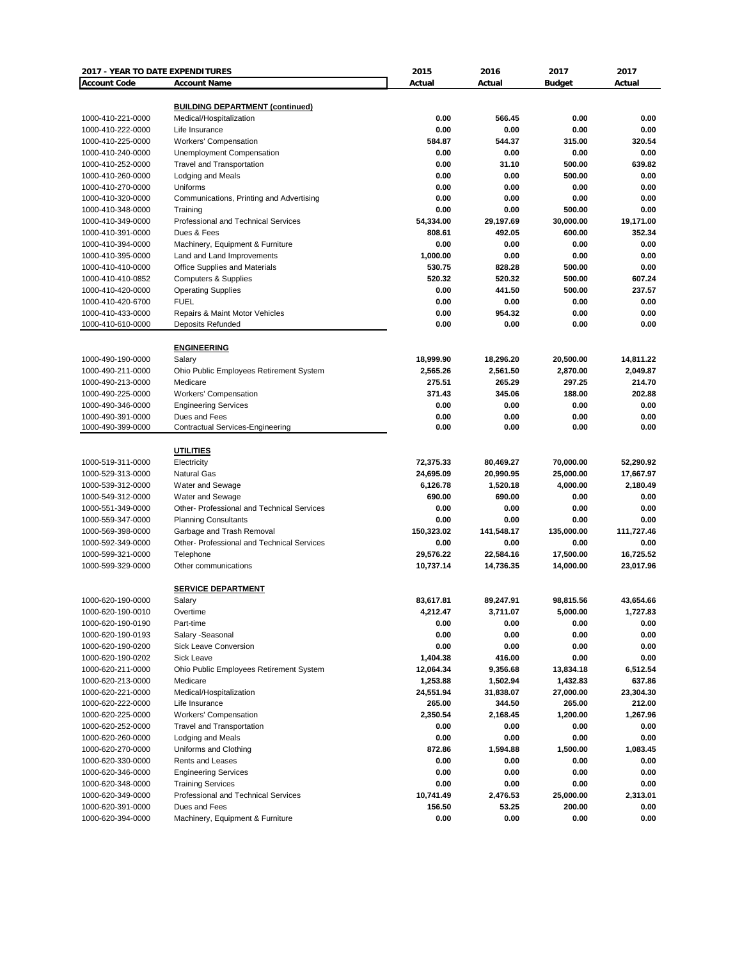| 2017 - YEAR TO DATE EXPENDITURES       |                                                        | 2015           | 2016           | 2017           | 2017           |
|----------------------------------------|--------------------------------------------------------|----------------|----------------|----------------|----------------|
| <b>Account Code</b>                    | <b>Account Name</b>                                    | Actual         | Actual         | <b>Budget</b>  | Actual         |
|                                        |                                                        |                |                |                |                |
|                                        | <b>BUILDING DEPARTMENT (continued)</b>                 |                |                |                |                |
| 1000-410-221-0000                      | Medical/Hospitalization                                | 0.00           | 566.45         | 0.00           | 0.00           |
| 1000-410-222-0000                      | Life Insurance<br><b>Workers' Compensation</b>         | 0.00<br>584.87 | 0.00<br>544.37 | 0.00           | 0.00<br>320.54 |
| 1000-410-225-0000                      |                                                        |                | 0.00           | 315.00         | 0.00           |
| 1000-410-240-0000<br>1000-410-252-0000 | Unemployment Compensation<br>Travel and Transportation | 0.00<br>0.00   | 31.10          | 0.00<br>500.00 | 639.82         |
| 1000-410-260-0000                      | Lodging and Meals                                      | 0.00           | 0.00           | 500.00         | 0.00           |
| 1000-410-270-0000                      | Uniforms                                               | 0.00           | 0.00           | 0.00           | 0.00           |
| 1000-410-320-0000                      | Communications, Printing and Advertising               | 0.00           | 0.00           | 0.00           | 0.00           |
| 1000-410-348-0000                      | Training                                               | 0.00           | 0.00           | 500.00         | 0.00           |
| 1000-410-349-0000                      | Professional and Technical Services                    | 54,334.00      | 29,197.69      | 30,000.00      | 19.171.00      |
| 1000-410-391-0000                      | Dues & Fees                                            | 808.61         | 492.05         | 600.00         | 352.34         |
| 1000-410-394-0000                      | Machinery, Equipment & Furniture                       | 0.00           | 0.00           | 0.00           | 0.00           |
| 1000-410-395-0000                      | Land and Land Improvements                             | 1,000.00       | 0.00           | 0.00           | 0.00           |
| 1000-410-410-0000                      | Office Supplies and Materials                          | 530.75         | 828.28         | 500.00         | 0.00           |
| 1000-410-410-0852                      | <b>Computers &amp; Supplies</b>                        | 520.32         | 520.32         | 500.00         | 607.24         |
| 1000-410-420-0000                      | <b>Operating Supplies</b>                              | 0.00           | 441.50         | 500.00         | 237.57         |
| 1000-410-420-6700                      | <b>FUEL</b>                                            | 0.00           | 0.00           | 0.00           | 0.00           |
| 1000-410-433-0000                      | Repairs & Maint Motor Vehicles                         | 0.00           | 954.32         | 0.00           | 0.00           |
| 1000-410-610-0000                      | Deposits Refunded                                      | 0.00           | 0.00           | 0.00           | 0.00           |
|                                        |                                                        |                |                |                |                |
|                                        | <b>ENGINEERING</b>                                     |                |                |                |                |
| 1000-490-190-0000                      | Salary                                                 | 18,999.90      | 18,296.20      | 20,500.00      | 14.811.22      |
| 1000-490-211-0000                      | Ohio Public Employees Retirement System                | 2,565.26       | 2,561.50       | 2,870.00       | 2,049.87       |
| 1000-490-213-0000                      | Medicare                                               | 275.51         | 265.29         | 297.25         | 214.70         |
| 1000-490-225-0000                      | Workers' Compensation                                  | 371.43         | 345.06         | 188.00         | 202.88         |
| 1000-490-346-0000                      | <b>Engineering Services</b>                            | 0.00           | 0.00           | 0.00           | 0.00           |
| 1000-490-391-0000                      | Dues and Fees                                          | 0.00           | 0.00           | 0.00           | 0.00           |
| 1000-490-399-0000                      | <b>Contractual Services-Engineering</b>                | 0.00           | 0.00           | 0.00           | 0.00           |
|                                        |                                                        |                |                |                |                |
|                                        | <b>UTILITIES</b>                                       |                |                |                |                |
| 1000-519-311-0000                      | Electricity                                            | 72,375.33      | 80,469.27      | 70,000.00      | 52,290.92      |
| 1000-529-313-0000                      | <b>Natural Gas</b>                                     | 24,695.09      | 20,990.95      | 25,000.00      | 17,667.97      |
| 1000-539-312-0000                      | Water and Sewage                                       | 6,126.78       | 1,520.18       | 4,000.00       | 2,180.49       |
| 1000-549-312-0000                      | Water and Sewage                                       | 690.00         | 690.00         | 0.00           | 0.00           |
| 1000-551-349-0000                      | Other- Professional and Technical Services             | 0.00           | 0.00           | 0.00           | 0.00           |
| 1000-559-347-0000                      | <b>Planning Consultants</b>                            | 0.00           | 0.00           | 0.00           | 0.00           |
| 1000-569-398-0000                      | Garbage and Trash Removal                              | 150,323.02     | 141,548.17     | 135,000.00     | 111,727.46     |
| 1000-592-349-0000                      | <b>Other-Professional and Technical Services</b>       | 0.00           | 0.00           | 0.00           | 0.00           |
| 1000-599-321-0000                      | Telephone                                              | 29,576.22      | 22,584.16      | 17,500.00      | 16,725.52      |
| 1000-599-329-0000                      | Other communications                                   | 10,737.14      | 14,736.35      | 14,000.00      | 23,017.96      |
|                                        |                                                        |                |                |                |                |
|                                        | <b>SERVICE DEPARTMENT</b>                              |                |                |                |                |
| 1000-620-190-0000                      | Salary                                                 | 83,617.81      | 89,247.91      | 98,815.56      | 43,654.66      |
| 1000-620-190-0010                      | Overtime                                               | 4,212.47       | 3,711.07       | 5,000.00       | 1,727.83       |
| 1000-620-190-0190                      | Part-time                                              | 0.00           | 0.00           | 0.00           | 0.00           |
| 1000-620-190-0193                      | Salary -Seasonal                                       | 0.00           | 0.00           | 0.00           | 0.00           |
| 1000-620-190-0200                      | Sick Leave Conversion                                  | 0.00           | 0.00           | 0.00           | 0.00           |
| 1000-620-190-0202                      | Sick Leave                                             | 1,404.38       | 416.00         | 0.00           | 0.00           |
| 1000-620-211-0000                      | Ohio Public Employees Retirement System                | 12,064.34      | 9,356.68       | 13,834.18      | 6,512.54       |
| 1000-620-213-0000                      | Medicare                                               | 1,253.88       | 1,502.94       | 1,432.83       | 637.86         |
| 1000-620-221-0000                      | Medical/Hospitalization                                | 24,551.94      | 31,838.07      | 27,000.00      | 23,304.30      |
| 1000-620-222-0000                      | Life Insurance                                         | 265.00         | 344.50         | 265.00         | 212.00         |
| 1000-620-225-0000                      | <b>Workers' Compensation</b>                           | 2,350.54       | 2,168.45       | 1,200.00       | 1,267.96       |
| 1000-620-252-0000                      | <b>Travel and Transportation</b>                       | 0.00           | 0.00           | 0.00           | 0.00           |
| 1000-620-260-0000                      | Lodging and Meals                                      | 0.00           | 0.00           | 0.00           | 0.00           |
| 1000-620-270-0000                      | Uniforms and Clothing                                  | 872.86         | 1,594.88       | 1,500.00       | 1,083.45       |
| 1000-620-330-0000                      | Rents and Leases                                       | 0.00           | 0.00           | 0.00           | 0.00           |
| 1000-620-346-0000                      | <b>Engineering Services</b>                            | 0.00           | 0.00           | 0.00           | 0.00           |
| 1000-620-348-0000                      | <b>Training Services</b>                               | 0.00           | 0.00           | 0.00           | 0.00           |
| 1000-620-349-0000                      | Professional and Technical Services                    | 10,741.49      | 2,476.53       | 25,000.00      | 2,313.01       |
| 1000-620-391-0000                      | Dues and Fees                                          | 156.50         | 53.25          | 200.00         | 0.00           |
| 1000-620-394-0000                      | Machinery, Equipment & Furniture                       | 0.00           | 0.00           | 0.00           | 0.00           |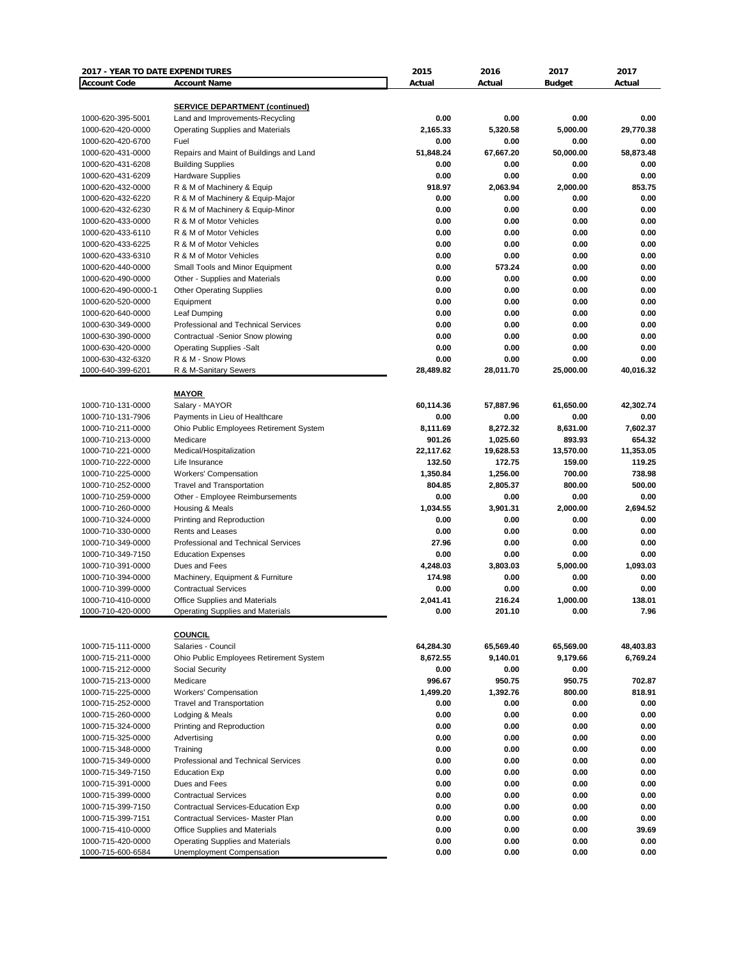| 2017 - YEAR TO DATE EXPENDITURES       |                                                               | 2015                | 2016                | 2017                | 2017           |
|----------------------------------------|---------------------------------------------------------------|---------------------|---------------------|---------------------|----------------|
| <b>Account Code</b>                    | <b>Account Name</b>                                           | Actual              | Actual              | <b>Budget</b>       | Actual         |
|                                        |                                                               |                     |                     |                     |                |
|                                        | <b>SERVICE DEPARTMENT (continued)</b>                         |                     |                     |                     |                |
| 1000-620-395-5001                      | Land and Improvements-Recycling                               | 0.00                | 0.00                | 0.00                | 0.00           |
| 1000-620-420-0000                      | <b>Operating Supplies and Materials</b>                       | 2,165.33            | 5,320.58            | 5.000.00            | 29,770.38      |
| 1000-620-420-6700                      | Fuel                                                          | 0.00                | 0.00                | 0.00                | 0.00           |
| 1000-620-431-0000                      | Repairs and Maint of Buildings and Land                       | 51,848.24           | 67,667.20           | 50,000.00           | 58,873.48      |
| 1000-620-431-6208                      | <b>Building Supplies</b>                                      | 0.00                | 0.00                | 0.00                | 0.00           |
| 1000-620-431-6209                      | <b>Hardware Supplies</b>                                      | 0.00                | 0.00                | 0.00                | 0.00           |
| 1000-620-432-0000                      | R & M of Machinery & Equip                                    | 918.97              | 2,063.94            | 2,000.00            | 853.75         |
| 1000-620-432-6220                      | R & M of Machinery & Equip-Major                              | 0.00                | 0.00                | 0.00                | 0.00           |
| 1000-620-432-6230                      | R & M of Machinery & Equip-Minor<br>R & M of Motor Vehicles   | 0.00                | 0.00                | 0.00                | 0.00           |
| 1000-620-433-0000                      |                                                               | 0.00                | 0.00                | 0.00                | 0.00           |
| 1000-620-433-6110                      | R & M of Motor Vehicles                                       | 0.00                | 0.00                | 0.00                | 0.00           |
| 1000-620-433-6225                      | R & M of Motor Vehicles                                       | 0.00                | 0.00                | 0.00                | 0.00           |
| 1000-620-433-6310                      | R & M of Motor Vehicles                                       | 0.00<br>0.00        | 0.00                | 0.00                | 0.00<br>0.00   |
| 1000-620-440-0000                      | Small Tools and Minor Equipment                               |                     | 573.24<br>0.00      | 0.00                | 0.00           |
| 1000-620-490-0000                      | Other - Supplies and Materials                                | 0.00<br>0.00        | 0.00                | 0.00<br>0.00        | 0.00           |
| 1000-620-490-0000-1                    | <b>Other Operating Supplies</b><br>Equipment                  | 0.00                | 0.00                | 0.00                | 0.00           |
| 1000-620-520-0000                      |                                                               |                     |                     |                     |                |
| 1000-620-640-0000                      | Leaf Dumping                                                  | 0.00                | 0.00                | 0.00                | 0.00           |
| 1000-630-349-0000                      | Professional and Technical Services                           | 0.00                | 0.00                | 0.00                | 0.00           |
| 1000-630-390-0000                      | Contractual -Senior Snow plowing                              | 0.00                | 0.00                | 0.00                | 0.00           |
| 1000-630-420-0000                      | <b>Operating Supplies -Salt</b>                               | 0.00                | 0.00                | 0.00                | 0.00           |
| 1000-630-432-6320                      | R & M - Snow Plows                                            | 0.00<br>28,489.82   | 0.00                | 0.00                | 0.00           |
| 1000-640-399-6201                      | R & M-Sanitary Sewers                                         |                     | 28,011.70           | 25,000.00           | 40,016.32      |
|                                        | <b>MAYOR</b>                                                  |                     |                     |                     |                |
| 1000-710-131-0000                      | Salary - MAYOR                                                | 60,114.36           | 57,887.96           | 61,650.00           | 42,302.74      |
| 1000-710-131-7906                      | Payments in Lieu of Healthcare                                | 0.00                | 0.00                | 0.00                | 0.00           |
|                                        |                                                               | 8,111.69            |                     |                     | 7,602.37       |
| 1000-710-211-0000<br>1000-710-213-0000 | Ohio Public Employees Retirement System                       | 901.26              | 8,272.32            | 8,631.00<br>893.93  | 654.32         |
| 1000-710-221-0000                      | Medicare                                                      |                     | 1,025.60            |                     | 11,353.05      |
| 1000-710-222-0000                      | Medical/Hospitalization<br>Life Insurance                     | 22,117.62<br>132.50 | 19,628.53<br>172.75 | 13,570.00<br>159.00 | 119.25         |
|                                        |                                                               |                     | 1,256.00            | 700.00              | 738.98         |
| 1000-710-225-0000                      | <b>Workers' Compensation</b>                                  | 1,350.84            |                     |                     | 500.00         |
| 1000-710-252-0000                      | <b>Travel and Transportation</b>                              | 804.85<br>0.00      | 2,805.37<br>0.00    | 800.00<br>0.00      | 0.00           |
| 1000-710-259-0000                      | Other - Employee Reimbursements                               |                     |                     |                     |                |
| 1000-710-260-0000                      | Housing & Meals                                               | 1,034.55            | 3,901.31            | 2,000.00            | 2,694.52       |
| 1000-710-324-0000                      | Printing and Reproduction                                     | 0.00                | 0.00                | 0.00                | 0.00           |
| 1000-710-330-0000<br>1000-710-349-0000 | Rents and Leases<br>Professional and Technical Services       | 0.00<br>27.96       | 0.00<br>0.00        | 0.00<br>0.00        | 0.00<br>0.00   |
| 1000-710-349-7150                      |                                                               | 0.00                | 0.00                | 0.00                | 0.00           |
|                                        | <b>Education Expenses</b><br>Dues and Fees                    | 4,248.03            |                     | 5,000.00            | 1,093.03       |
| 1000-710-391-0000                      |                                                               | 174.98              | 3,803.03            | 0.00                | 0.00           |
| 1000-710-394-0000                      | Machinery, Equipment & Furniture                              |                     | 0.00                |                     |                |
| 1000-710-399-0000                      | <b>Contractual Services</b>                                   | 0.00                | 0.00                | 0.00                | 0.00           |
| 1000-710-410-0000<br>1000-710-420-0000 | <b>Office Supplies and Materials</b>                          | 2,041.41<br>0.00    | 216.24<br>201.10    | 1,000.00<br>0.00    | 138.01<br>7.96 |
|                                        | Operating Supplies and Materials                              |                     |                     |                     |                |
|                                        | <b>COUNCIL</b>                                                |                     |                     |                     |                |
| 1000-715-111-0000                      | Salaries - Council                                            | 64,284.30           | 65,569.40           | 65,569.00           | 48,403.83      |
| 1000-715-211-0000                      | Ohio Public Employees Retirement System                       | 8,672.55            | 9,140.01            | 9,179.66            | 6,769.24       |
| 1000-715-212-0000                      | Social Security                                               | 0.00                | 0.00                | 0.00                |                |
| 1000-715-213-0000                      | Medicare                                                      | 996.67              | 950.75              | 950.75              | 702.87         |
| 1000-715-225-0000                      | <b>Workers' Compensation</b>                                  | 1,499.20            | 1,392.76            | 800.00              | 818.91         |
| 1000-715-252-0000                      | <b>Travel and Transportation</b>                              | 0.00                | 0.00                | 0.00                | 0.00           |
| 1000-715-260-0000                      | Lodging & Meals                                               | 0.00                | 0.00                | 0.00                | 0.00           |
| 1000-715-324-0000                      | Printing and Reproduction                                     | 0.00                | 0.00                | 0.00                | 0.00           |
| 1000-715-325-0000                      | Advertising                                                   | 0.00                | 0.00                | 0.00                | 0.00           |
| 1000-715-348-0000                      | Training                                                      | 0.00                | 0.00                | 0.00                | 0.00           |
| 1000-715-349-0000                      | Professional and Technical Services                           | 0.00                | 0.00                | 0.00                | 0.00           |
|                                        | <b>Education Exp</b>                                          | 0.00                | 0.00                | 0.00                | 0.00           |
| 1000-715-349-7150                      |                                                               |                     |                     |                     |                |
| 1000-715-391-0000                      | Dues and Fees                                                 | 0.00                | 0.00                | 0.00                | 0.00           |
| 1000-715-399-0000                      | <b>Contractual Services</b>                                   | 0.00                | 0.00                | 0.00                | 0.00           |
| 1000-715-399-7150                      | Contractual Services-Education Exp                            | 0.00                | 0.00                | 0.00                | 0.00           |
| 1000-715-399-7151                      | Contractual Services- Master Plan                             | 0.00                | 0.00                | 0.00                | 0.00           |
| 1000-715-410-0000                      | Office Supplies and Materials                                 | 0.00<br>0.00        | 0.00                | 0.00                | 39.69<br>0.00  |
| 1000-715-420-0000<br>1000-715-600-6584 | Operating Supplies and Materials<br>Unemployment Compensation | 0.00                | 0.00<br>0.00        | 0.00<br>0.00        | 0.00           |
|                                        |                                                               |                     |                     |                     |                |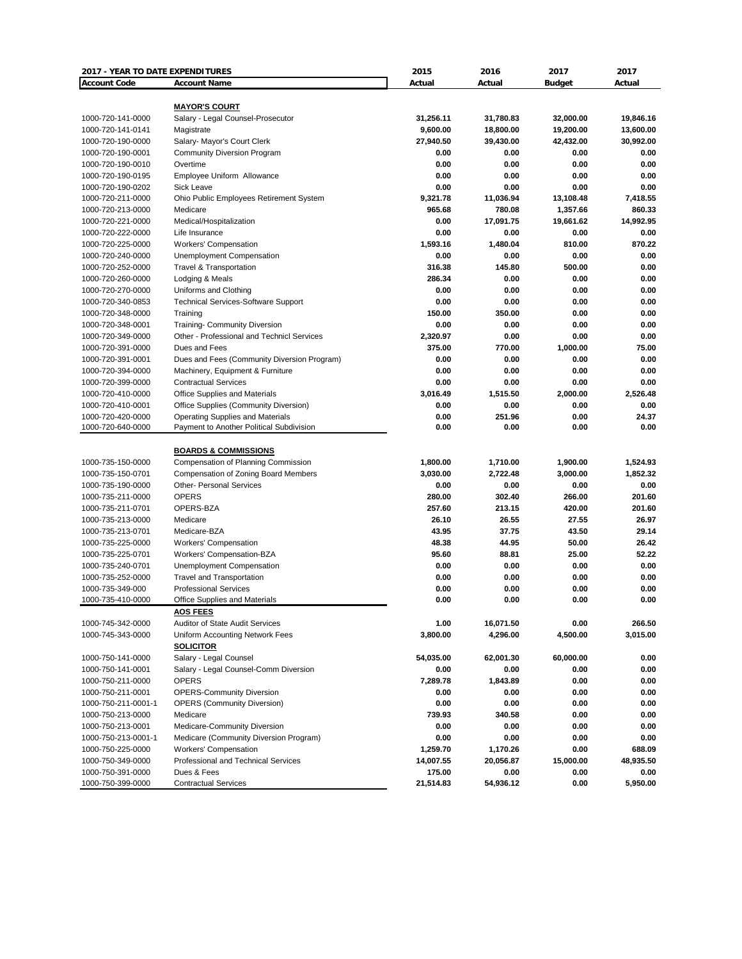| <b>Account Code</b><br><b>Account Name</b><br>Actual<br>Actual<br>Actual<br><b>Budget</b><br><b>MAYOR'S COURT</b><br>1000-720-141-0000<br>Salary - Legal Counsel-Prosecutor<br>31,256.11<br>31,780.83<br>32,000.00<br>19,846.16<br>9,600.00<br>13,600.00<br>1000-720-141-0141<br>18,800.00<br>19,200.00<br>Magistrate<br>30,992.00<br>1000-720-190-0000<br>Salary- Mayor's Court Clerk<br>27,940.50<br>39,430.00<br>42,432.00<br>1000-720-190-0001<br><b>Community Diversion Program</b><br>0.00<br>0.00<br>0.00<br>0.00<br>0.00<br>1000-720-190-0010<br>0.00<br>0.00<br>0.00<br>Overtime<br>0.00<br>0.00<br>Employee Uniform Allowance<br>0.00<br>0.00<br>1000-720-190-0195<br>0.00<br>0.00<br>0.00<br>0.00<br>1000-720-190-0202<br>Sick Leave<br>9,321.78<br>11,036.94<br>13,108.48<br>7,418.55<br>1000-720-211-0000<br>Ohio Public Employees Retirement System<br>965.68<br>860.33<br>1000-720-213-0000<br>Medicare<br>780.08<br>1,357.66<br>0.00<br>14,992.95<br>1000-720-221-0000<br>17,091.75<br>19,661.62<br>Medical/Hospitalization<br>0.00<br>1000-720-222-0000<br>0.00<br>0.00<br>0.00<br>Life Insurance<br>1,593.16<br>1,480.04<br>810.00<br>870.22<br>1000-720-225-0000<br><b>Workers' Compensation</b><br>0.00<br>1000-720-240-0000<br>Unemployment Compensation<br>0.00<br>0.00<br>0.00<br>1000-720-252-0000<br><b>Travel &amp; Transportation</b><br>316.38<br>145.80<br>500.00<br>0.00<br>286.34<br>0.00<br>0.00<br>0.00<br>1000-720-260-0000<br>Lodging & Meals<br>0.00<br>0.00<br>0.00<br>0.00<br>1000-720-270-0000<br>Uniforms and Clothing<br>1000-720-340-0853<br><b>Technical Services-Software Support</b><br>0.00<br>0.00<br>0.00<br>0.00<br>0.00<br>1000-720-348-0000<br>150.00<br>350.00<br>0.00<br>Training<br>0.00<br><b>Training- Community Diversion</b><br>0.00<br>0.00<br>0.00<br>1000-720-348-0001<br>0.00<br>1000-720-349-0000<br>Other - Professional and Technicl Services<br>2,320.97<br>0.00<br>0.00<br>Dues and Fees<br>375.00<br>770.00<br>75.00<br>1000-720-391-0000<br>1,000.00<br>0.00<br>1000-720-391-0001<br>Dues and Fees (Community Diversion Program)<br>0.00<br>0.00<br>0.00<br>0.00<br>1000-720-394-0000<br>Machinery, Equipment & Furniture<br>0.00<br>0.00<br>0.00<br>0.00<br>0.00<br>1000-720-399-0000<br><b>Contractual Services</b><br>0.00<br>0.00<br>2,526.48<br>1000-720-410-0000<br><b>Office Supplies and Materials</b><br>3,016.49<br>1,515.50<br>2,000.00<br>1000-720-410-0001<br>Office Supplies (Community Diversion)<br>0.00<br>0.00<br>0.00<br>0.00<br>0.00<br>251.96<br>24.37<br>1000-720-420-0000<br><b>Operating Supplies and Materials</b><br>0.00<br>0.00<br>0.00<br>1000-720-640-0000<br>Payment to Another Political Subdivision<br>0.00<br>0.00<br><b>BOARDS &amp; COMMISSIONS</b><br>Compensation of Planning Commission<br>1,800.00<br>1,524.93<br>1000-735-150-0000<br>1,710.00<br>1,900.00<br>1000-735-150-0701<br>Compensation of Zoning Board Members<br>3,030.00<br>2,722.48<br>3,000.00<br>1,852.32<br>1000-735-190-0000<br><b>Other- Personal Services</b><br>0.00<br>0.00<br>0.00<br>0.00<br><b>OPERS</b><br>280.00<br>302.40<br>201.60<br>1000-735-211-0000<br>266.00<br>OPERS-BZA<br>257.60<br>1000-735-211-0701<br>213.15<br>420.00<br>201.60<br>1000-735-213-0000<br>Medicare<br>26.10<br>26.55<br>27.55<br>26.97<br>43.95<br>37.75<br>29.14<br>1000-735-213-0701<br>Medicare-BZA<br>43.50<br>26.42<br>1000-735-225-0000<br>48.38<br>44.95<br>50.00<br><b>Workers' Compensation</b><br>95.60<br>88.81<br>25.00<br>52.22<br>1000-735-225-0701<br>Workers' Compensation-BZA<br>0.00<br>0.00<br>0.00<br>1000-735-240-0701<br><b>Unemployment Compensation</b><br>0.00<br>0.00<br>0.00<br>0.00<br>0.00<br>1000-735-252-0000<br><b>Travel and Transportation</b><br>0.00<br>0.00<br>1000-735-349-000<br><b>Professional Services</b><br>0.00<br>0.00<br>0.00<br>0.00<br>0.00<br>0.00<br>1000-735-410-0000<br><b>Office Supplies and Materials</b><br><b>AOS FEES</b><br>1.00<br>16,071.50<br>0.00<br>266.50<br>1000-745-342-0000<br><b>Auditor of State Audit Services</b><br>3,800.00<br>4,296.00<br>Uniform Accounting Network Fees<br>4,500.00<br>3,015.00<br>1000-745-343-0000<br><b>SOLICITOR</b><br>1000-750-141-0000<br>Salary - Legal Counsel<br>54,035.00<br>62,001.30<br>60,000.00<br>0.00<br>0.00<br>Salary - Legal Counsel-Comm Diversion<br>0.00<br>0.00<br>0.00<br>1000-750-141-0001<br><b>OPERS</b><br>7,289.78<br>1,843.89<br>0.00<br>0.00<br>1000-750-211-0000<br><b>OPERS-Community Diversion</b><br>0.00<br>0.00<br>0.00<br>0.00<br>1000-750-211-0001<br>0.00<br>0.00<br>0.00<br>1000-750-211-0001-1<br><b>OPERS (Community Diversion)</b><br>0.00<br>Medicare<br>739.93<br>340.58<br>0.00<br>0.00<br>1000-750-213-0000<br>Medicare-Community Diversion<br>0.00<br>0.00<br>0.00<br>1000-750-213-0001<br>0.00<br>Medicare (Community Diversion Program)<br>0.00<br>0.00<br>0.00<br>0.00<br>1000-750-213-0001-1<br><b>Workers' Compensation</b><br>1,259.70<br>1,170.26<br>0.00<br>688.09<br>1000-750-225-0000<br>1000-750-349-0000<br>Professional and Technical Services<br>14,007.55<br>20,056.87<br>15,000.00<br>48,935.50<br>175.00<br>1000-750-391-0000<br>Dues & Fees<br>0.00<br>0.00<br>0.00 | 2017 - YEAR TO DATE EXPENDITURES |                             | 2015      | 2016      | 2017 | 2017     |
|----------------------------------------------------------------------------------------------------------------------------------------------------------------------------------------------------------------------------------------------------------------------------------------------------------------------------------------------------------------------------------------------------------------------------------------------------------------------------------------------------------------------------------------------------------------------------------------------------------------------------------------------------------------------------------------------------------------------------------------------------------------------------------------------------------------------------------------------------------------------------------------------------------------------------------------------------------------------------------------------------------------------------------------------------------------------------------------------------------------------------------------------------------------------------------------------------------------------------------------------------------------------------------------------------------------------------------------------------------------------------------------------------------------------------------------------------------------------------------------------------------------------------------------------------------------------------------------------------------------------------------------------------------------------------------------------------------------------------------------------------------------------------------------------------------------------------------------------------------------------------------------------------------------------------------------------------------------------------------------------------------------------------------------------------------------------------------------------------------------------------------------------------------------------------------------------------------------------------------------------------------------------------------------------------------------------------------------------------------------------------------------------------------------------------------------------------------------------------------------------------------------------------------------------------------------------------------------------------------------------------------------------------------------------------------------------------------------------------------------------------------------------------------------------------------------------------------------------------------------------------------------------------------------------------------------------------------------------------------------------------------------------------------------------------------------------------------------------------------------------------------------------------------------------------------------------------------------------------------------------------------------------------------------------------------------------------------------------------------------------------------------------------------------------------------------------------------------------------------------------------------------------------------------------------------------------------------------------------------------------------------------------------------------------------------------------------------------------------------------------------------------------------------------------------------------------------------------------------------------------------------------------------------------------------------------------------------------------------------------------------------------------------------------------------------------------------------------------------------------------------------------------------------------------------------------------------------------------------------------------------------------------------------------------------------------------------------------------------------------------------------------------------------------------------------------------------------------------------------------------------------------------------------------------------------------------------------------------------------------------------------------------------------------------------------------------------------------------------------------------------------------------------------------------------------------------------------------------------------------------------------------------------------------------------------------------------------------------------------------------------------------------------------------------------------------------------------------------------------------------------------------------------------------------------------------------------------|----------------------------------|-----------------------------|-----------|-----------|------|----------|
|                                                                                                                                                                                                                                                                                                                                                                                                                                                                                                                                                                                                                                                                                                                                                                                                                                                                                                                                                                                                                                                                                                                                                                                                                                                                                                                                                                                                                                                                                                                                                                                                                                                                                                                                                                                                                                                                                                                                                                                                                                                                                                                                                                                                                                                                                                                                                                                                                                                                                                                                                                                                                                                                                                                                                                                                                                                                                                                                                                                                                                                                                                                                                                                                                                                                                                                                                                                                                                                                                                                                                                                                                                                                                                                                                                                                                                                                                                                                                                                                                                                                                                                                                                                                                                                                                                                                                                                                                                                                                                                                                                                                                                                                                                                                                                                                                                                                                                                                                                                                                                                                                                                                                                                                          |                                  |                             |           |           |      |          |
|                                                                                                                                                                                                                                                                                                                                                                                                                                                                                                                                                                                                                                                                                                                                                                                                                                                                                                                                                                                                                                                                                                                                                                                                                                                                                                                                                                                                                                                                                                                                                                                                                                                                                                                                                                                                                                                                                                                                                                                                                                                                                                                                                                                                                                                                                                                                                                                                                                                                                                                                                                                                                                                                                                                                                                                                                                                                                                                                                                                                                                                                                                                                                                                                                                                                                                                                                                                                                                                                                                                                                                                                                                                                                                                                                                                                                                                                                                                                                                                                                                                                                                                                                                                                                                                                                                                                                                                                                                                                                                                                                                                                                                                                                                                                                                                                                                                                                                                                                                                                                                                                                                                                                                                                          |                                  |                             |           |           |      |          |
|                                                                                                                                                                                                                                                                                                                                                                                                                                                                                                                                                                                                                                                                                                                                                                                                                                                                                                                                                                                                                                                                                                                                                                                                                                                                                                                                                                                                                                                                                                                                                                                                                                                                                                                                                                                                                                                                                                                                                                                                                                                                                                                                                                                                                                                                                                                                                                                                                                                                                                                                                                                                                                                                                                                                                                                                                                                                                                                                                                                                                                                                                                                                                                                                                                                                                                                                                                                                                                                                                                                                                                                                                                                                                                                                                                                                                                                                                                                                                                                                                                                                                                                                                                                                                                                                                                                                                                                                                                                                                                                                                                                                                                                                                                                                                                                                                                                                                                                                                                                                                                                                                                                                                                                                          |                                  |                             |           |           |      |          |
|                                                                                                                                                                                                                                                                                                                                                                                                                                                                                                                                                                                                                                                                                                                                                                                                                                                                                                                                                                                                                                                                                                                                                                                                                                                                                                                                                                                                                                                                                                                                                                                                                                                                                                                                                                                                                                                                                                                                                                                                                                                                                                                                                                                                                                                                                                                                                                                                                                                                                                                                                                                                                                                                                                                                                                                                                                                                                                                                                                                                                                                                                                                                                                                                                                                                                                                                                                                                                                                                                                                                                                                                                                                                                                                                                                                                                                                                                                                                                                                                                                                                                                                                                                                                                                                                                                                                                                                                                                                                                                                                                                                                                                                                                                                                                                                                                                                                                                                                                                                                                                                                                                                                                                                                          |                                  |                             |           |           |      |          |
|                                                                                                                                                                                                                                                                                                                                                                                                                                                                                                                                                                                                                                                                                                                                                                                                                                                                                                                                                                                                                                                                                                                                                                                                                                                                                                                                                                                                                                                                                                                                                                                                                                                                                                                                                                                                                                                                                                                                                                                                                                                                                                                                                                                                                                                                                                                                                                                                                                                                                                                                                                                                                                                                                                                                                                                                                                                                                                                                                                                                                                                                                                                                                                                                                                                                                                                                                                                                                                                                                                                                                                                                                                                                                                                                                                                                                                                                                                                                                                                                                                                                                                                                                                                                                                                                                                                                                                                                                                                                                                                                                                                                                                                                                                                                                                                                                                                                                                                                                                                                                                                                                                                                                                                                          |                                  |                             |           |           |      |          |
|                                                                                                                                                                                                                                                                                                                                                                                                                                                                                                                                                                                                                                                                                                                                                                                                                                                                                                                                                                                                                                                                                                                                                                                                                                                                                                                                                                                                                                                                                                                                                                                                                                                                                                                                                                                                                                                                                                                                                                                                                                                                                                                                                                                                                                                                                                                                                                                                                                                                                                                                                                                                                                                                                                                                                                                                                                                                                                                                                                                                                                                                                                                                                                                                                                                                                                                                                                                                                                                                                                                                                                                                                                                                                                                                                                                                                                                                                                                                                                                                                                                                                                                                                                                                                                                                                                                                                                                                                                                                                                                                                                                                                                                                                                                                                                                                                                                                                                                                                                                                                                                                                                                                                                                                          |                                  |                             |           |           |      |          |
|                                                                                                                                                                                                                                                                                                                                                                                                                                                                                                                                                                                                                                                                                                                                                                                                                                                                                                                                                                                                                                                                                                                                                                                                                                                                                                                                                                                                                                                                                                                                                                                                                                                                                                                                                                                                                                                                                                                                                                                                                                                                                                                                                                                                                                                                                                                                                                                                                                                                                                                                                                                                                                                                                                                                                                                                                                                                                                                                                                                                                                                                                                                                                                                                                                                                                                                                                                                                                                                                                                                                                                                                                                                                                                                                                                                                                                                                                                                                                                                                                                                                                                                                                                                                                                                                                                                                                                                                                                                                                                                                                                                                                                                                                                                                                                                                                                                                                                                                                                                                                                                                                                                                                                                                          |                                  |                             |           |           |      |          |
|                                                                                                                                                                                                                                                                                                                                                                                                                                                                                                                                                                                                                                                                                                                                                                                                                                                                                                                                                                                                                                                                                                                                                                                                                                                                                                                                                                                                                                                                                                                                                                                                                                                                                                                                                                                                                                                                                                                                                                                                                                                                                                                                                                                                                                                                                                                                                                                                                                                                                                                                                                                                                                                                                                                                                                                                                                                                                                                                                                                                                                                                                                                                                                                                                                                                                                                                                                                                                                                                                                                                                                                                                                                                                                                                                                                                                                                                                                                                                                                                                                                                                                                                                                                                                                                                                                                                                                                                                                                                                                                                                                                                                                                                                                                                                                                                                                                                                                                                                                                                                                                                                                                                                                                                          |                                  |                             |           |           |      |          |
|                                                                                                                                                                                                                                                                                                                                                                                                                                                                                                                                                                                                                                                                                                                                                                                                                                                                                                                                                                                                                                                                                                                                                                                                                                                                                                                                                                                                                                                                                                                                                                                                                                                                                                                                                                                                                                                                                                                                                                                                                                                                                                                                                                                                                                                                                                                                                                                                                                                                                                                                                                                                                                                                                                                                                                                                                                                                                                                                                                                                                                                                                                                                                                                                                                                                                                                                                                                                                                                                                                                                                                                                                                                                                                                                                                                                                                                                                                                                                                                                                                                                                                                                                                                                                                                                                                                                                                                                                                                                                                                                                                                                                                                                                                                                                                                                                                                                                                                                                                                                                                                                                                                                                                                                          |                                  |                             |           |           |      |          |
|                                                                                                                                                                                                                                                                                                                                                                                                                                                                                                                                                                                                                                                                                                                                                                                                                                                                                                                                                                                                                                                                                                                                                                                                                                                                                                                                                                                                                                                                                                                                                                                                                                                                                                                                                                                                                                                                                                                                                                                                                                                                                                                                                                                                                                                                                                                                                                                                                                                                                                                                                                                                                                                                                                                                                                                                                                                                                                                                                                                                                                                                                                                                                                                                                                                                                                                                                                                                                                                                                                                                                                                                                                                                                                                                                                                                                                                                                                                                                                                                                                                                                                                                                                                                                                                                                                                                                                                                                                                                                                                                                                                                                                                                                                                                                                                                                                                                                                                                                                                                                                                                                                                                                                                                          |                                  |                             |           |           |      |          |
|                                                                                                                                                                                                                                                                                                                                                                                                                                                                                                                                                                                                                                                                                                                                                                                                                                                                                                                                                                                                                                                                                                                                                                                                                                                                                                                                                                                                                                                                                                                                                                                                                                                                                                                                                                                                                                                                                                                                                                                                                                                                                                                                                                                                                                                                                                                                                                                                                                                                                                                                                                                                                                                                                                                                                                                                                                                                                                                                                                                                                                                                                                                                                                                                                                                                                                                                                                                                                                                                                                                                                                                                                                                                                                                                                                                                                                                                                                                                                                                                                                                                                                                                                                                                                                                                                                                                                                                                                                                                                                                                                                                                                                                                                                                                                                                                                                                                                                                                                                                                                                                                                                                                                                                                          |                                  |                             |           |           |      |          |
|                                                                                                                                                                                                                                                                                                                                                                                                                                                                                                                                                                                                                                                                                                                                                                                                                                                                                                                                                                                                                                                                                                                                                                                                                                                                                                                                                                                                                                                                                                                                                                                                                                                                                                                                                                                                                                                                                                                                                                                                                                                                                                                                                                                                                                                                                                                                                                                                                                                                                                                                                                                                                                                                                                                                                                                                                                                                                                                                                                                                                                                                                                                                                                                                                                                                                                                                                                                                                                                                                                                                                                                                                                                                                                                                                                                                                                                                                                                                                                                                                                                                                                                                                                                                                                                                                                                                                                                                                                                                                                                                                                                                                                                                                                                                                                                                                                                                                                                                                                                                                                                                                                                                                                                                          |                                  |                             |           |           |      |          |
|                                                                                                                                                                                                                                                                                                                                                                                                                                                                                                                                                                                                                                                                                                                                                                                                                                                                                                                                                                                                                                                                                                                                                                                                                                                                                                                                                                                                                                                                                                                                                                                                                                                                                                                                                                                                                                                                                                                                                                                                                                                                                                                                                                                                                                                                                                                                                                                                                                                                                                                                                                                                                                                                                                                                                                                                                                                                                                                                                                                                                                                                                                                                                                                                                                                                                                                                                                                                                                                                                                                                                                                                                                                                                                                                                                                                                                                                                                                                                                                                                                                                                                                                                                                                                                                                                                                                                                                                                                                                                                                                                                                                                                                                                                                                                                                                                                                                                                                                                                                                                                                                                                                                                                                                          |                                  |                             |           |           |      |          |
|                                                                                                                                                                                                                                                                                                                                                                                                                                                                                                                                                                                                                                                                                                                                                                                                                                                                                                                                                                                                                                                                                                                                                                                                                                                                                                                                                                                                                                                                                                                                                                                                                                                                                                                                                                                                                                                                                                                                                                                                                                                                                                                                                                                                                                                                                                                                                                                                                                                                                                                                                                                                                                                                                                                                                                                                                                                                                                                                                                                                                                                                                                                                                                                                                                                                                                                                                                                                                                                                                                                                                                                                                                                                                                                                                                                                                                                                                                                                                                                                                                                                                                                                                                                                                                                                                                                                                                                                                                                                                                                                                                                                                                                                                                                                                                                                                                                                                                                                                                                                                                                                                                                                                                                                          |                                  |                             |           |           |      |          |
|                                                                                                                                                                                                                                                                                                                                                                                                                                                                                                                                                                                                                                                                                                                                                                                                                                                                                                                                                                                                                                                                                                                                                                                                                                                                                                                                                                                                                                                                                                                                                                                                                                                                                                                                                                                                                                                                                                                                                                                                                                                                                                                                                                                                                                                                                                                                                                                                                                                                                                                                                                                                                                                                                                                                                                                                                                                                                                                                                                                                                                                                                                                                                                                                                                                                                                                                                                                                                                                                                                                                                                                                                                                                                                                                                                                                                                                                                                                                                                                                                                                                                                                                                                                                                                                                                                                                                                                                                                                                                                                                                                                                                                                                                                                                                                                                                                                                                                                                                                                                                                                                                                                                                                                                          |                                  |                             |           |           |      |          |
|                                                                                                                                                                                                                                                                                                                                                                                                                                                                                                                                                                                                                                                                                                                                                                                                                                                                                                                                                                                                                                                                                                                                                                                                                                                                                                                                                                                                                                                                                                                                                                                                                                                                                                                                                                                                                                                                                                                                                                                                                                                                                                                                                                                                                                                                                                                                                                                                                                                                                                                                                                                                                                                                                                                                                                                                                                                                                                                                                                                                                                                                                                                                                                                                                                                                                                                                                                                                                                                                                                                                                                                                                                                                                                                                                                                                                                                                                                                                                                                                                                                                                                                                                                                                                                                                                                                                                                                                                                                                                                                                                                                                                                                                                                                                                                                                                                                                                                                                                                                                                                                                                                                                                                                                          |                                  |                             |           |           |      |          |
|                                                                                                                                                                                                                                                                                                                                                                                                                                                                                                                                                                                                                                                                                                                                                                                                                                                                                                                                                                                                                                                                                                                                                                                                                                                                                                                                                                                                                                                                                                                                                                                                                                                                                                                                                                                                                                                                                                                                                                                                                                                                                                                                                                                                                                                                                                                                                                                                                                                                                                                                                                                                                                                                                                                                                                                                                                                                                                                                                                                                                                                                                                                                                                                                                                                                                                                                                                                                                                                                                                                                                                                                                                                                                                                                                                                                                                                                                                                                                                                                                                                                                                                                                                                                                                                                                                                                                                                                                                                                                                                                                                                                                                                                                                                                                                                                                                                                                                                                                                                                                                                                                                                                                                                                          |                                  |                             |           |           |      |          |
|                                                                                                                                                                                                                                                                                                                                                                                                                                                                                                                                                                                                                                                                                                                                                                                                                                                                                                                                                                                                                                                                                                                                                                                                                                                                                                                                                                                                                                                                                                                                                                                                                                                                                                                                                                                                                                                                                                                                                                                                                                                                                                                                                                                                                                                                                                                                                                                                                                                                                                                                                                                                                                                                                                                                                                                                                                                                                                                                                                                                                                                                                                                                                                                                                                                                                                                                                                                                                                                                                                                                                                                                                                                                                                                                                                                                                                                                                                                                                                                                                                                                                                                                                                                                                                                                                                                                                                                                                                                                                                                                                                                                                                                                                                                                                                                                                                                                                                                                                                                                                                                                                                                                                                                                          |                                  |                             |           |           |      |          |
|                                                                                                                                                                                                                                                                                                                                                                                                                                                                                                                                                                                                                                                                                                                                                                                                                                                                                                                                                                                                                                                                                                                                                                                                                                                                                                                                                                                                                                                                                                                                                                                                                                                                                                                                                                                                                                                                                                                                                                                                                                                                                                                                                                                                                                                                                                                                                                                                                                                                                                                                                                                                                                                                                                                                                                                                                                                                                                                                                                                                                                                                                                                                                                                                                                                                                                                                                                                                                                                                                                                                                                                                                                                                                                                                                                                                                                                                                                                                                                                                                                                                                                                                                                                                                                                                                                                                                                                                                                                                                                                                                                                                                                                                                                                                                                                                                                                                                                                                                                                                                                                                                                                                                                                                          |                                  |                             |           |           |      |          |
|                                                                                                                                                                                                                                                                                                                                                                                                                                                                                                                                                                                                                                                                                                                                                                                                                                                                                                                                                                                                                                                                                                                                                                                                                                                                                                                                                                                                                                                                                                                                                                                                                                                                                                                                                                                                                                                                                                                                                                                                                                                                                                                                                                                                                                                                                                                                                                                                                                                                                                                                                                                                                                                                                                                                                                                                                                                                                                                                                                                                                                                                                                                                                                                                                                                                                                                                                                                                                                                                                                                                                                                                                                                                                                                                                                                                                                                                                                                                                                                                                                                                                                                                                                                                                                                                                                                                                                                                                                                                                                                                                                                                                                                                                                                                                                                                                                                                                                                                                                                                                                                                                                                                                                                                          |                                  |                             |           |           |      |          |
|                                                                                                                                                                                                                                                                                                                                                                                                                                                                                                                                                                                                                                                                                                                                                                                                                                                                                                                                                                                                                                                                                                                                                                                                                                                                                                                                                                                                                                                                                                                                                                                                                                                                                                                                                                                                                                                                                                                                                                                                                                                                                                                                                                                                                                                                                                                                                                                                                                                                                                                                                                                                                                                                                                                                                                                                                                                                                                                                                                                                                                                                                                                                                                                                                                                                                                                                                                                                                                                                                                                                                                                                                                                                                                                                                                                                                                                                                                                                                                                                                                                                                                                                                                                                                                                                                                                                                                                                                                                                                                                                                                                                                                                                                                                                                                                                                                                                                                                                                                                                                                                                                                                                                                                                          |                                  |                             |           |           |      |          |
|                                                                                                                                                                                                                                                                                                                                                                                                                                                                                                                                                                                                                                                                                                                                                                                                                                                                                                                                                                                                                                                                                                                                                                                                                                                                                                                                                                                                                                                                                                                                                                                                                                                                                                                                                                                                                                                                                                                                                                                                                                                                                                                                                                                                                                                                                                                                                                                                                                                                                                                                                                                                                                                                                                                                                                                                                                                                                                                                                                                                                                                                                                                                                                                                                                                                                                                                                                                                                                                                                                                                                                                                                                                                                                                                                                                                                                                                                                                                                                                                                                                                                                                                                                                                                                                                                                                                                                                                                                                                                                                                                                                                                                                                                                                                                                                                                                                                                                                                                                                                                                                                                                                                                                                                          |                                  |                             |           |           |      |          |
|                                                                                                                                                                                                                                                                                                                                                                                                                                                                                                                                                                                                                                                                                                                                                                                                                                                                                                                                                                                                                                                                                                                                                                                                                                                                                                                                                                                                                                                                                                                                                                                                                                                                                                                                                                                                                                                                                                                                                                                                                                                                                                                                                                                                                                                                                                                                                                                                                                                                                                                                                                                                                                                                                                                                                                                                                                                                                                                                                                                                                                                                                                                                                                                                                                                                                                                                                                                                                                                                                                                                                                                                                                                                                                                                                                                                                                                                                                                                                                                                                                                                                                                                                                                                                                                                                                                                                                                                                                                                                                                                                                                                                                                                                                                                                                                                                                                                                                                                                                                                                                                                                                                                                                                                          |                                  |                             |           |           |      |          |
|                                                                                                                                                                                                                                                                                                                                                                                                                                                                                                                                                                                                                                                                                                                                                                                                                                                                                                                                                                                                                                                                                                                                                                                                                                                                                                                                                                                                                                                                                                                                                                                                                                                                                                                                                                                                                                                                                                                                                                                                                                                                                                                                                                                                                                                                                                                                                                                                                                                                                                                                                                                                                                                                                                                                                                                                                                                                                                                                                                                                                                                                                                                                                                                                                                                                                                                                                                                                                                                                                                                                                                                                                                                                                                                                                                                                                                                                                                                                                                                                                                                                                                                                                                                                                                                                                                                                                                                                                                                                                                                                                                                                                                                                                                                                                                                                                                                                                                                                                                                                                                                                                                                                                                                                          |                                  |                             |           |           |      |          |
|                                                                                                                                                                                                                                                                                                                                                                                                                                                                                                                                                                                                                                                                                                                                                                                                                                                                                                                                                                                                                                                                                                                                                                                                                                                                                                                                                                                                                                                                                                                                                                                                                                                                                                                                                                                                                                                                                                                                                                                                                                                                                                                                                                                                                                                                                                                                                                                                                                                                                                                                                                                                                                                                                                                                                                                                                                                                                                                                                                                                                                                                                                                                                                                                                                                                                                                                                                                                                                                                                                                                                                                                                                                                                                                                                                                                                                                                                                                                                                                                                                                                                                                                                                                                                                                                                                                                                                                                                                                                                                                                                                                                                                                                                                                                                                                                                                                                                                                                                                                                                                                                                                                                                                                                          |                                  |                             |           |           |      |          |
|                                                                                                                                                                                                                                                                                                                                                                                                                                                                                                                                                                                                                                                                                                                                                                                                                                                                                                                                                                                                                                                                                                                                                                                                                                                                                                                                                                                                                                                                                                                                                                                                                                                                                                                                                                                                                                                                                                                                                                                                                                                                                                                                                                                                                                                                                                                                                                                                                                                                                                                                                                                                                                                                                                                                                                                                                                                                                                                                                                                                                                                                                                                                                                                                                                                                                                                                                                                                                                                                                                                                                                                                                                                                                                                                                                                                                                                                                                                                                                                                                                                                                                                                                                                                                                                                                                                                                                                                                                                                                                                                                                                                                                                                                                                                                                                                                                                                                                                                                                                                                                                                                                                                                                                                          |                                  |                             |           |           |      |          |
|                                                                                                                                                                                                                                                                                                                                                                                                                                                                                                                                                                                                                                                                                                                                                                                                                                                                                                                                                                                                                                                                                                                                                                                                                                                                                                                                                                                                                                                                                                                                                                                                                                                                                                                                                                                                                                                                                                                                                                                                                                                                                                                                                                                                                                                                                                                                                                                                                                                                                                                                                                                                                                                                                                                                                                                                                                                                                                                                                                                                                                                                                                                                                                                                                                                                                                                                                                                                                                                                                                                                                                                                                                                                                                                                                                                                                                                                                                                                                                                                                                                                                                                                                                                                                                                                                                                                                                                                                                                                                                                                                                                                                                                                                                                                                                                                                                                                                                                                                                                                                                                                                                                                                                                                          |                                  |                             |           |           |      |          |
|                                                                                                                                                                                                                                                                                                                                                                                                                                                                                                                                                                                                                                                                                                                                                                                                                                                                                                                                                                                                                                                                                                                                                                                                                                                                                                                                                                                                                                                                                                                                                                                                                                                                                                                                                                                                                                                                                                                                                                                                                                                                                                                                                                                                                                                                                                                                                                                                                                                                                                                                                                                                                                                                                                                                                                                                                                                                                                                                                                                                                                                                                                                                                                                                                                                                                                                                                                                                                                                                                                                                                                                                                                                                                                                                                                                                                                                                                                                                                                                                                                                                                                                                                                                                                                                                                                                                                                                                                                                                                                                                                                                                                                                                                                                                                                                                                                                                                                                                                                                                                                                                                                                                                                                                          |                                  |                             |           |           |      |          |
|                                                                                                                                                                                                                                                                                                                                                                                                                                                                                                                                                                                                                                                                                                                                                                                                                                                                                                                                                                                                                                                                                                                                                                                                                                                                                                                                                                                                                                                                                                                                                                                                                                                                                                                                                                                                                                                                                                                                                                                                                                                                                                                                                                                                                                                                                                                                                                                                                                                                                                                                                                                                                                                                                                                                                                                                                                                                                                                                                                                                                                                                                                                                                                                                                                                                                                                                                                                                                                                                                                                                                                                                                                                                                                                                                                                                                                                                                                                                                                                                                                                                                                                                                                                                                                                                                                                                                                                                                                                                                                                                                                                                                                                                                                                                                                                                                                                                                                                                                                                                                                                                                                                                                                                                          |                                  |                             |           |           |      |          |
|                                                                                                                                                                                                                                                                                                                                                                                                                                                                                                                                                                                                                                                                                                                                                                                                                                                                                                                                                                                                                                                                                                                                                                                                                                                                                                                                                                                                                                                                                                                                                                                                                                                                                                                                                                                                                                                                                                                                                                                                                                                                                                                                                                                                                                                                                                                                                                                                                                                                                                                                                                                                                                                                                                                                                                                                                                                                                                                                                                                                                                                                                                                                                                                                                                                                                                                                                                                                                                                                                                                                                                                                                                                                                                                                                                                                                                                                                                                                                                                                                                                                                                                                                                                                                                                                                                                                                                                                                                                                                                                                                                                                                                                                                                                                                                                                                                                                                                                                                                                                                                                                                                                                                                                                          |                                  |                             |           |           |      |          |
|                                                                                                                                                                                                                                                                                                                                                                                                                                                                                                                                                                                                                                                                                                                                                                                                                                                                                                                                                                                                                                                                                                                                                                                                                                                                                                                                                                                                                                                                                                                                                                                                                                                                                                                                                                                                                                                                                                                                                                                                                                                                                                                                                                                                                                                                                                                                                                                                                                                                                                                                                                                                                                                                                                                                                                                                                                                                                                                                                                                                                                                                                                                                                                                                                                                                                                                                                                                                                                                                                                                                                                                                                                                                                                                                                                                                                                                                                                                                                                                                                                                                                                                                                                                                                                                                                                                                                                                                                                                                                                                                                                                                                                                                                                                                                                                                                                                                                                                                                                                                                                                                                                                                                                                                          |                                  |                             |           |           |      |          |
|                                                                                                                                                                                                                                                                                                                                                                                                                                                                                                                                                                                                                                                                                                                                                                                                                                                                                                                                                                                                                                                                                                                                                                                                                                                                                                                                                                                                                                                                                                                                                                                                                                                                                                                                                                                                                                                                                                                                                                                                                                                                                                                                                                                                                                                                                                                                                                                                                                                                                                                                                                                                                                                                                                                                                                                                                                                                                                                                                                                                                                                                                                                                                                                                                                                                                                                                                                                                                                                                                                                                                                                                                                                                                                                                                                                                                                                                                                                                                                                                                                                                                                                                                                                                                                                                                                                                                                                                                                                                                                                                                                                                                                                                                                                                                                                                                                                                                                                                                                                                                                                                                                                                                                                                          |                                  |                             |           |           |      |          |
|                                                                                                                                                                                                                                                                                                                                                                                                                                                                                                                                                                                                                                                                                                                                                                                                                                                                                                                                                                                                                                                                                                                                                                                                                                                                                                                                                                                                                                                                                                                                                                                                                                                                                                                                                                                                                                                                                                                                                                                                                                                                                                                                                                                                                                                                                                                                                                                                                                                                                                                                                                                                                                                                                                                                                                                                                                                                                                                                                                                                                                                                                                                                                                                                                                                                                                                                                                                                                                                                                                                                                                                                                                                                                                                                                                                                                                                                                                                                                                                                                                                                                                                                                                                                                                                                                                                                                                                                                                                                                                                                                                                                                                                                                                                                                                                                                                                                                                                                                                                                                                                                                                                                                                                                          |                                  |                             |           |           |      |          |
|                                                                                                                                                                                                                                                                                                                                                                                                                                                                                                                                                                                                                                                                                                                                                                                                                                                                                                                                                                                                                                                                                                                                                                                                                                                                                                                                                                                                                                                                                                                                                                                                                                                                                                                                                                                                                                                                                                                                                                                                                                                                                                                                                                                                                                                                                                                                                                                                                                                                                                                                                                                                                                                                                                                                                                                                                                                                                                                                                                                                                                                                                                                                                                                                                                                                                                                                                                                                                                                                                                                                                                                                                                                                                                                                                                                                                                                                                                                                                                                                                                                                                                                                                                                                                                                                                                                                                                                                                                                                                                                                                                                                                                                                                                                                                                                                                                                                                                                                                                                                                                                                                                                                                                                                          |                                  |                             |           |           |      |          |
|                                                                                                                                                                                                                                                                                                                                                                                                                                                                                                                                                                                                                                                                                                                                                                                                                                                                                                                                                                                                                                                                                                                                                                                                                                                                                                                                                                                                                                                                                                                                                                                                                                                                                                                                                                                                                                                                                                                                                                                                                                                                                                                                                                                                                                                                                                                                                                                                                                                                                                                                                                                                                                                                                                                                                                                                                                                                                                                                                                                                                                                                                                                                                                                                                                                                                                                                                                                                                                                                                                                                                                                                                                                                                                                                                                                                                                                                                                                                                                                                                                                                                                                                                                                                                                                                                                                                                                                                                                                                                                                                                                                                                                                                                                                                                                                                                                                                                                                                                                                                                                                                                                                                                                                                          |                                  |                             |           |           |      |          |
|                                                                                                                                                                                                                                                                                                                                                                                                                                                                                                                                                                                                                                                                                                                                                                                                                                                                                                                                                                                                                                                                                                                                                                                                                                                                                                                                                                                                                                                                                                                                                                                                                                                                                                                                                                                                                                                                                                                                                                                                                                                                                                                                                                                                                                                                                                                                                                                                                                                                                                                                                                                                                                                                                                                                                                                                                                                                                                                                                                                                                                                                                                                                                                                                                                                                                                                                                                                                                                                                                                                                                                                                                                                                                                                                                                                                                                                                                                                                                                                                                                                                                                                                                                                                                                                                                                                                                                                                                                                                                                                                                                                                                                                                                                                                                                                                                                                                                                                                                                                                                                                                                                                                                                                                          |                                  |                             |           |           |      |          |
|                                                                                                                                                                                                                                                                                                                                                                                                                                                                                                                                                                                                                                                                                                                                                                                                                                                                                                                                                                                                                                                                                                                                                                                                                                                                                                                                                                                                                                                                                                                                                                                                                                                                                                                                                                                                                                                                                                                                                                                                                                                                                                                                                                                                                                                                                                                                                                                                                                                                                                                                                                                                                                                                                                                                                                                                                                                                                                                                                                                                                                                                                                                                                                                                                                                                                                                                                                                                                                                                                                                                                                                                                                                                                                                                                                                                                                                                                                                                                                                                                                                                                                                                                                                                                                                                                                                                                                                                                                                                                                                                                                                                                                                                                                                                                                                                                                                                                                                                                                                                                                                                                                                                                                                                          |                                  |                             |           |           |      |          |
|                                                                                                                                                                                                                                                                                                                                                                                                                                                                                                                                                                                                                                                                                                                                                                                                                                                                                                                                                                                                                                                                                                                                                                                                                                                                                                                                                                                                                                                                                                                                                                                                                                                                                                                                                                                                                                                                                                                                                                                                                                                                                                                                                                                                                                                                                                                                                                                                                                                                                                                                                                                                                                                                                                                                                                                                                                                                                                                                                                                                                                                                                                                                                                                                                                                                                                                                                                                                                                                                                                                                                                                                                                                                                                                                                                                                                                                                                                                                                                                                                                                                                                                                                                                                                                                                                                                                                                                                                                                                                                                                                                                                                                                                                                                                                                                                                                                                                                                                                                                                                                                                                                                                                                                                          |                                  |                             |           |           |      |          |
|                                                                                                                                                                                                                                                                                                                                                                                                                                                                                                                                                                                                                                                                                                                                                                                                                                                                                                                                                                                                                                                                                                                                                                                                                                                                                                                                                                                                                                                                                                                                                                                                                                                                                                                                                                                                                                                                                                                                                                                                                                                                                                                                                                                                                                                                                                                                                                                                                                                                                                                                                                                                                                                                                                                                                                                                                                                                                                                                                                                                                                                                                                                                                                                                                                                                                                                                                                                                                                                                                                                                                                                                                                                                                                                                                                                                                                                                                                                                                                                                                                                                                                                                                                                                                                                                                                                                                                                                                                                                                                                                                                                                                                                                                                                                                                                                                                                                                                                                                                                                                                                                                                                                                                                                          |                                  |                             |           |           |      |          |
|                                                                                                                                                                                                                                                                                                                                                                                                                                                                                                                                                                                                                                                                                                                                                                                                                                                                                                                                                                                                                                                                                                                                                                                                                                                                                                                                                                                                                                                                                                                                                                                                                                                                                                                                                                                                                                                                                                                                                                                                                                                                                                                                                                                                                                                                                                                                                                                                                                                                                                                                                                                                                                                                                                                                                                                                                                                                                                                                                                                                                                                                                                                                                                                                                                                                                                                                                                                                                                                                                                                                                                                                                                                                                                                                                                                                                                                                                                                                                                                                                                                                                                                                                                                                                                                                                                                                                                                                                                                                                                                                                                                                                                                                                                                                                                                                                                                                                                                                                                                                                                                                                                                                                                                                          |                                  |                             |           |           |      |          |
|                                                                                                                                                                                                                                                                                                                                                                                                                                                                                                                                                                                                                                                                                                                                                                                                                                                                                                                                                                                                                                                                                                                                                                                                                                                                                                                                                                                                                                                                                                                                                                                                                                                                                                                                                                                                                                                                                                                                                                                                                                                                                                                                                                                                                                                                                                                                                                                                                                                                                                                                                                                                                                                                                                                                                                                                                                                                                                                                                                                                                                                                                                                                                                                                                                                                                                                                                                                                                                                                                                                                                                                                                                                                                                                                                                                                                                                                                                                                                                                                                                                                                                                                                                                                                                                                                                                                                                                                                                                                                                                                                                                                                                                                                                                                                                                                                                                                                                                                                                                                                                                                                                                                                                                                          |                                  |                             |           |           |      |          |
|                                                                                                                                                                                                                                                                                                                                                                                                                                                                                                                                                                                                                                                                                                                                                                                                                                                                                                                                                                                                                                                                                                                                                                                                                                                                                                                                                                                                                                                                                                                                                                                                                                                                                                                                                                                                                                                                                                                                                                                                                                                                                                                                                                                                                                                                                                                                                                                                                                                                                                                                                                                                                                                                                                                                                                                                                                                                                                                                                                                                                                                                                                                                                                                                                                                                                                                                                                                                                                                                                                                                                                                                                                                                                                                                                                                                                                                                                                                                                                                                                                                                                                                                                                                                                                                                                                                                                                                                                                                                                                                                                                                                                                                                                                                                                                                                                                                                                                                                                                                                                                                                                                                                                                                                          |                                  |                             |           |           |      |          |
|                                                                                                                                                                                                                                                                                                                                                                                                                                                                                                                                                                                                                                                                                                                                                                                                                                                                                                                                                                                                                                                                                                                                                                                                                                                                                                                                                                                                                                                                                                                                                                                                                                                                                                                                                                                                                                                                                                                                                                                                                                                                                                                                                                                                                                                                                                                                                                                                                                                                                                                                                                                                                                                                                                                                                                                                                                                                                                                                                                                                                                                                                                                                                                                                                                                                                                                                                                                                                                                                                                                                                                                                                                                                                                                                                                                                                                                                                                                                                                                                                                                                                                                                                                                                                                                                                                                                                                                                                                                                                                                                                                                                                                                                                                                                                                                                                                                                                                                                                                                                                                                                                                                                                                                                          |                                  |                             |           |           |      |          |
|                                                                                                                                                                                                                                                                                                                                                                                                                                                                                                                                                                                                                                                                                                                                                                                                                                                                                                                                                                                                                                                                                                                                                                                                                                                                                                                                                                                                                                                                                                                                                                                                                                                                                                                                                                                                                                                                                                                                                                                                                                                                                                                                                                                                                                                                                                                                                                                                                                                                                                                                                                                                                                                                                                                                                                                                                                                                                                                                                                                                                                                                                                                                                                                                                                                                                                                                                                                                                                                                                                                                                                                                                                                                                                                                                                                                                                                                                                                                                                                                                                                                                                                                                                                                                                                                                                                                                                                                                                                                                                                                                                                                                                                                                                                                                                                                                                                                                                                                                                                                                                                                                                                                                                                                          |                                  |                             |           |           |      |          |
|                                                                                                                                                                                                                                                                                                                                                                                                                                                                                                                                                                                                                                                                                                                                                                                                                                                                                                                                                                                                                                                                                                                                                                                                                                                                                                                                                                                                                                                                                                                                                                                                                                                                                                                                                                                                                                                                                                                                                                                                                                                                                                                                                                                                                                                                                                                                                                                                                                                                                                                                                                                                                                                                                                                                                                                                                                                                                                                                                                                                                                                                                                                                                                                                                                                                                                                                                                                                                                                                                                                                                                                                                                                                                                                                                                                                                                                                                                                                                                                                                                                                                                                                                                                                                                                                                                                                                                                                                                                                                                                                                                                                                                                                                                                                                                                                                                                                                                                                                                                                                                                                                                                                                                                                          |                                  |                             |           |           |      |          |
|                                                                                                                                                                                                                                                                                                                                                                                                                                                                                                                                                                                                                                                                                                                                                                                                                                                                                                                                                                                                                                                                                                                                                                                                                                                                                                                                                                                                                                                                                                                                                                                                                                                                                                                                                                                                                                                                                                                                                                                                                                                                                                                                                                                                                                                                                                                                                                                                                                                                                                                                                                                                                                                                                                                                                                                                                                                                                                                                                                                                                                                                                                                                                                                                                                                                                                                                                                                                                                                                                                                                                                                                                                                                                                                                                                                                                                                                                                                                                                                                                                                                                                                                                                                                                                                                                                                                                                                                                                                                                                                                                                                                                                                                                                                                                                                                                                                                                                                                                                                                                                                                                                                                                                                                          |                                  |                             |           |           |      |          |
|                                                                                                                                                                                                                                                                                                                                                                                                                                                                                                                                                                                                                                                                                                                                                                                                                                                                                                                                                                                                                                                                                                                                                                                                                                                                                                                                                                                                                                                                                                                                                                                                                                                                                                                                                                                                                                                                                                                                                                                                                                                                                                                                                                                                                                                                                                                                                                                                                                                                                                                                                                                                                                                                                                                                                                                                                                                                                                                                                                                                                                                                                                                                                                                                                                                                                                                                                                                                                                                                                                                                                                                                                                                                                                                                                                                                                                                                                                                                                                                                                                                                                                                                                                                                                                                                                                                                                                                                                                                                                                                                                                                                                                                                                                                                                                                                                                                                                                                                                                                                                                                                                                                                                                                                          |                                  |                             |           |           |      |          |
|                                                                                                                                                                                                                                                                                                                                                                                                                                                                                                                                                                                                                                                                                                                                                                                                                                                                                                                                                                                                                                                                                                                                                                                                                                                                                                                                                                                                                                                                                                                                                                                                                                                                                                                                                                                                                                                                                                                                                                                                                                                                                                                                                                                                                                                                                                                                                                                                                                                                                                                                                                                                                                                                                                                                                                                                                                                                                                                                                                                                                                                                                                                                                                                                                                                                                                                                                                                                                                                                                                                                                                                                                                                                                                                                                                                                                                                                                                                                                                                                                                                                                                                                                                                                                                                                                                                                                                                                                                                                                                                                                                                                                                                                                                                                                                                                                                                                                                                                                                                                                                                                                                                                                                                                          |                                  |                             |           |           |      |          |
|                                                                                                                                                                                                                                                                                                                                                                                                                                                                                                                                                                                                                                                                                                                                                                                                                                                                                                                                                                                                                                                                                                                                                                                                                                                                                                                                                                                                                                                                                                                                                                                                                                                                                                                                                                                                                                                                                                                                                                                                                                                                                                                                                                                                                                                                                                                                                                                                                                                                                                                                                                                                                                                                                                                                                                                                                                                                                                                                                                                                                                                                                                                                                                                                                                                                                                                                                                                                                                                                                                                                                                                                                                                                                                                                                                                                                                                                                                                                                                                                                                                                                                                                                                                                                                                                                                                                                                                                                                                                                                                                                                                                                                                                                                                                                                                                                                                                                                                                                                                                                                                                                                                                                                                                          |                                  |                             |           |           |      |          |
|                                                                                                                                                                                                                                                                                                                                                                                                                                                                                                                                                                                                                                                                                                                                                                                                                                                                                                                                                                                                                                                                                                                                                                                                                                                                                                                                                                                                                                                                                                                                                                                                                                                                                                                                                                                                                                                                                                                                                                                                                                                                                                                                                                                                                                                                                                                                                                                                                                                                                                                                                                                                                                                                                                                                                                                                                                                                                                                                                                                                                                                                                                                                                                                                                                                                                                                                                                                                                                                                                                                                                                                                                                                                                                                                                                                                                                                                                                                                                                                                                                                                                                                                                                                                                                                                                                                                                                                                                                                                                                                                                                                                                                                                                                                                                                                                                                                                                                                                                                                                                                                                                                                                                                                                          |                                  |                             |           |           |      |          |
|                                                                                                                                                                                                                                                                                                                                                                                                                                                                                                                                                                                                                                                                                                                                                                                                                                                                                                                                                                                                                                                                                                                                                                                                                                                                                                                                                                                                                                                                                                                                                                                                                                                                                                                                                                                                                                                                                                                                                                                                                                                                                                                                                                                                                                                                                                                                                                                                                                                                                                                                                                                                                                                                                                                                                                                                                                                                                                                                                                                                                                                                                                                                                                                                                                                                                                                                                                                                                                                                                                                                                                                                                                                                                                                                                                                                                                                                                                                                                                                                                                                                                                                                                                                                                                                                                                                                                                                                                                                                                                                                                                                                                                                                                                                                                                                                                                                                                                                                                                                                                                                                                                                                                                                                          |                                  |                             |           |           |      |          |
|                                                                                                                                                                                                                                                                                                                                                                                                                                                                                                                                                                                                                                                                                                                                                                                                                                                                                                                                                                                                                                                                                                                                                                                                                                                                                                                                                                                                                                                                                                                                                                                                                                                                                                                                                                                                                                                                                                                                                                                                                                                                                                                                                                                                                                                                                                                                                                                                                                                                                                                                                                                                                                                                                                                                                                                                                                                                                                                                                                                                                                                                                                                                                                                                                                                                                                                                                                                                                                                                                                                                                                                                                                                                                                                                                                                                                                                                                                                                                                                                                                                                                                                                                                                                                                                                                                                                                                                                                                                                                                                                                                                                                                                                                                                                                                                                                                                                                                                                                                                                                                                                                                                                                                                                          |                                  |                             |           |           |      |          |
|                                                                                                                                                                                                                                                                                                                                                                                                                                                                                                                                                                                                                                                                                                                                                                                                                                                                                                                                                                                                                                                                                                                                                                                                                                                                                                                                                                                                                                                                                                                                                                                                                                                                                                                                                                                                                                                                                                                                                                                                                                                                                                                                                                                                                                                                                                                                                                                                                                                                                                                                                                                                                                                                                                                                                                                                                                                                                                                                                                                                                                                                                                                                                                                                                                                                                                                                                                                                                                                                                                                                                                                                                                                                                                                                                                                                                                                                                                                                                                                                                                                                                                                                                                                                                                                                                                                                                                                                                                                                                                                                                                                                                                                                                                                                                                                                                                                                                                                                                                                                                                                                                                                                                                                                          |                                  |                             |           |           |      |          |
|                                                                                                                                                                                                                                                                                                                                                                                                                                                                                                                                                                                                                                                                                                                                                                                                                                                                                                                                                                                                                                                                                                                                                                                                                                                                                                                                                                                                                                                                                                                                                                                                                                                                                                                                                                                                                                                                                                                                                                                                                                                                                                                                                                                                                                                                                                                                                                                                                                                                                                                                                                                                                                                                                                                                                                                                                                                                                                                                                                                                                                                                                                                                                                                                                                                                                                                                                                                                                                                                                                                                                                                                                                                                                                                                                                                                                                                                                                                                                                                                                                                                                                                                                                                                                                                                                                                                                                                                                                                                                                                                                                                                                                                                                                                                                                                                                                                                                                                                                                                                                                                                                                                                                                                                          |                                  |                             |           |           |      |          |
|                                                                                                                                                                                                                                                                                                                                                                                                                                                                                                                                                                                                                                                                                                                                                                                                                                                                                                                                                                                                                                                                                                                                                                                                                                                                                                                                                                                                                                                                                                                                                                                                                                                                                                                                                                                                                                                                                                                                                                                                                                                                                                                                                                                                                                                                                                                                                                                                                                                                                                                                                                                                                                                                                                                                                                                                                                                                                                                                                                                                                                                                                                                                                                                                                                                                                                                                                                                                                                                                                                                                                                                                                                                                                                                                                                                                                                                                                                                                                                                                                                                                                                                                                                                                                                                                                                                                                                                                                                                                                                                                                                                                                                                                                                                                                                                                                                                                                                                                                                                                                                                                                                                                                                                                          |                                  |                             |           |           |      |          |
|                                                                                                                                                                                                                                                                                                                                                                                                                                                                                                                                                                                                                                                                                                                                                                                                                                                                                                                                                                                                                                                                                                                                                                                                                                                                                                                                                                                                                                                                                                                                                                                                                                                                                                                                                                                                                                                                                                                                                                                                                                                                                                                                                                                                                                                                                                                                                                                                                                                                                                                                                                                                                                                                                                                                                                                                                                                                                                                                                                                                                                                                                                                                                                                                                                                                                                                                                                                                                                                                                                                                                                                                                                                                                                                                                                                                                                                                                                                                                                                                                                                                                                                                                                                                                                                                                                                                                                                                                                                                                                                                                                                                                                                                                                                                                                                                                                                                                                                                                                                                                                                                                                                                                                                                          |                                  |                             |           |           |      |          |
|                                                                                                                                                                                                                                                                                                                                                                                                                                                                                                                                                                                                                                                                                                                                                                                                                                                                                                                                                                                                                                                                                                                                                                                                                                                                                                                                                                                                                                                                                                                                                                                                                                                                                                                                                                                                                                                                                                                                                                                                                                                                                                                                                                                                                                                                                                                                                                                                                                                                                                                                                                                                                                                                                                                                                                                                                                                                                                                                                                                                                                                                                                                                                                                                                                                                                                                                                                                                                                                                                                                                                                                                                                                                                                                                                                                                                                                                                                                                                                                                                                                                                                                                                                                                                                                                                                                                                                                                                                                                                                                                                                                                                                                                                                                                                                                                                                                                                                                                                                                                                                                                                                                                                                                                          |                                  |                             |           |           |      |          |
|                                                                                                                                                                                                                                                                                                                                                                                                                                                                                                                                                                                                                                                                                                                                                                                                                                                                                                                                                                                                                                                                                                                                                                                                                                                                                                                                                                                                                                                                                                                                                                                                                                                                                                                                                                                                                                                                                                                                                                                                                                                                                                                                                                                                                                                                                                                                                                                                                                                                                                                                                                                                                                                                                                                                                                                                                                                                                                                                                                                                                                                                                                                                                                                                                                                                                                                                                                                                                                                                                                                                                                                                                                                                                                                                                                                                                                                                                                                                                                                                                                                                                                                                                                                                                                                                                                                                                                                                                                                                                                                                                                                                                                                                                                                                                                                                                                                                                                                                                                                                                                                                                                                                                                                                          |                                  |                             |           |           |      |          |
|                                                                                                                                                                                                                                                                                                                                                                                                                                                                                                                                                                                                                                                                                                                                                                                                                                                                                                                                                                                                                                                                                                                                                                                                                                                                                                                                                                                                                                                                                                                                                                                                                                                                                                                                                                                                                                                                                                                                                                                                                                                                                                                                                                                                                                                                                                                                                                                                                                                                                                                                                                                                                                                                                                                                                                                                                                                                                                                                                                                                                                                                                                                                                                                                                                                                                                                                                                                                                                                                                                                                                                                                                                                                                                                                                                                                                                                                                                                                                                                                                                                                                                                                                                                                                                                                                                                                                                                                                                                                                                                                                                                                                                                                                                                                                                                                                                                                                                                                                                                                                                                                                                                                                                                                          |                                  |                             |           |           |      |          |
|                                                                                                                                                                                                                                                                                                                                                                                                                                                                                                                                                                                                                                                                                                                                                                                                                                                                                                                                                                                                                                                                                                                                                                                                                                                                                                                                                                                                                                                                                                                                                                                                                                                                                                                                                                                                                                                                                                                                                                                                                                                                                                                                                                                                                                                                                                                                                                                                                                                                                                                                                                                                                                                                                                                                                                                                                                                                                                                                                                                                                                                                                                                                                                                                                                                                                                                                                                                                                                                                                                                                                                                                                                                                                                                                                                                                                                                                                                                                                                                                                                                                                                                                                                                                                                                                                                                                                                                                                                                                                                                                                                                                                                                                                                                                                                                                                                                                                                                                                                                                                                                                                                                                                                                                          |                                  |                             |           |           |      |          |
|                                                                                                                                                                                                                                                                                                                                                                                                                                                                                                                                                                                                                                                                                                                                                                                                                                                                                                                                                                                                                                                                                                                                                                                                                                                                                                                                                                                                                                                                                                                                                                                                                                                                                                                                                                                                                                                                                                                                                                                                                                                                                                                                                                                                                                                                                                                                                                                                                                                                                                                                                                                                                                                                                                                                                                                                                                                                                                                                                                                                                                                                                                                                                                                                                                                                                                                                                                                                                                                                                                                                                                                                                                                                                                                                                                                                                                                                                                                                                                                                                                                                                                                                                                                                                                                                                                                                                                                                                                                                                                                                                                                                                                                                                                                                                                                                                                                                                                                                                                                                                                                                                                                                                                                                          | 1000-750-399-0000                | <b>Contractual Services</b> | 21,514.83 | 54,936.12 | 0.00 | 5,950.00 |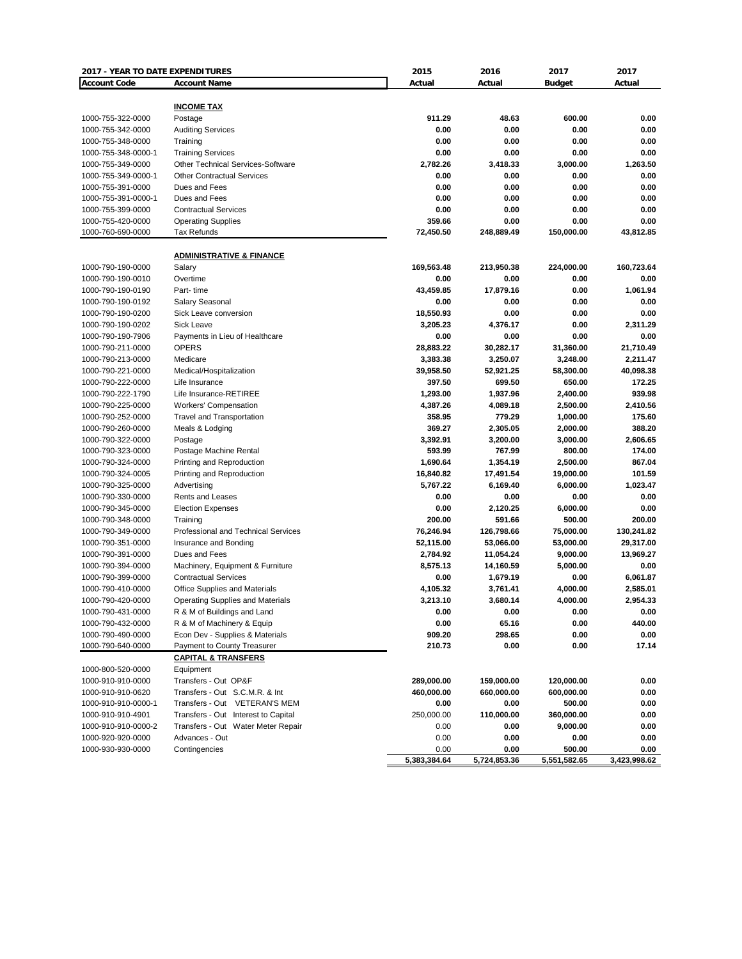| 2017 - YEAR TO DATE EXPENDITURES         |                                                                               | 2015                 | 2016             | 2017          | 2017             |
|------------------------------------------|-------------------------------------------------------------------------------|----------------------|------------------|---------------|------------------|
| <b>Account Code</b>                      | <b>Account Name</b>                                                           | Actual               | Actual           | <b>Budget</b> | Actual           |
|                                          |                                                                               |                      |                  |               |                  |
|                                          | <b>INCOME TAX</b>                                                             |                      |                  |               |                  |
| 1000-755-322-0000                        | Postage                                                                       | 911.29               | 48.63            | 600.00        | 0.00             |
| 1000-755-342-0000                        | <b>Auditing Services</b>                                                      | 0.00                 | 0.00             | 0.00          | 0.00             |
| 1000-755-348-0000                        | Training                                                                      | 0.00                 | 0.00             | 0.00          | 0.00             |
| 1000-755-348-0000-1                      | <b>Training Services</b>                                                      | 0.00                 | 0.00             | 0.00          | 0.00             |
| 1000-755-349-0000                        | <b>Other Technical Services-Software</b><br><b>Other Contractual Services</b> | 2,782.26<br>0.00     | 3,418.33<br>0.00 | 3,000.00      | 1,263.50<br>0.00 |
| 1000-755-349-0000-1<br>1000-755-391-0000 | Dues and Fees                                                                 | 0.00                 | 0.00             | 0.00<br>0.00  | 0.00             |
| 1000-755-391-0000-1                      | Dues and Fees                                                                 | 0.00                 | 0.00             | 0.00          | 0.00             |
| 1000-755-399-0000                        | <b>Contractual Services</b>                                                   | 0.00                 | 0.00             | 0.00          | 0.00             |
| 1000-755-420-0000                        | <b>Operating Supplies</b>                                                     | 359.66               | 0.00             | 0.00          | 0.00             |
| 1000-760-690-0000                        | <b>Tax Refunds</b>                                                            | 72,450.50            | 248,889.49       | 150,000.00    | 43,812.85        |
|                                          |                                                                               |                      |                  |               |                  |
|                                          | <b>ADMINISTRATIVE &amp; FINANCE</b>                                           |                      |                  |               |                  |
| 1000-790-190-0000                        | Salary                                                                        | 169,563.48           | 213,950.38       | 224,000.00    | 160,723.64       |
| 1000-790-190-0010                        | Overtime                                                                      | 0.00                 | 0.00             | 0.00          | 0.00             |
| 1000-790-190-0190                        | Part-time                                                                     | 43,459.85            | 17,879.16        | 0.00          | 1,061.94         |
| 1000-790-190-0192                        | <b>Salary Seasonal</b>                                                        | 0.00                 | 0.00             | 0.00          | 0.00             |
| 1000-790-190-0200                        | Sick Leave conversion                                                         | 18,550.93            | 0.00             | 0.00          | 0.00             |
| 1000-790-190-0202                        | Sick Leave                                                                    | 3,205.23             | 4,376.17         | 0.00          | 2,311.29         |
| 1000-790-190-7906                        | Payments in Lieu of Healthcare                                                | 0.00                 | 0.00             | 0.00          | 0.00             |
| 1000-790-211-0000                        | OPERS                                                                         | 28,883.22            | 30,282.17        | 31,360.00     | 21,710.49        |
| 1000-790-213-0000                        | Medicare                                                                      | 3,383.38             | 3,250.07         | 3,248.00      | 2.211.47         |
| 1000-790-221-0000                        | Medical/Hospitalization                                                       | 39,958.50            | 52,921.25        | 58,300.00     | 40,098.38        |
| 1000-790-222-0000                        | Life Insurance                                                                | 397.50               | 699.50           | 650.00        | 172.25           |
| 1000-790-222-1790                        | Life Insurance-RETIREE                                                        | 1,293.00             | 1,937.96         | 2,400.00      | 939.98           |
| 1000-790-225-0000                        | <b>Workers' Compensation</b>                                                  | 4,387.26             | 4,089.18         | 2,500.00      | 2,410.56         |
| 1000-790-252-0000                        | <b>Travel and Transportation</b>                                              | 358.95               | 779.29           | 1,000.00      | 175.60           |
| 1000-790-260-0000                        | Meals & Lodging                                                               | 369.27               | 2,305.05         | 2,000.00      | 388.20           |
| 1000-790-322-0000                        | Postage                                                                       | 3,392.91             | 3,200.00         | 3,000.00      | 2,606.65         |
| 1000-790-323-0000                        | Postage Machine Rental                                                        | 593.99               | 767.99           | 800.00        | 174.00           |
| 1000-790-324-0000                        | Printing and Reproduction                                                     | 1,690.64             | 1,354.19         | 2,500.00      | 867.04           |
| 1000-790-324-0005                        | Printing and Reproduction                                                     | 16,840.82            | 17,491.54        | 19,000.00     | 101.59           |
| 1000-790-325-0000                        | Advertising                                                                   | 5,767.22             | 6,169.40         | 6,000.00      | 1,023.47         |
| 1000-790-330-0000                        | Rents and Leases                                                              | 0.00                 | 0.00             | 0.00          | 0.00             |
| 1000-790-345-0000                        | <b>Election Expenses</b>                                                      | 0.00                 | 2,120.25         | 6,000.00      | 0.00             |
| 1000-790-348-0000                        | Training                                                                      | 200.00               | 591.66           | 500.00        | 200.00           |
| 1000-790-349-0000                        | Professional and Technical Services                                           | 76,246.94            | 126,798.66       | 75,000.00     | 130,241.82       |
| 1000-790-351-0000                        | Insurance and Bonding                                                         | 52,115.00            | 53,066.00        | 53,000.00     | 29,317.00        |
| 1000-790-391-0000                        | Dues and Fees                                                                 | 2,784.92             | 11,054.24        | 9,000.00      | 13,969.27        |
| 1000-790-394-0000                        | Machinery, Equipment & Furniture                                              | 8,575.13             | 14,160.59        | 5,000.00      | 0.00             |
| 1000-790-399-0000                        | <b>Contractual Services</b>                                                   | 0.00                 | 1,679.19         | 0.00          | 6,061.87         |
| 1000-790-410-0000                        | <b>Office Supplies and Materials</b>                                          | 4,105.32             | 3,761.41         | 4,000.00      | 2,585.01         |
| 1000-790-420-0000                        | Operating Supplies and Materials                                              | 3,213.10             | 3,680.14         | 4,000.00      | 2,954.33         |
| 1000-790-431-0000                        | R & M of Buildings and Land                                                   | 0.00                 | 0.00             | 0.00          | 0.00             |
| 1000-790-432-0000                        | R & M of Machinery & Equip                                                    | 0.00                 | 65.16            | 0.00          | 440.00           |
| 1000-790-490-0000                        | Econ Dev - Supplies & Materials                                               | 909.20               | 298.65           | 0.00          | 0.00             |
| 1000-790-640-0000                        | Payment to County Treasurer                                                   | 210.73               | 0.00             | 0.00          | 17.14            |
|                                          | <b>CAPITAL &amp; TRANSFERS</b>                                                |                      |                  |               |                  |
|                                          |                                                                               |                      |                  |               |                  |
| 1000-800-520-0000                        | Equipment<br>Transfers - Out OP&F                                             |                      |                  |               |                  |
| 1000-910-910-0000                        |                                                                               | 289,000.00           | 159,000.00       | 120,000.00    | 0.00             |
| 1000-910-910-0620                        | Transfers - Out S.C.M.R. & Int<br>Transfers - Out VETERAN'S MEM               | 460,000.00           | 660,000.00       | 600,000.00    | 0.00             |
| 1000-910-910-0000-1                      |                                                                               | 0.00                 | 0.00             | 500.00        | 0.00             |
| 1000-910-910-4901                        | Transfers - Out Interest to Capital                                           | 250,000.00           | 110,000.00       | 360,000.00    | 0.00             |
| 1000-910-910-0000-2                      | Transfers - Out Water Meter Repair                                            | 0.00                 | 0.00             | 9,000.00      | 0.00             |
| 1000-920-920-0000                        | Advances - Out                                                                | 0.00                 | 0.00             | 0.00          | 0.00             |
| 1000-930-930-0000                        | Contingencies                                                                 | 0.00<br>5,383,384.64 | 0.00             | 500.00        | 0.00             |
|                                          |                                                                               |                      | 5,724,853.36     | 5,551,582.65  | 3,423,998.62     |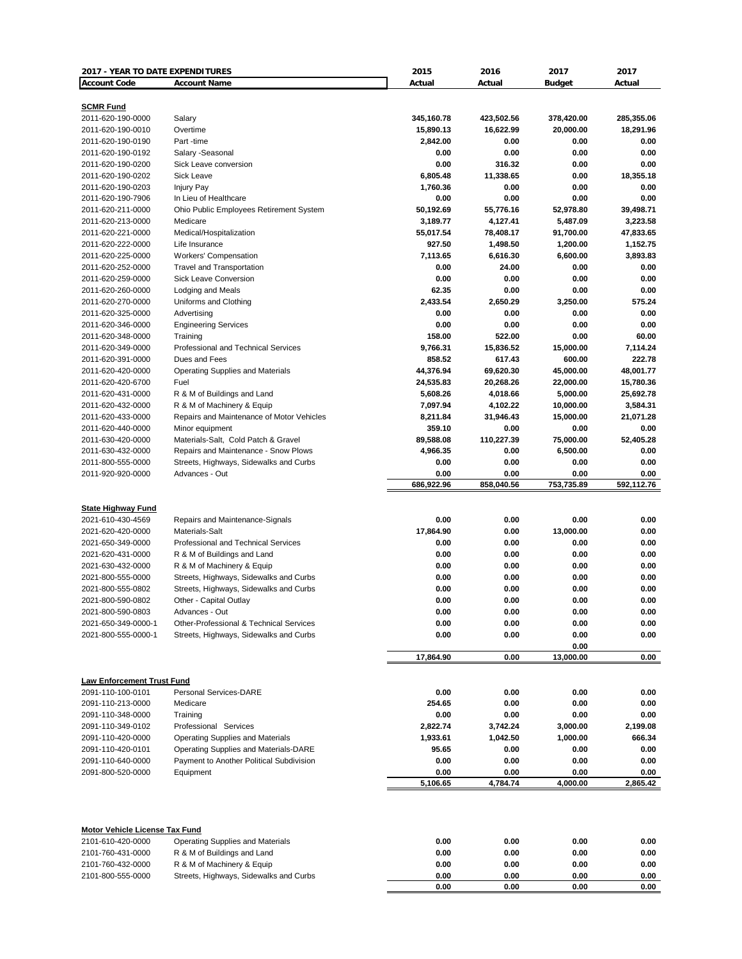| 2017 - YEAR TO DATE EXPENDITURES           |                                                 | 2015                    | 2016                    | 2017                    | 2017                    |
|--------------------------------------------|-------------------------------------------------|-------------------------|-------------------------|-------------------------|-------------------------|
| <b>Account Code</b>                        | <b>Account Name</b>                             | Actual                  | Actual                  | <b>Budget</b>           | Actual                  |
|                                            |                                                 |                         |                         |                         |                         |
| <b>SCMR Fund</b>                           |                                                 |                         |                         |                         |                         |
| 2011-620-190-0000<br>2011-620-190-0010     | Salary<br>Overtime                              | 345,160.78<br>15,890.13 | 423,502.56<br>16,622.99 | 378,420.00<br>20,000.00 | 285,355.06<br>18,291.96 |
| 2011-620-190-0190                          | Part-time                                       | 2,842.00                | 0.00                    | 0.00                    | 0.00                    |
| 2011-620-190-0192                          | Salary -Seasonal                                | 0.00                    | 0.00                    | 0.00                    | 0.00                    |
| 2011-620-190-0200                          | Sick Leave conversion                           | 0.00                    | 316.32                  | 0.00                    | 0.00                    |
| 2011-620-190-0202                          | Sick Leave                                      | 6,805.48                | 11,338.65               | 0.00                    | 18,355.18               |
| 2011-620-190-0203                          | <b>Injury Pay</b>                               | 1,760.36                | 0.00                    | 0.00                    | 0.00                    |
| 2011-620-190-7906                          | In Lieu of Healthcare                           | 0.00                    | 0.00                    | 0.00                    | 0.00                    |
| 2011-620-211-0000                          | Ohio Public Employees Retirement System         | 50,192.69               | 55,776.16               | 52,978.80               | 39,498.71               |
| 2011-620-213-0000                          | Medicare                                        | 3,189.77                | 4,127.41                | 5,487.09                | 3,223.58                |
| 2011-620-221-0000                          | Medical/Hospitalization                         | 55,017.54               | 78,408.17               | 91,700.00               | 47,833.65               |
| 2011-620-222-0000                          | Life Insurance                                  | 927.50                  | 1,498.50                | 1,200.00                | 1,152.75                |
| 2011-620-225-0000                          | Workers' Compensation                           | 7,113.65                | 6,616.30                | 6,600.00                | 3,893.83                |
| 2011-620-252-0000                          | <b>Travel and Transportation</b>                | 0.00                    | 24.00                   | 0.00                    | 0.00                    |
| 2011-620-259-0000                          | <b>Sick Leave Conversion</b>                    | 0.00                    | 0.00                    | 0.00                    | 0.00                    |
| 2011-620-260-0000                          | Lodging and Meals                               | 62.35                   | 0.00                    | 0.00                    | 0.00                    |
| 2011-620-270-0000                          | Uniforms and Clothing                           | 2,433.54                | 2,650.29                | 3,250.00                | 575.24                  |
| 2011-620-325-0000                          | Advertising                                     | 0.00                    | 0.00                    | 0.00                    | 0.00                    |
| 2011-620-346-0000                          | <b>Engineering Services</b>                     | 0.00                    | 0.00                    | 0.00                    | 0.00                    |
| 2011-620-348-0000                          | Training                                        | 158.00                  | 522.00                  | 0.00                    | 60.00                   |
| 2011-620-349-0000                          | Professional and Technical Services             | 9,766.31                | 15,836.52               | 15,000.00               | 7,114.24                |
| 2011-620-391-0000                          | Dues and Fees                                   | 858.52                  | 617.43<br>69,620.30     | 600.00                  | 222.78                  |
| 2011-620-420-0000<br>2011-620-420-6700     | <b>Operating Supplies and Materials</b><br>Fuel | 44,376.94               |                         | 45,000.00               | 48,001.77               |
| 2011-620-431-0000                          | R & M of Buildings and Land                     | 24,535.83<br>5,608.26   | 20,268.26<br>4,018.66   | 22,000.00<br>5,000.00   | 15,780.36<br>25,692.78  |
| 2011-620-432-0000                          | R & M of Machinery & Equip                      | 7,097.94                | 4,102.22                | 10,000.00               | 3,584.31                |
| 2011-620-433-0000                          | Repairs and Maintenance of Motor Vehicles       | 8,211.84                | 31,946.43               | 15,000.00               | 21,071.28               |
| 2011-620-440-0000                          | Minor equipment                                 | 359.10                  | 0.00                    | 0.00                    | 0.00                    |
| 2011-630-420-0000                          | Materials-Salt, Cold Patch & Gravel             | 89,588.08               | 110,227.39              | 75,000.00               | 52,405.28               |
| 2011-630-432-0000                          | Repairs and Maintenance - Snow Plows            | 4,966.35                | 0.00                    | 6,500.00                | 0.00                    |
| 2011-800-555-0000                          | Streets, Highways, Sidewalks and Curbs          | 0.00                    | 0.00                    | 0.00                    | 0.00                    |
| 2011-920-920-0000                          | Advances - Out                                  | 0.00                    | 0.00                    | 0.00                    | 0.00                    |
|                                            |                                                 | 686,922.96              | 858,040.56              | 753,735.89              | 592,112.76              |
|                                            |                                                 |                         |                         |                         |                         |
| <b>State Highway Fund</b>                  |                                                 |                         |                         |                         |                         |
| 2021-610-430-4569                          | Repairs and Maintenance-Signals                 | 0.00                    | 0.00                    | 0.00                    | 0.00                    |
| 2021-620-420-0000                          | Materials-Salt                                  | 17,864.90               | 0.00                    | 13,000.00               | 0.00                    |
| 2021-650-349-0000                          | Professional and Technical Services             | 0.00                    | 0.00                    | 0.00                    | 0.00                    |
| 2021-620-431-0000                          | R & M of Buildings and Land                     | 0.00                    | 0.00                    | 0.00                    | 0.00                    |
| 2021-630-432-0000                          | R & M of Machinery & Equip                      | 0.00                    | 0.00                    | 0.00                    | 0.00                    |
| 2021-800-555-0000                          | Streets, Highways, Sidewalks and Curbs          | 0.00                    | 0.00                    | 0.00                    | 0.00                    |
| 2021-800-555-0802                          | Streets, Highways, Sidewalks and Curbs          | 0.00                    | 0.00                    | 0.00                    | 0.00                    |
| 2021-800-590-0802                          | Other - Capital Outlay                          | 0.00                    | 0.00                    | 0.00                    | 0.00                    |
| 2021-800-590-0803                          | Advances - Out                                  | 0.00                    | 0.00                    | 0.00                    | 0.00                    |
| 2021-650-349-0000-1<br>2021-800-555-0000-1 | Other-Professional & Technical Services         | 0.00                    | 0.00                    | 0.00                    | 0.00<br>0.00            |
|                                            | Streets, Highways, Sidewalks and Curbs          | 0.00                    | 0.00                    | 0.00<br>0.00            |                         |
|                                            |                                                 | 17,864.90               | 0.00                    | 13,000.00               | 0.00                    |
|                                            |                                                 |                         |                         |                         |                         |
| <b>Law Enforcement Trust Fund</b>          |                                                 |                         |                         |                         |                         |
| 2091-110-100-0101                          | <b>Personal Services-DARE</b>                   | 0.00                    | 0.00                    | 0.00                    | 0.00                    |
| 2091-110-213-0000                          | Medicare                                        | 254.65                  | 0.00                    | 0.00                    | 0.00                    |
| 2091-110-348-0000                          | Training                                        | 0.00                    | 0.00                    | 0.00                    | 0.00                    |
| 2091-110-349-0102                          | Professional Services                           | 2,822.74                | 3,742.24                | 3,000.00                | 2,199.08                |
| 2091-110-420-0000                          | <b>Operating Supplies and Materials</b>         | 1,933.61                | 1,042.50                | 1,000.00                | 666.34                  |
| 2091-110-420-0101                          | Operating Supplies and Materials-DARE           | 95.65                   | 0.00                    | 0.00                    | 0.00                    |
| 2091-110-640-0000                          | Payment to Another Political Subdivision        | 0.00                    | 0.00                    | 0.00                    | 0.00                    |
| 2091-800-520-0000                          | Equipment                                       | 0.00                    | 0.00                    | 0.00                    | 0.00                    |
|                                            |                                                 | 5,106.65                | 4,784.74                | 4,000.00                | 2,865.42                |
|                                            |                                                 |                         |                         |                         |                         |
| Motor Vehicle License Tax Fund             |                                                 |                         |                         |                         |                         |
| 2101-610-420-0000                          | Operating Supplies and Materials                | 0.00                    | 0.00                    | 0.00                    | 0.00                    |
| 2101-760-431-0000                          | R & M of Buildings and Land                     | 0.00                    | 0.00                    | 0.00                    | 0.00                    |
| 2101-760-432-0000                          | R & M of Machinery & Equip                      | 0.00                    | 0.00                    | 0.00                    | 0.00                    |
| 2101-800-555-0000                          | Streets, Highways, Sidewalks and Curbs          | 0.00                    | 0.00                    | 0.00                    | 0.00                    |
|                                            |                                                 | 0.00                    | 0.00                    | 0.00                    | 0.00                    |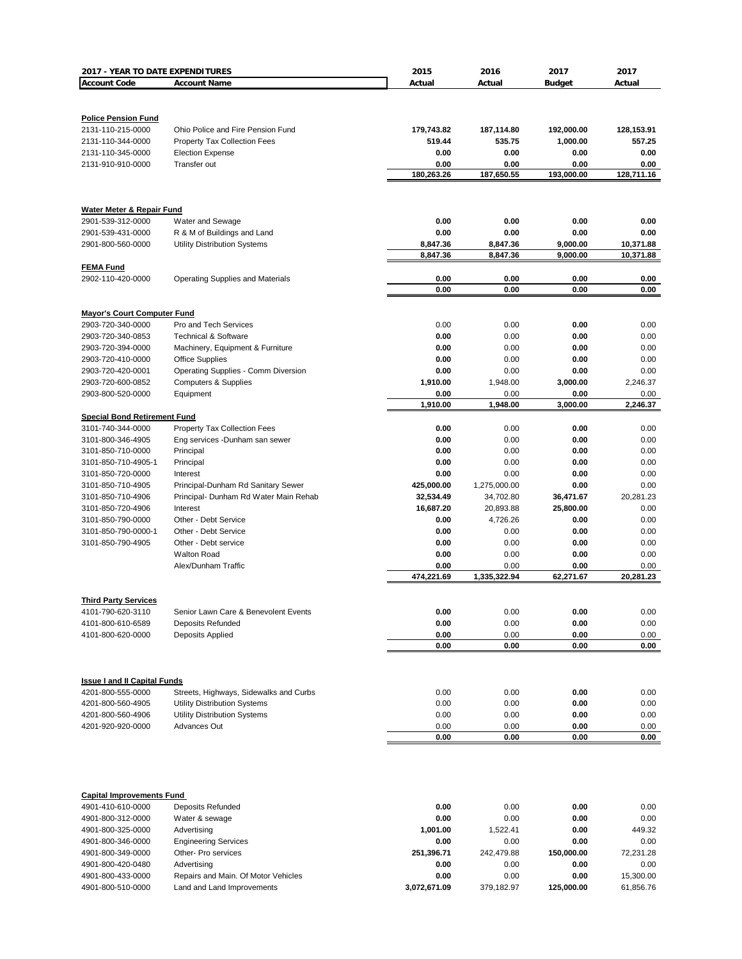| 2017 - YEAR TO DATE EXPENDITURES       |                                                                             | 2015                    | 2016                      | 2017                   | 2017                   |
|----------------------------------------|-----------------------------------------------------------------------------|-------------------------|---------------------------|------------------------|------------------------|
| <b>Account Code</b>                    | <b>Account Name</b>                                                         | Actual                  | Actual                    | <b>Budget</b>          | Actual                 |
|                                        |                                                                             |                         |                           |                        |                        |
|                                        |                                                                             |                         |                           |                        |                        |
| <b>Police Pension Fund</b>             | Ohio Police and Fire Pension Fund                                           | 179,743.82              |                           |                        |                        |
| 2131-110-215-0000<br>2131-110-344-0000 | <b>Property Tax Collection Fees</b>                                         | 519.44                  | 187,114.80<br>535.75      | 192,000.00<br>1,000.00 | 128,153.91<br>557.25   |
| 2131-110-345-0000                      | <b>Election Expense</b>                                                     | 0.00                    | 0.00                      | 0.00                   | 0.00                   |
| 2131-910-910-0000                      | Transfer out                                                                | 0.00                    | 0.00                      | 0.00                   | 0.00                   |
|                                        |                                                                             | 180,263.26              | 187,650.55                | 193,000.00             | 128,711.16             |
|                                        |                                                                             |                         |                           |                        |                        |
|                                        |                                                                             |                         |                           |                        |                        |
| <b>Water Meter &amp; Repair Fund</b>   |                                                                             |                         |                           |                        |                        |
| 2901-539-312-0000                      | Water and Sewage                                                            | 0.00                    | 0.00                      | 0.00                   | 0.00                   |
| 2901-539-431-0000<br>2901-800-560-0000 | R & M of Buildings and Land                                                 | 0.00                    | 0.00                      | 0.00<br>9,000.00       | 0.00                   |
|                                        | <b>Utility Distribution Systems</b>                                         | 8,847.36<br>8,847.36    | 8,847.36<br>8,847.36      | 9,000.00               | 10,371.88<br>10,371.88 |
| <b>FEMA Fund</b>                       |                                                                             |                         |                           |                        |                        |
| 2902-110-420-0000                      | <b>Operating Supplies and Materials</b>                                     | 0.00                    | 0.00                      | 0.00                   | 0.00                   |
|                                        |                                                                             | 0.00                    | 0.00                      | 0.00                   | 0.00                   |
|                                        |                                                                             |                         |                           |                        |                        |
| <b>Mayor's Court Computer Fund</b>     |                                                                             |                         |                           |                        |                        |
| 2903-720-340-0000                      | Pro and Tech Services                                                       | 0.00                    | 0.00                      | 0.00                   | 0.00                   |
| 2903-720-340-0853                      | <b>Technical &amp; Software</b>                                             | 0.00                    | 0.00                      | 0.00                   | 0.00                   |
| 2903-720-394-0000                      | Machinery, Equipment & Furniture                                            | 0.00<br>0.00            | 0.00<br>0.00              | 0.00                   | 0.00<br>0.00           |
| 2903-720-410-0000<br>2903-720-420-0001 | <b>Office Supplies</b><br>Operating Supplies - Comm Diversion               | 0.00                    | 0.00                      | 0.00<br>0.00           | 0.00                   |
| 2903-720-600-0852                      | <b>Computers &amp; Supplies</b>                                             | 1,910.00                | 1,948.00                  | 3,000.00               | 2,246.37               |
| 2903-800-520-0000                      | Equipment                                                                   | 0.00                    | 0.00                      | 0.00                   | 0.00                   |
|                                        |                                                                             | 1,910.00                | 1,948.00                  | 3,000.00               | 2,246.37               |
| <b>Special Bond Retirement Fund</b>    |                                                                             |                         |                           |                        |                        |
| 3101-740-344-0000                      | <b>Property Tax Collection Fees</b>                                         | 0.00                    | 0.00                      | 0.00                   | 0.00                   |
| 3101-800-346-4905                      | Eng services -Dunham san sewer                                              | 0.00                    | 0.00                      | 0.00                   | 0.00                   |
| 3101-850-710-0000                      | Principal                                                                   | 0.00                    | 0.00                      | 0.00                   | 0.00                   |
| 3101-850-710-4905-1                    | Principal                                                                   | 0.00                    | 0.00                      | 0.00                   | 0.00                   |
| 3101-850-720-0000                      | Interest                                                                    | 0.00                    | 0.00                      | 0.00                   | 0.00<br>0.00           |
| 3101-850-710-4905<br>3101-850-710-4906 | Principal-Dunham Rd Sanitary Sewer<br>Principal- Dunham Rd Water Main Rehab | 425,000.00<br>32,534.49 | 1,275,000.00<br>34,702.80 | 0.00<br>36,471.67      | 20,281.23              |
| 3101-850-720-4906                      | Interest                                                                    | 16,687.20               | 20,893.88                 | 25,800.00              | 0.00                   |
| 3101-850-790-0000                      | Other - Debt Service                                                        | 0.00                    | 4,726.26                  | 0.00                   | 0.00                   |
| 3101-850-790-0000-1                    | Other - Debt Service                                                        | 0.00                    | 0.00                      | 0.00                   | 0.00                   |
| 3101-850-790-4905                      | Other - Debt service                                                        | 0.00                    | 0.00                      | 0.00                   | 0.00                   |
|                                        | <b>Walton Road</b>                                                          | 0.00                    | 0.00                      | 0.00                   | 0.00                   |
|                                        | Alex/Dunham Traffic                                                         | 0.00                    | 0.00                      | 0.00                   | 0.00                   |
|                                        |                                                                             | 474,221.69              | 1,335,322.94              | 62,271.67              | 20,281.23              |
| <b>Third Party Services</b>            |                                                                             |                         |                           |                        |                        |
| 4101-790-620-3110                      | Senior Lawn Care & Benevolent Events                                        | 0.00                    | 0.00                      | 0.00                   | 0.00                   |
| 4101-800-610-6589                      | <b>Deposits Refunded</b>                                                    | 0.00                    | 0.00                      | 0.00                   | 0.00                   |
| 4101-800-620-0000                      | Deposits Applied                                                            | 0.00                    | 0.00                      | 0.00                   | 0.00                   |
|                                        |                                                                             | 0.00                    | 0.00                      | 0.00                   | 0.00                   |
|                                        |                                                                             |                         |                           |                        |                        |
|                                        |                                                                             |                         |                           |                        |                        |
| <b>Issue I and II Capital Funds</b>    |                                                                             |                         |                           |                        |                        |
| 4201-800-555-0000                      | Streets, Highways, Sidewalks and Curbs                                      | 0.00                    | 0.00                      | 0.00                   | 0.00                   |
| 4201-800-560-4905<br>4201-800-560-4906 | <b>Utility Distribution Systems</b><br><b>Utility Distribution Systems</b>  | 0.00<br>0.00            | 0.00<br>0.00              | 0.00<br>0.00           | 0.00<br>0.00           |
| 4201-920-920-0000                      | <b>Advances Out</b>                                                         | 0.00                    | 0.00                      | 0.00                   | 0.00                   |
|                                        |                                                                             | 0.00                    | 0.00                      | 0.00                   | 0.00                   |
|                                        |                                                                             |                         |                           |                        |                        |
|                                        |                                                                             |                         |                           |                        |                        |
|                                        |                                                                             |                         |                           |                        |                        |
| <b>Capital Improvements Fund</b>       |                                                                             |                         |                           |                        |                        |
| 4901-410-610-0000                      | Deposits Refunded                                                           | 0.00                    | 0.00                      | 0.00                   | 0.00                   |
| 4901-800-312-0000                      | Water & sewage                                                              | 0.00                    | 0.00                      | 0.00                   | 0.00                   |
| 4901-800-325-0000                      | Advertising                                                                 | 1,001.00                | 1,522.41                  | 0.00                   | 449.32                 |
| 4901-800-346-0000                      | <b>Engineering Services</b>                                                 | 0.00                    | 0.00                      | 0.00                   | 0.00                   |
| 4901-800-349-0000                      | Other- Pro services                                                         | 251,396.71              | 242,479.88                | 150,000.00             | 72,231.28              |
| 4901-800-420-0480<br>4901-800-433-0000 | Advertising<br>Repairs and Main. Of Motor Vehicles                          | 0.00<br>0.00            | 0.00<br>0.00              | 0.00<br>0.00           | 0.00<br>15,300.00      |
| 4901-800-510-0000                      | Land and Land Improvements                                                  | 3,072,671.09            | 379,182.97                | 125,000.00             | 61,856.76              |
|                                        |                                                                             |                         |                           |                        |                        |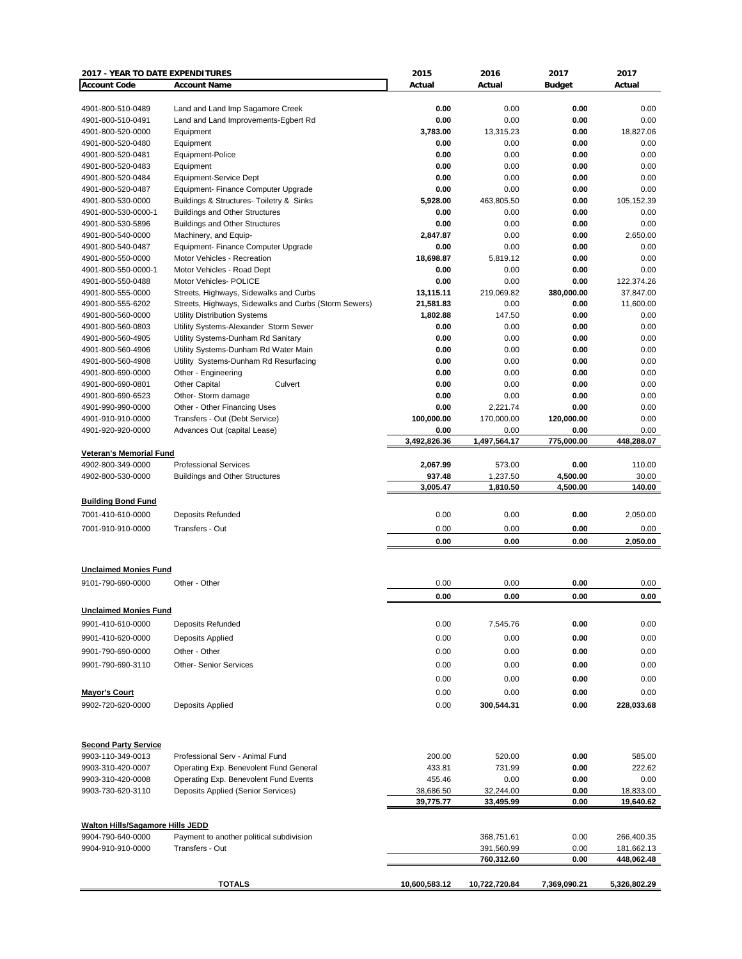| 2017 - YEAR TO DATE EXPENDITURES        |                                                               | 2015               | 2016               | 2017             | 2017            |
|-----------------------------------------|---------------------------------------------------------------|--------------------|--------------------|------------------|-----------------|
| <b>Account Code</b>                     | <b>Account Name</b>                                           | Actual             | Actual             | <b>Budget</b>    | Actual          |
|                                         |                                                               |                    |                    |                  |                 |
| 4901-800-510-0489                       | Land and Land Imp Sagamore Creek                              | 0.00               | 0.00               | 0.00             | 0.00            |
| 4901-800-510-0491                       | Land and Land Improvements-Egbert Rd                          | 0.00               | 0.00               | 0.00             | 0.00            |
| 4901-800-520-0000                       | Equipment                                                     | 3,783.00           | 13,315.23          | 0.00             | 18,827.06       |
| 4901-800-520-0480                       | Equipment                                                     | 0.00               | 0.00               | 0.00             | 0.00            |
| 4901-800-520-0481                       | Equipment-Police                                              | 0.00               | 0.00               | 0.00             | 0.00            |
| 4901-800-520-0483                       | Equipment                                                     | 0.00<br>0.00       | 0.00<br>0.00       | 0.00             | 0.00<br>0.00    |
| 4901-800-520-0484<br>4901-800-520-0487  | Equipment-Service Dept<br>Equipment- Finance Computer Upgrade | 0.00               | 0.00               | 0.00<br>0.00     | 0.00            |
| 4901-800-530-0000                       | Buildings & Structures- Toiletry & Sinks                      | 5,928.00           | 463,805.50         | 0.00             | 105,152.39      |
| 4901-800-530-0000-1                     | <b>Buildings and Other Structures</b>                         | 0.00               | 0.00               | 0.00             | 0.00            |
| 4901-800-530-5896                       | <b>Buildings and Other Structures</b>                         | 0.00               | 0.00               | 0.00             | 0.00            |
| 4901-800-540-0000                       | Machinery, and Equip-                                         | 2,847.87           | 0.00               | 0.00             | 2,650.00        |
| 4901-800-540-0487                       | Equipment- Finance Computer Upgrade                           | 0.00               | 0.00               | 0.00             | 0.00            |
| 4901-800-550-0000                       | Motor Vehicles - Recreation                                   | 18,698.87          | 5,819.12           | 0.00             | 0.00            |
| 4901-800-550-0000-1                     | Motor Vehicles - Road Dept                                    | 0.00               | 0.00               | 0.00             | 0.00            |
| 4901-800-550-0488                       | Motor Vehicles- POLICE                                        | 0.00               | 0.00               | 0.00             | 122,374.26      |
| 4901-800-555-0000                       | Streets, Highways, Sidewalks and Curbs                        | 13,115.11          | 219,069.82         | 380,000.00       | 37,847.00       |
| 4901-800-555-6202                       | Streets, Highways, Sidewalks and Curbs (Storm Sewers)         | 21,581.83          | 0.00               | 0.00             | 11,600.00       |
| 4901-800-560-0000                       | Utility Distribution Systems                                  | 1,802.88           | 147.50             | 0.00             | 0.00            |
| 4901-800-560-0803                       | Utility Systems-Alexander Storm Sewer                         | 0.00               | 0.00               | 0.00             | 0.00            |
| 4901-800-560-4905                       | Utility Systems-Dunham Rd Sanitary                            | 0.00               | 0.00               | 0.00             | 0.00            |
| 4901-800-560-4906                       | Utility Systems-Dunham Rd Water Main                          | 0.00               | 0.00               | 0.00             | 0.00            |
| 4901-800-560-4908                       | Utility Systems-Dunham Rd Resurfacing                         | 0.00               | 0.00               | 0.00             | 0.00            |
| 4901-800-690-0000                       | Other - Engineering                                           | 0.00               | 0.00               | 0.00             | 0.00            |
| 4901-800-690-0801                       | <b>Other Capital</b><br>Culvert                               | 0.00               | 0.00               | 0.00             | 0.00            |
| 4901-800-690-6523                       | Other-Storm damage                                            | 0.00               | 0.00               | 0.00             | 0.00            |
| 4901-990-990-0000                       | Other - Other Financing Uses                                  | 0.00               | 2,221.74           | 0.00             | 0.00            |
| 4901-910-910-0000                       | Transfers - Out (Debt Service)                                | 100,000.00         | 170,000.00         | 120,000.00       | 0.00            |
| 4901-920-920-0000                       | Advances Out (capital Lease)                                  | 0.00               | 0.00               | 0.00             | 0.00            |
|                                         |                                                               | 3,492,826.36       | 1,497,564.17       | 775,000.00       | 448,288.07      |
| <b>Veteran's Memorial Fund</b>          |                                                               |                    |                    |                  |                 |
| 4902-800-349-0000<br>4902-800-530-0000  | <b>Professional Services</b>                                  | 2,067.99<br>937.48 | 573.00<br>1,237.50 | 0.00<br>4,500.00 | 110.00          |
|                                         | <b>Buildings and Other Structures</b>                         | 3,005.47           | 1,810.50           | 4,500.00         | 30.00<br>140.00 |
| <b>Building Bond Fund</b>               |                                                               |                    |                    |                  |                 |
|                                         |                                                               |                    |                    |                  |                 |
| 7001-410-610-0000                       | <b>Deposits Refunded</b>                                      | 0.00               | 0.00               | 0.00             | 2,050.00        |
| 7001-910-910-0000                       | Transfers - Out                                               | 0.00               | 0.00               | 0.00             | 0.00            |
|                                         |                                                               | 0.00               | 0.00               | 0.00             | 2,050.00        |
|                                         |                                                               |                    |                    |                  |                 |
| <b>Unclaimed Monies Fund</b>            |                                                               |                    |                    |                  |                 |
| 9101-790-690-0000                       | Other - Other                                                 | 0.00               | 0.00               | 0.00             | 0.00            |
|                                         |                                                               | 0.00               | 0.00               | 0.00             | 0.00            |
| <b>Unclaimed Monies Fund</b>            |                                                               |                    |                    |                  |                 |
| 9901-410-610-0000                       | <b>Deposits Refunded</b>                                      | 0.00               | 7,545.76           | 0.00             | 0.00            |
| 9901-410-620-0000                       | Deposits Applied                                              | 0.00               | 0.00               | 0.00             | 0.00            |
|                                         |                                                               |                    |                    |                  |                 |
| 9901-790-690-0000                       | Other - Other                                                 | 0.00               | 0.00               | 0.00             | 0.00            |
| 9901-790-690-3110                       | <b>Other-Senior Services</b>                                  | 0.00               | 0.00               | 0.00             | 0.00            |
|                                         |                                                               | 0.00               | 0.00               | 0.00             | 0.00            |
| <b>Mayor's Court</b>                    |                                                               | 0.00               | 0.00               | 0.00             | 0.00            |
| 9902-720-620-0000                       | <b>Deposits Applied</b>                                       | 0.00               | 300,544.31         | 0.00             | 228,033.68      |
|                                         |                                                               |                    |                    |                  |                 |
|                                         |                                                               |                    |                    |                  |                 |
| <b>Second Party Service</b>             |                                                               |                    |                    |                  |                 |
| 9903-110-349-0013                       | Professional Serv - Animal Fund                               | 200.00             | 520.00             | 0.00             | 585.00          |
| 9903-310-420-0007                       | Operating Exp. Benevolent Fund General                        | 433.81             | 731.99             | 0.00             | 222.62          |
| 9903-310-420-0008                       | Operating Exp. Benevolent Fund Events                         | 455.46             | 0.00               | 0.00             | 0.00            |
| 9903-730-620-3110                       | Deposits Applied (Senior Services)                            | 38,686.50          | 32,244.00          | 0.00             | 18,833.00       |
|                                         |                                                               | 39,775.77          | 33,495.99          | 0.00             | 19,640.62       |
|                                         |                                                               |                    |                    |                  |                 |
| <b>Walton Hills/Sagamore Hills JEDD</b> |                                                               |                    |                    |                  |                 |
| 9904-790-640-0000                       | Payment to another political subdivision                      |                    | 368,751.61         | 0.00             | 266,400.35      |
| 9904-910-910-0000                       | Transfers - Out                                               |                    | 391,560.99         | 0.00             | 181,662.13      |
|                                         |                                                               |                    | 760,312.60         | 0.00             | 448,062.48      |
|                                         | <b>TOTALS</b>                                                 | 10,600,583.12      | 10,722,720.84      | 7,369,090.21     | 5,326,802.29    |
|                                         |                                                               |                    |                    |                  |                 |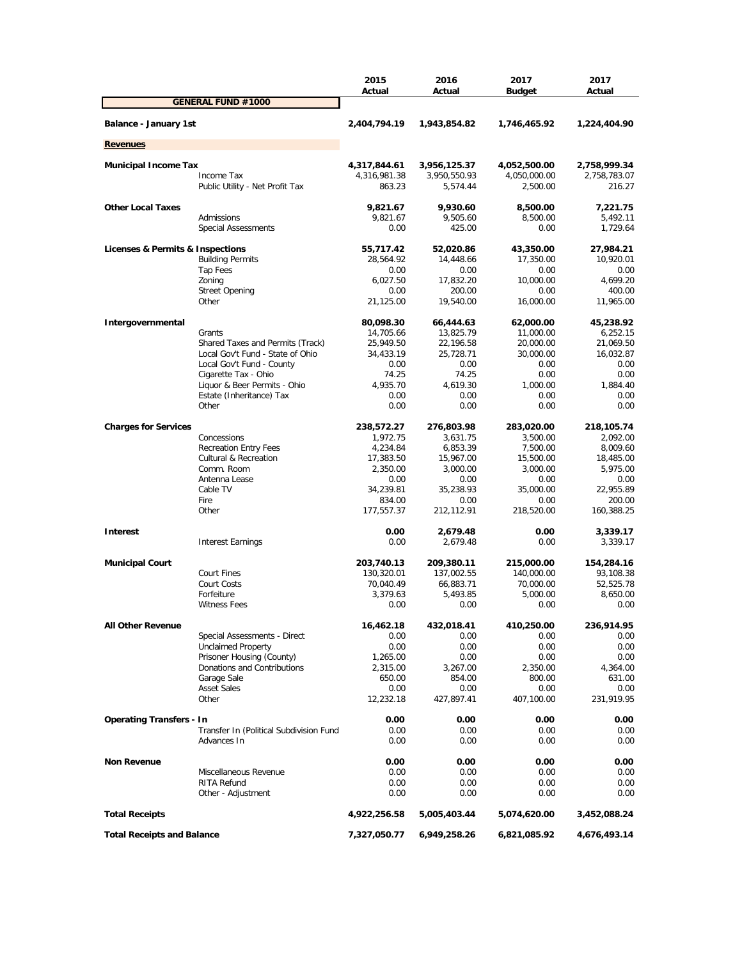|                                         | 2015<br>Actual | 2016<br>Actual | 2017<br><b>Budget</b> | 2017<br>Actual |
|-----------------------------------------|----------------|----------------|-----------------------|----------------|
| <b>GENERAL FUND #1000</b>               |                |                |                       |                |
| Balance - January 1st                   | 2,404,794.19   | 1,943,854.82   | 1,746,465.92          | 1,224,404.90   |
| <b>Revenues</b>                         |                |                |                       |                |
| <b>Municipal Income Tax</b>             | 4,317,844.61   | 3,956,125.37   | 4,052,500.00          | 2,758,999.34   |
| Income Tax                              | 4,316,981.38   | 3,950,550.93   | 4,050,000.00          | 2,758,783.07   |
| Public Utility - Net Profit Tax         | 863.23         | 5,574.44       | 2,500.00              | 216.27         |
| <b>Other Local Taxes</b>                | 9,821.67       | 9,930.60       | 8,500.00              | 7,221.75       |
| Admissions                              | 9,821.67       | 9,505.60       | 8,500.00              | 5,492.11       |
| <b>Special Assessments</b>              | 0.00           | 425.00         | 0.00                  | 1,729.64       |
| Licenses & Permits & Inspections        | 55,717.42      | 52,020.86      | 43,350.00             | 27,984.21      |
| <b>Building Permits</b>                 | 28,564.92      | 14,448.66      | 17,350.00             | 10,920.01      |
| Tap Fees                                | 0.00           | 0.00           | 0.00                  | 0.00           |
| Zoning                                  | 6,027.50       | 17,832.20      | 10,000.00             | 4,699.20       |
| <b>Street Opening</b>                   | 0.00           | 200.00         | 0.00                  | 400.00         |
| Other                                   | 21,125.00      | 19,540.00      | 16,000.00             | 11,965.00      |
| Intergovernmental                       | 80,098.30      | 66,444.63      | 62,000.00             | 45,238.92      |
| Grants                                  | 14,705.66      | 13,825.79      | 11,000.00             | 6,252.15       |
| Shared Taxes and Permits (Track)        | 25,949.50      | 22,196.58      | 20,000.00             | 21,069.50      |
| Local Gov't Fund - State of Ohio        | 34,433.19      | 25,728.71      | 30,000.00             | 16,032.87      |
| Local Gov't Fund - County               | 0.00           | 0.00           | 0.00                  | 0.00           |
| Cigarette Tax - Ohio                    | 74.25          | 74.25          | 0.00                  | 0.00           |
| Liquor & Beer Permits - Ohio            | 4,935.70       | 4,619.30       | 1.000.00              | 1,884.40       |
| Estate (Inheritance) Tax                | 0.00           | 0.00           | 0.00                  | 0.00           |
| Other                                   | 0.00           | 0.00           | 0.00                  | 0.00           |
| <b>Charges for Services</b>             | 238,572.27     | 276,803.98     | 283,020.00            | 218,105.74     |
| Concessions                             | 1,972.75       | 3,631.75       | 3,500.00              | 2,092.00       |
| <b>Recreation Entry Fees</b>            | 4,234.84       | 6,853.39       | 7,500.00              | 8,009.60       |
| <b>Cultural &amp; Recreation</b>        | 17,383.50      | 15,967.00      | 15,500.00             | 18,485.00      |
| Comm. Room                              | 2,350.00       | 3,000.00       | 3,000.00              | 5,975.00       |
| Antenna Lease                           | 0.00           | 0.00           | 0.00                  | 0.00           |
| Cable TV                                | 34,239.81      | 35,238.93      | 35,000.00             | 22,955.89      |
| Fire                                    | 834.00         | 0.00           | 0.00                  | 200.00         |
| Other                                   | 177,557.37     | 212,112.91     | 218,520.00            | 160,388.25     |
| <b>Interest</b>                         | 0.00           | 2,679.48       | 0.00                  | 3,339.17       |
| <b>Interest Earnings</b>                | 0.00           | 2,679.48       | 0.00                  | 3,339.17       |
| <b>Municipal Court</b>                  | 203,740.13     | 209,380.11     | 215,000.00            | 154,284.16     |
| Court Fines                             | 130,320.01     | 137,002.55     | 140,000.00            | 93,108.38      |
| Court Costs                             | 70,040.49      | 66,883.71      | 70,000.00             | 52,525.78      |
| Forfeiture                              | 3,379.63       | 5,493.85       | 5,000.00              | 8,650.00       |
| <b>Witness Fees</b>                     | 0.00           | 0.00           | 0.00                  | 0.00           |
| <b>All Other Revenue</b>                | 16,462.18      | 432,018.41     | 410,250.00            | 236,914.95     |
| Special Assessments - Direct            | 0.00           | 0.00           | 0.00                  | 0.00           |
| <b>Unclaimed Property</b>               | 0.00           | 0.00           | 0.00                  | 0.00           |
| Prisoner Housing (County)               | 1,265.00       | 0.00           | 0.00                  | 0.00           |
| Donations and Contributions             | 2,315.00       | 3,267.00       | 2,350.00              | 4,364.00       |
| Garage Sale                             | 650.00         | 854.00         | 800.00                | 631.00         |
| <b>Asset Sales</b>                      | 0.00           | 0.00           | 0.00                  | 0.00           |
| Other                                   | 12,232.18      | 427,897.41     | 407,100.00            | 231,919.95     |
| <b>Operating Transfers - In</b>         | 0.00           | 0.00           | 0.00                  | 0.00           |
| Transfer In (Political Subdivision Fund | 0.00           | 0.00           | 0.00                  | 0.00           |
| Advances In                             | 0.00           | 0.00           | 0.00                  | 0.00           |
| <b>Non Revenue</b>                      | 0.00           | 0.00           | 0.00                  | 0.00           |
| Miscellaneous Revenue                   | 0.00           | 0.00           | 0.00                  | 0.00           |
| RITA Refund                             | 0.00           | 0.00           | 0.00                  | 0.00           |
| Other - Adjustment                      | 0.00           | 0.00           | 0.00                  | 0.00           |
| <b>Total Receipts</b>                   | 4,922,256.58   | 5,005,403.44   | 5,074,620.00          | 3,452,088.24   |
| <b>Total Receipts and Balance</b>       | 7,327,050.77   | 6,949,258.26   | 6,821,085.92          | 4,676,493.14   |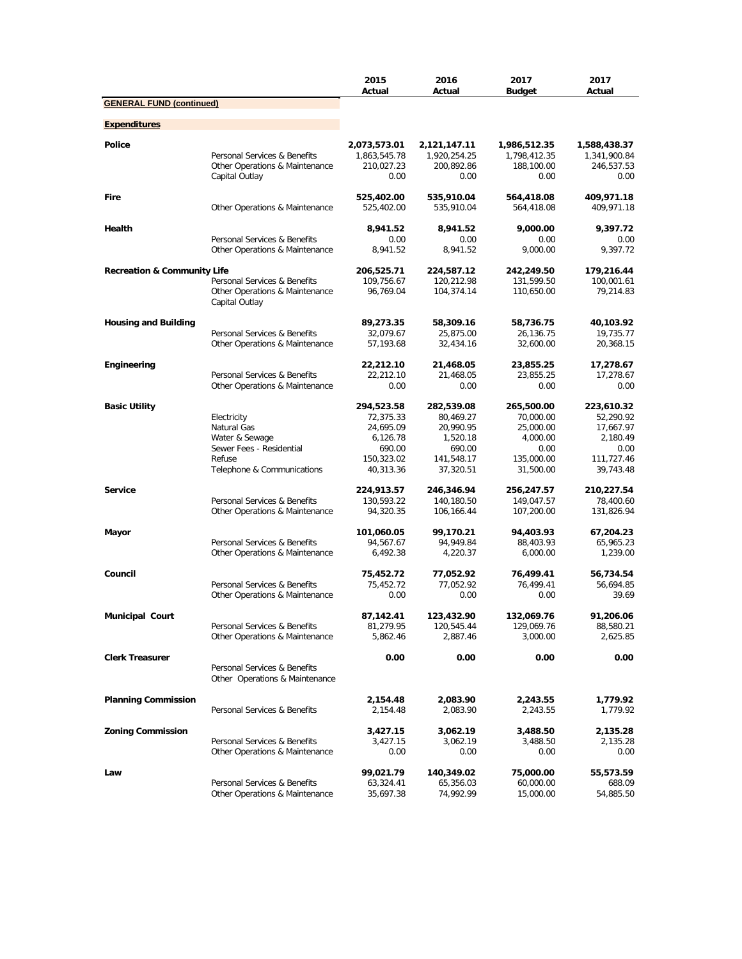|                                        |                                | 2015<br>Actual               | 2016<br>Actual               | 2017<br><b>Budget</b>        | 2017<br>Actual             |
|----------------------------------------|--------------------------------|------------------------------|------------------------------|------------------------------|----------------------------|
| <b>GENERAL FUND (continued)</b>        |                                |                              |                              |                              |                            |
| <b>Expenditures</b>                    |                                |                              |                              |                              |                            |
|                                        |                                |                              |                              |                              |                            |
| <b>Police</b>                          | Personal Services & Benefits   | 2,073,573.01<br>1,863,545.78 | 2,121,147.11<br>1,920,254.25 | 1,986,512.35<br>1,798,412.35 | 1,588,438.37               |
|                                        | Other Operations & Maintenance | 210,027.23                   | 200,892.86                   | 188,100.00                   | 1,341,900.84<br>246,537.53 |
|                                        | Capital Outlay                 | 0.00                         | 0.00                         | 0.00                         | 0.00                       |
|                                        |                                |                              |                              |                              |                            |
| Fire                                   |                                | 525,402.00                   | 535,910.04                   | 564,418.08                   | 409,971.18                 |
|                                        | Other Operations & Maintenance | 525,402.00                   | 535,910.04                   | 564,418.08                   | 409,971.18                 |
| Health                                 |                                | 8,941.52                     | 8,941.52                     | 9,000.00                     | 9,397.72                   |
|                                        | Personal Services & Benefits   | 0.00                         | 0.00                         | 0.00                         | 0.00                       |
|                                        | Other Operations & Maintenance | 8,941.52                     | 8,941.52                     | 9,000.00                     | 9,397.72                   |
| <b>Recreation &amp; Community Life</b> |                                | 206,525.71                   | 224,587.12                   | 242,249.50                   | 179,216.44                 |
|                                        | Personal Services & Benefits   | 109,756.67                   | 120,212.98                   | 131,599.50                   | 100,001.61                 |
|                                        | Other Operations & Maintenance | 96,769.04                    | 104,374.14                   | 110,650.00                   | 79,214.83                  |
|                                        | Capital Outlay                 |                              |                              |                              |                            |
|                                        |                                |                              |                              |                              |                            |
| <b>Housing and Building</b>            | Personal Services & Benefits   | 89,273.35<br>32,079.67       | 58,309.16<br>25,875.00       | 58,736.75<br>26,136.75       | 40,103.92<br>19,735.77     |
|                                        | Other Operations & Maintenance | 57,193.68                    | 32,434.16                    | 32,600.00                    | 20,368.15                  |
|                                        |                                |                              |                              |                              |                            |
| Engineering                            |                                | 22,212.10                    | 21,468.05                    | 23,855.25                    | 17,278.67                  |
|                                        | Personal Services & Benefits   | 22,212.10                    | 21,468.05                    | 23,855.25                    | 17,278.67                  |
|                                        | Other Operations & Maintenance | 0.00                         | 0.00                         | 0.00                         | 0.00                       |
| <b>Basic Utility</b>                   |                                | 294,523.58                   | 282,539.08                   | 265,500.00                   | 223,610.32                 |
|                                        | Electricity                    | 72,375.33                    | 80,469.27                    | 70,000.00                    | 52,290.92                  |
|                                        | Natural Gas                    | 24,695.09                    | 20,990.95                    | 25,000.00                    | 17,667.97                  |
|                                        | Water & Sewage                 | 6,126.78                     | 1,520.18                     | 4,000.00                     | 2,180.49                   |
|                                        | Sewer Fees - Residential       | 690.00                       | 690.00                       | 0.00                         | 0.00                       |
|                                        | Refuse                         | 150,323.02                   | 141,548.17                   | 135,000.00                   | 111,727.46                 |
|                                        | Telephone & Communications     | 40,313.36                    | 37,320.51                    | 31,500.00                    | 39,743.48                  |
| <b>Service</b>                         |                                | 224,913.57                   | 246,346.94                   | 256,247.57                   | 210,227.54                 |
|                                        | Personal Services & Benefits   | 130,593.22                   | 140,180.50                   | 149,047.57                   | 78,400.60                  |
|                                        | Other Operations & Maintenance | 94,320.35                    | 106,166.44                   | 107,200.00                   | 131,826.94                 |
|                                        |                                |                              |                              |                              |                            |
| Mayor                                  |                                | 101,060.05                   | 99,170.21                    | 94,403.93                    | 67,204.23                  |
|                                        | Personal Services & Benefits   | 94,567.67                    | 94,949.84                    | 88,403.93                    | 65,965.23                  |
|                                        | Other Operations & Maintenance | 6,492.38                     | 4,220.37                     | 6,000.00                     | 1,239.00                   |
| Council                                |                                | 75,452.72                    | 77,052.92                    | 76,499.41                    | 56,734.54                  |
|                                        | Personal Services & Benefits   | 75,452.72                    | 77,052.92                    | 76,499.41                    | 56,694.85                  |
|                                        | Other Operations & Maintenance | 0.00                         | 0.00                         | 0.00                         | 39.69                      |
| <b>Municipal Court</b>                 |                                | 87,142.41                    | 123,432.90                   | 132,069.76                   | 91,206.06                  |
|                                        | Personal Services & Benefits   | 81,279.95                    | 120,545.44                   | 129,069.76                   | 88,580.21                  |
|                                        | Other Operations & Maintenance | 5,862.46                     | 2,887.46                     | 3,000.00                     | 2,625.85                   |
|                                        |                                |                              |                              |                              |                            |
| <b>Clerk Treasurer</b>                 |                                | 0.00                         | 0.00                         | 0.00                         | 0.00                       |
|                                        | Personal Services & Benefits   |                              |                              |                              |                            |
|                                        | Other Operations & Maintenance |                              |                              |                              |                            |
| <b>Planning Commission</b>             |                                | 2,154.48                     | 2,083.90                     | 2,243.55                     | 1,779.92                   |
|                                        | Personal Services & Benefits   | 2,154.48                     | 2,083.90                     | 2,243.55                     | 1,779.92                   |
|                                        |                                |                              |                              |                              |                            |
| <b>Zoning Commission</b>               |                                | 3,427.15                     | 3,062.19                     | 3,488.50                     | 2,135.28                   |
|                                        | Personal Services & Benefits   | 3,427.15                     | 3,062.19                     | 3,488.50                     | 2,135.28                   |
|                                        | Other Operations & Maintenance | 0.00                         | 0.00                         | 0.00                         | 0.00                       |
| Law                                    |                                | 99,021.79                    | 140,349.02                   | 75,000.00                    | 55,573.59                  |
|                                        | Personal Services & Benefits   | 63,324.41                    | 65,356.03                    | 60,000.00                    | 688.09                     |
|                                        | Other Operations & Maintenance | 35,697.38                    | 74,992.99                    | 15,000.00                    | 54,885.50                  |
|                                        |                                |                              |                              |                              |                            |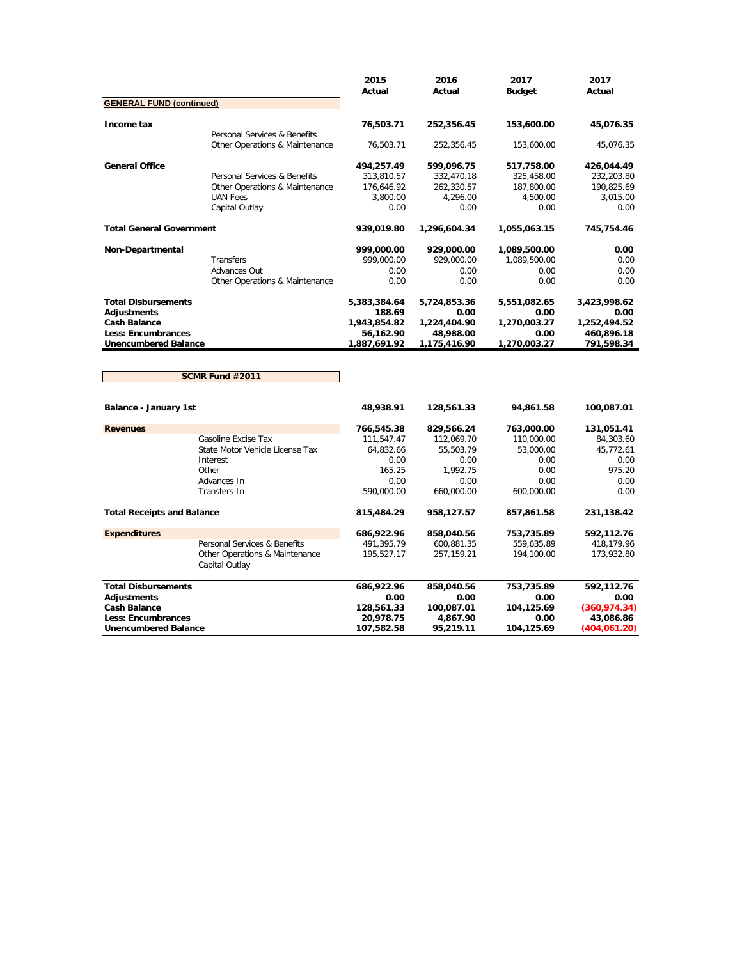|                                                                                                                                     |                                                                                                            | 2015<br>Actual                                                      | 2016<br>Actual                                                    | 2017<br><b>Budget</b>                                         | 2017<br>Actual                                                   |
|-------------------------------------------------------------------------------------------------------------------------------------|------------------------------------------------------------------------------------------------------------|---------------------------------------------------------------------|-------------------------------------------------------------------|---------------------------------------------------------------|------------------------------------------------------------------|
| <b>GENERAL FUND (continued)</b>                                                                                                     |                                                                                                            |                                                                     |                                                                   |                                                               |                                                                  |
| Income tax                                                                                                                          | Personal Services & Benefits                                                                               | 76,503.71                                                           | 252,356.45                                                        | 153,600.00                                                    | 45,076.35                                                        |
|                                                                                                                                     | Other Operations & Maintenance                                                                             | 76,503.71                                                           | 252,356.45                                                        | 153,600.00                                                    | 45,076.35                                                        |
| <b>General Office</b>                                                                                                               | Personal Services & Benefits<br>Other Operations & Maintenance<br><b>UAN Fees</b>                          | 494,257.49<br>313,810.57<br>176,646.92<br>3,800.00                  | 599,096.75<br>332,470.18<br>262,330.57<br>4,296.00                | 517,758.00<br>325,458.00<br>187,800.00<br>4,500.00            | 426,044.49<br>232,203.80<br>190,825.69<br>3,015.00               |
|                                                                                                                                     | Capital Outlay                                                                                             | 0.00                                                                | 0.00                                                              | 0.00                                                          | 0.00                                                             |
| <b>Total General Government</b>                                                                                                     |                                                                                                            | 939,019.80                                                          | 1,296,604.34                                                      | 1,055,063.15                                                  | 745,754.46                                                       |
| <b>Non-Departmental</b>                                                                                                             | Transfers<br>Advances Out<br>Other Operations & Maintenance                                                | 999,000.00<br>999,000.00<br>0.00<br>0.00                            | 929,000.00<br>929,000.00<br>0.00<br>0.00                          | 1,089,500.00<br>1,089,500.00<br>0.00<br>0.00                  | 0.00<br>0.00<br>0.00<br>0.00                                     |
| <b>Total Disbursements</b><br><b>Adjustments</b><br><b>Cash Balance</b><br><b>Less: Encumbrances</b><br><b>Unencumbered Balance</b> |                                                                                                            | 5,383,384.64<br>188.69<br>1,943,854.82<br>56,162.90<br>1,887,691.92 | 5,724,853.36<br>0.00<br>1,224,404.90<br>48,988.00<br>1,175,416.90 | 5,551,082.65<br>0.00<br>1,270,003.27<br>0.00<br>1,270,003.27  | 3,423,998.62<br>0.00<br>1,252,494.52<br>460,896.18<br>791,598.34 |
|                                                                                                                                     |                                                                                                            |                                                                     |                                                                   |                                                               |                                                                  |
|                                                                                                                                     | SCMR Fund #2011                                                                                            |                                                                     |                                                                   |                                                               |                                                                  |
| Balance - January 1st                                                                                                               |                                                                                                            | 48,938.91                                                           | 128,561.33                                                        | 94,861.58                                                     | 100,087.01                                                       |
| <b>Revenues</b>                                                                                                                     |                                                                                                            | 766,545.38                                                          | 829,566.24                                                        | 763,000.00                                                    | 131,051.41                                                       |
|                                                                                                                                     | Gasoline Excise Tax<br>State Motor Vehicle License Tax<br>Interest<br>Other<br>Advances In<br>Transfers-In | 111,547.47<br>64,832.66<br>0.00<br>165.25<br>0.00<br>590,000.00     | 112,069.70<br>55,503.79<br>0.00<br>1.992.75<br>0.00<br>660,000.00 | 110,000.00<br>53,000.00<br>0.00<br>0.00<br>0.00<br>600,000.00 | 84,303.60<br>45,772.61<br>0.00<br>975.20<br>0.00<br>0.00         |
| <b>Total Receipts and Balance</b>                                                                                                   |                                                                                                            | 815,484.29                                                          | 958,127.57                                                        | 857,861.58                                                    | 231,138.42                                                       |
| <b>Expenditures</b>                                                                                                                 | Personal Services & Benefits<br>Other Operations & Maintenance<br>Capital Outlay                           | 686,922.96<br>491,395.79<br>195,527.17                              | 858,040.56<br>600,881.35<br>257, 159. 21                          | 753,735.89<br>559,635.89<br>194,100.00                        | 592,112.76<br>418,179.96<br>173,932.80                           |

| <b>Total Disbursements</b>  | 686,922.96 | 858,040.56 | 753.735.89 | 592.112.76   |
|-----------------------------|------------|------------|------------|--------------|
| Adiustments                 | 0.00       | 0.00       | 0.00       | 0.00         |
| <b>Cash Balance</b>         | 128,561.33 | 100.087.01 | 104.125.69 | (360.974.34) |
| <b>Less: Encumbrances</b>   | 20,978.75  | 4.867.90   | 0.00       | 43.086.86    |
| <b>Unencumbered Balance</b> | 107.582.58 | 95,219.11  | 104.125.69 | (404.061.20) |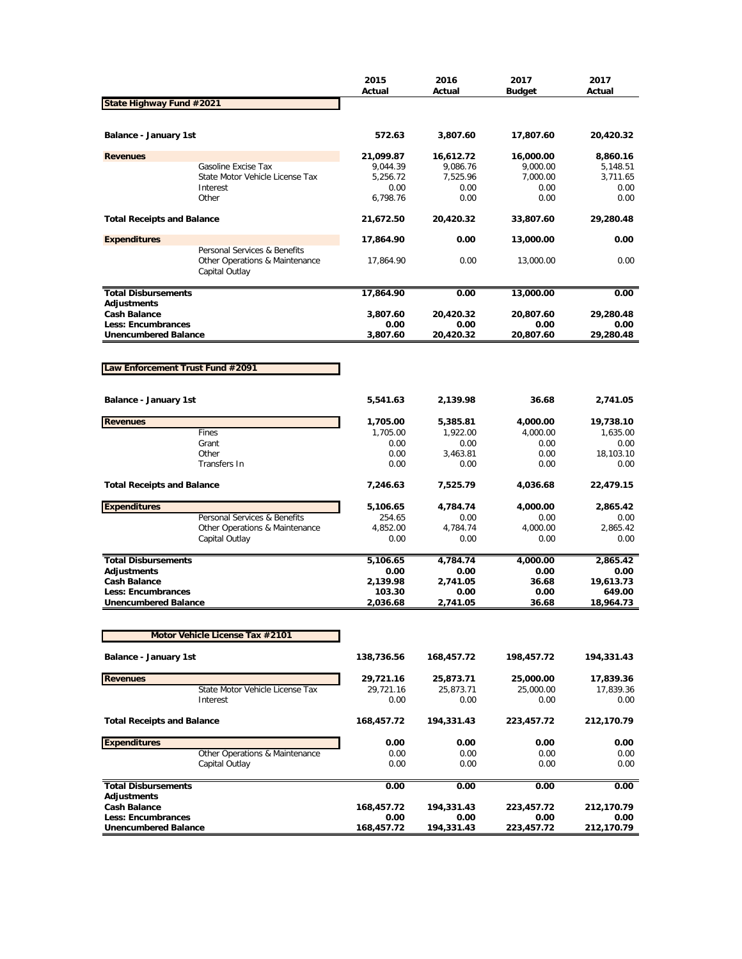|                                                          |                                                                                  | 2015<br>Actual | 2016<br>Actual    | 2017<br>Budget     | 2017<br>Actual |
|----------------------------------------------------------|----------------------------------------------------------------------------------|----------------|-------------------|--------------------|----------------|
| State Highway Fund #2021                                 |                                                                                  |                |                   |                    |                |
| Balance - January 1st                                    |                                                                                  | 572.63         | 3,807.60          | 17,807.60          | 20,420.32      |
| <b>Revenues</b>                                          |                                                                                  | 21,099.87      | 16,612.72         | 16,000.00          | 8,860.16       |
|                                                          | Gasoline Excise Tax                                                              | 9,044.39       | 9,086.76          | 9,000.00           | 5,148.51       |
|                                                          | State Motor Vehicle License Tax                                                  | 5,256.72       | 7,525.96          | 7,000.00           | 3,711.65       |
|                                                          | Interest                                                                         | 0.00           | 0.00              | 0.00               | 0.00           |
|                                                          | Other                                                                            | 6,798.76       | 0.00              | 0.00               | 0.00           |
| <b>Total Receipts and Balance</b>                        |                                                                                  | 21,672.50      | 20,420.32         | 33,807.60          | 29,280.48      |
| <b>Expenditures</b>                                      |                                                                                  | 17,864.90      | 0.00              | 13,000.00          | 0.00           |
|                                                          | Personal Services & Benefits<br>Other Operations & Maintenance<br>Capital Outlay | 17,864.90      | 0.00              | 13,000.00          | 0.00           |
| <b>Total Disbursements</b>                               |                                                                                  | 17,864.90      | 0.00              | 13,000.00          | 0.00           |
| Adjustments                                              |                                                                                  |                |                   |                    |                |
| <b>Cash Balance</b>                                      |                                                                                  | 3,807.60       | 20,420.32         | 20,807.60          | 29,280.48      |
| <b>Less: Encumbrances</b><br><b>Unencumbered Balance</b> |                                                                                  | 0.00           | 0.00<br>20,420.32 | 0.00               | 0.00           |
|                                                          |                                                                                  | 3,807.60       |                   | 20,807.60          | 29,280.48      |
|                                                          |                                                                                  |                |                   |                    |                |
| Law Enforcement Trust Fund #2091                         |                                                                                  |                |                   |                    |                |
|                                                          |                                                                                  |                |                   |                    |                |
| <b>Balance - January 1st</b>                             |                                                                                  | 5,541.63       | 2,139.98          | 36.68              | 2,741.05       |
| <b>Revenues</b>                                          |                                                                                  | 1,705.00       | 5,385.81          | 4,000.00           | 19,738.10      |
|                                                          | Fines                                                                            | 1,705.00       | 1,922.00          | 4,000.00           | 1,635.00       |
|                                                          | Grant                                                                            | 0.00           | 0.00              | 0.00               | 0.00           |
|                                                          | Other                                                                            | 0.00           | 3,463.81          | 0.00               | 18,103.10      |
|                                                          | <b>Transfers In</b>                                                              | 0.00           | 0.00              | 0.00               | 0.00           |
| <b>Total Receipts and Balance</b>                        |                                                                                  | 7,246.63       | 7,525.79          | 4,036.68           | 22,479.15      |
| <b>Expenditures</b>                                      |                                                                                  | 5,106.65       | 4,784.74          | 4,000.00           | 2,865.42       |
|                                                          | Personal Services & Benefits                                                     | 254.65         | 0.00              | 0.00               | 0.00           |
|                                                          | Other Operations & Maintenance                                                   | 4,852.00       | 4,784.74          | 4,000.00           | 2,865.42       |
|                                                          | Capital Outlay                                                                   | 0.00           | 0.00              | 0.00               | 0.00           |
| <b>Total Disbursements</b>                               |                                                                                  | 5,106.65       | 4,784.74          | 4,000.00           | 2,865.42       |
| Adjustments                                              |                                                                                  | 0.00           | 0.00              | 0.00               | 0.00           |
| <b>Cash Balance</b>                                      |                                                                                  | 2,139.98       | 2,741.05          | 36.68              | 19,613.73      |
| <b>Less: Encumbrances</b>                                |                                                                                  | 103.30         | 0.00              | 0.00               | 649.00         |
| <b>Unencumbered Balance</b>                              |                                                                                  | 2,036.68       | 2,741.05          | 36.68              | 18,964.73      |
|                                                          |                                                                                  |                |                   |                    |                |
|                                                          | Motor Vehicle License Tax #2101                                                  |                |                   |                    |                |
| Balance - January 1st                                    |                                                                                  | 138,736.56     | 168,457.72        | 198,457.72         | 194,331.43     |
| <b>Revenues</b>                                          |                                                                                  | 29,721.16      | 25,873.71         | 25,000.00          | 17,839.36      |
|                                                          | State Motor Vehicle License Tax                                                  | 29,721.16      | 25,873.71         | 25,000.00          | 17,839.36      |
|                                                          | Interest                                                                         | 0.00           | 0.00              | 0.00               | 0.00           |
| <b>Total Receipts and Balance</b>                        |                                                                                  | 168,457.72     | 194,331.43        | 223,457.72         | 212,170.79     |
| <b>Expenditures</b>                                      |                                                                                  | 0.00           | 0.00              | 0.00               | 0.00           |
|                                                          | Other Operations & Maintenance                                                   | 0.00           | 0.00              | 0.00               | 0.00           |
|                                                          | Capital Outlay                                                                   | 0.00           | 0.00              | 0.00               | 0.00           |
| <b>Total Disbursements</b>                               |                                                                                  | 0.00           | 0.00              | 0.00               | 0.00           |
| Adjustments                                              |                                                                                  |                |                   |                    |                |
| <b>Cash Balance</b>                                      |                                                                                  | 168,457.72     | 194,331.43        | 223,457.72         | 212,170.79     |
| Less: Encumbrances<br><b>Unencumbered Balance</b>        |                                                                                  | 0.00           | 0.00              | 0.00<br>223,457.72 | 0.00           |
|                                                          |                                                                                  | 168,457.72     | 194,331.43        |                    | 212,170.79     |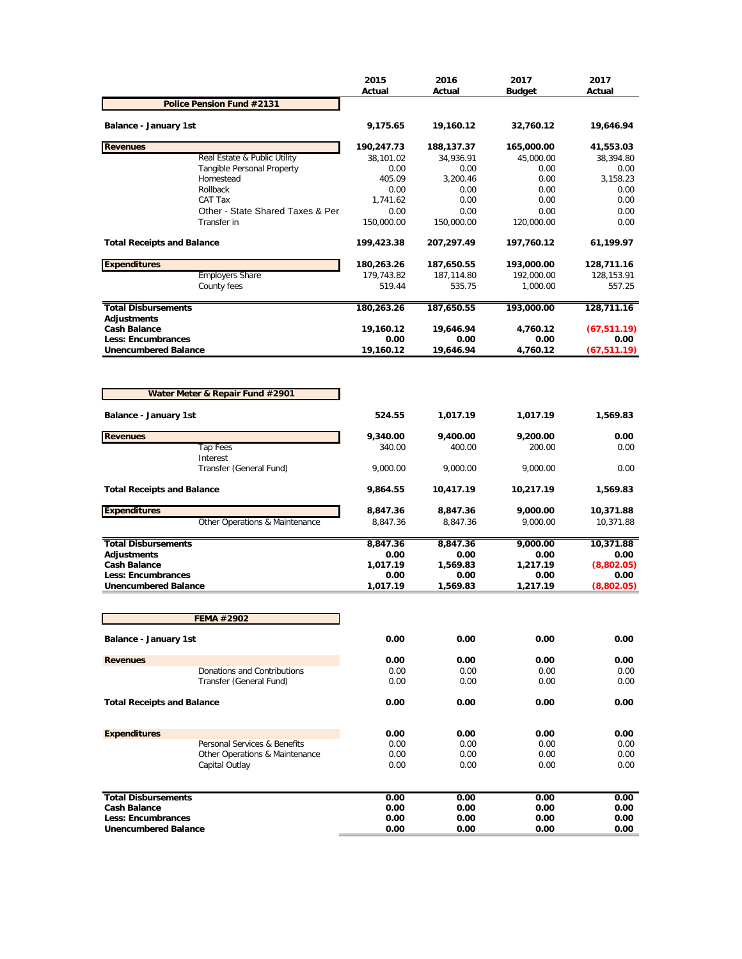|                                                  |                                                | 2015<br>Actual | 2016<br>Actual   | 2017<br><b>Budget</b> | 2017<br>Actual     |
|--------------------------------------------------|------------------------------------------------|----------------|------------------|-----------------------|--------------------|
|                                                  | Police Pension Fund #2131                      |                |                  |                       |                    |
| Balance - January 1st                            |                                                | 9,175.65       | 19,160.12        | 32,760.12             | 19,646.94          |
| <b>Revenues</b>                                  |                                                | 190,247.73     | 188,137.37       | 165,000.00            | 41,553.03          |
|                                                  | Real Estate & Public Utility                   | 38.101.02      | 34,936.91        | 45,000.00             | 38,394.80          |
|                                                  | <b>Tangible Personal Property</b><br>Homestead | 0.00<br>405.09 | 0.00<br>3,200.46 | 0.00<br>0.00          | 0.00<br>3,158.23   |
|                                                  | Rollback                                       | 0.00           | 0.00             | 0.00                  | 0.00               |
|                                                  | CAT Tax                                        | 1,741.62       | 0.00             | 0.00                  | 0.00               |
|                                                  | Other - State Shared Taxes & Per               | 0.00           | 0.00             | 0.00                  | 0.00               |
|                                                  | Transfer in                                    | 150,000.00     | 150,000.00       | 120,000.00            | 0.00               |
| <b>Total Receipts and Balance</b>                |                                                | 199,423.38     | 207,297.49       | 197,760.12            | 61,199.97          |
| <b>Expenditures</b>                              |                                                | 180,263.26     | 187,650.55       | 193,000.00            | 128,711.16         |
|                                                  | <b>Employers Share</b>                         | 179,743.82     | 187,114.80       | 192,000.00            | 128,153.91         |
|                                                  | County fees                                    | 519.44         | 535.75           | 1,000.00              | 557.25             |
| <b>Total Disbursements</b><br><b>Adjustments</b> |                                                | 180,263.26     | 187,650.55       | 193,000.00            | 128,711.16         |
| <b>Cash Balance</b>                              |                                                | 19,160.12      | 19,646.94        | 4,760.12              | (67, 511.19)       |
| <b>Less: Encumbrances</b>                        |                                                | 0.00           | 0.00             | 0.00                  | 0.00               |
| <b>Unencumbered Balance</b>                      |                                                | 19,160.12      | 19,646.94        | 4,760.12              | (67, 511.19)       |
|                                                  | Water Meter & Repair Fund #2901                |                |                  |                       |                    |
| Balance - January 1st                            |                                                | 524.55         | 1,017.19         | 1,017.19              | 1,569.83           |
| <b>Revenues</b>                                  |                                                | 9,340.00       | 9,400.00         | 9,200.00              | 0.00               |
|                                                  | <b>Tap Fees</b>                                | 340.00         | 400.00           | 200.00                | 0.00               |
|                                                  | Interest<br>Transfer (General Fund)            | 9,000.00       | 9,000.00         | 9,000.00              | 0.00               |
| <b>Total Receipts and Balance</b>                |                                                | 9,864.55       | 10,417.19        | 10,217.19             | 1,569.83           |
| <b>Expenditures</b>                              |                                                | 8,847.36       | 8,847.36         | 9,000.00              | 10,371.88          |
|                                                  | Other Operations & Maintenance                 | 8,847.36       | 8,847.36         | 9,000.00              | 10,371.88          |
| <b>Total Disbursements</b>                       |                                                | 8,847.36       | 8,847.36         | 9,000.00              | 10,371.88          |
| <b>Adjustments</b>                               |                                                | 0.00           | 0.00             | 0.00                  | 0.00               |
| <b>Cash Balance</b>                              |                                                | 1,017.19       | 1,569.83         | 1,217.19              | (8,802.05)         |
| <b>Less: Encumbrances</b>                        |                                                | 0.00           | 0.00             | 0.00                  | 0.00<br>(8,802.05) |
| <b>Unencumbered Balance</b>                      |                                                | 1,017.19       | 1,569.83         | 1,217.19              |                    |
|                                                  | <b>FEMA #2902</b>                              |                |                  |                       |                    |
| <b>Balance - January 1st</b>                     |                                                | 0.00           | 0.00             | 0.00                  | 0.00               |
| <b>Revenues</b>                                  |                                                | 0.00           | 0.00             | 0.00                  | 0.00               |
|                                                  | Donations and Contributions                    | 0.00           | 0.00             | 0.00                  | 0.00               |
|                                                  | Transfer (General Fund)                        | 0.00           | 0.00             | 0.00                  | 0.00               |
| <b>Total Receipts and Balance</b>                |                                                | 0.00           | 0.00             | 0.00                  | 0.00               |
|                                                  |                                                |                |                  |                       |                    |
| <b>Expenditures</b>                              | Personal Services & Benefits                   | 0.00<br>0.00   | 0.00<br>0.00     | 0.00<br>0.00          | 0.00<br>0.00       |
|                                                  | Other Operations & Maintenance                 | 0.00           | 0.00             | 0.00                  | 0.00               |
|                                                  | Capital Outlay                                 | 0.00           | 0.00             | 0.00                  | 0.00               |
| <b>Total Disbursements</b>                       |                                                | 0.00           | 0.00             | 0.00                  | 0.00               |
| <b>Cash Balance</b>                              |                                                | 0.00           | 0.00             | 0.00                  | 0.00               |
| Less: Encumbrances                               |                                                | 0.00           | 0.00             | 0.00                  | 0.00               |
| <b>Unencumbered Balance</b>                      |                                                | 0.00           | 0.00             | 0.00                  | 0.00               |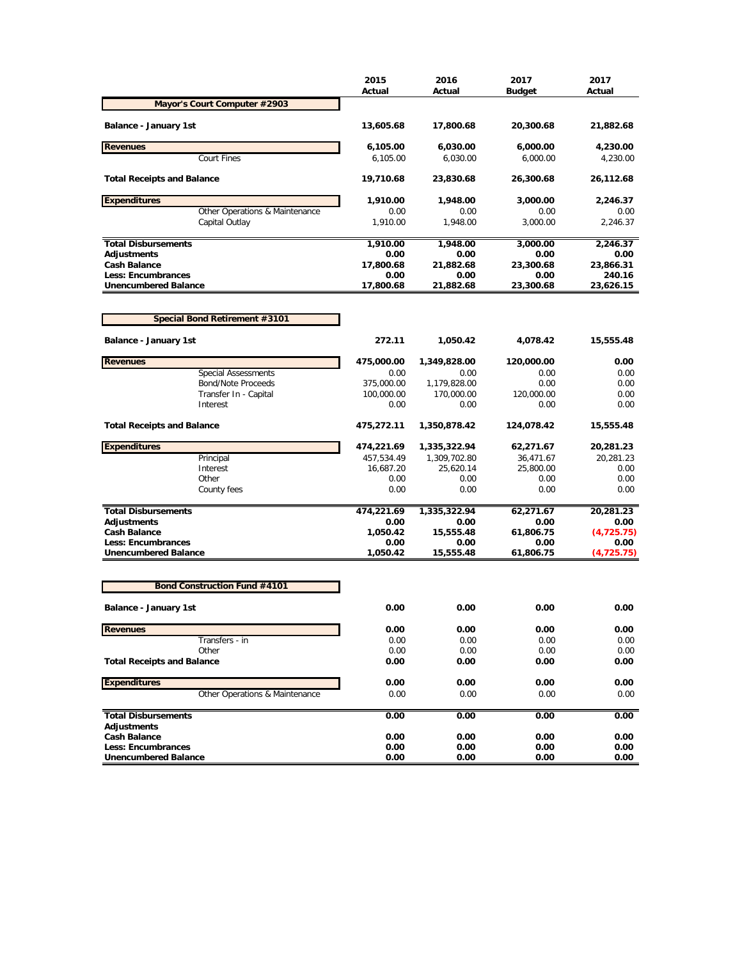|                                     | 2015<br>Actual | 2016<br>Actual | 2017<br><b>Budget</b> | 2017<br>Actual |
|-------------------------------------|----------------|----------------|-----------------------|----------------|
| Mayor's Court Computer #2903        |                |                |                       |                |
| Balance - January 1st               | 13,605.68      | 17,800.68      | 20,300.68             | 21,882.68      |
| <b>Revenues</b>                     | 6,105.00       | 6,030.00       | 6,000.00              | 4,230.00       |
| <b>Court Fines</b>                  | 6,105.00       | 6,030.00       | 6,000.00              | 4,230.00       |
| <b>Total Receipts and Balance</b>   | 19,710.68      | 23,830.68      | 26,300.68             | 26,112.68      |
| <b>Expenditures</b>                 | 1,910.00       | 1,948.00       | 3,000.00              | 2,246.37       |
| Other Operations & Maintenance      | 0.00           | 0.00           | 0.00                  | 0.00           |
| Capital Outlay                      | 1,910.00       | 1,948.00       | 3,000.00              | 2,246.37       |
| <b>Total Disbursements</b>          | 1,910.00       | 1,948.00       | 3,000.00              | 2,246.37       |
| <b>Adjustments</b>                  | 0.00           | 0.00           | 0.00                  | 0.00           |
| <b>Cash Balance</b>                 | 17,800.68      | 21,882.68      | 23,300.68             | 23,866.31      |
| <b>Less: Encumbrances</b>           | 0.00           | 0.00           | 0.00                  | 240.16         |
| <b>Unencumbered Balance</b>         | 17,800.68      | 21,882.68      | 23,300.68             | 23,626.15      |
| Special Bond Retirement #3101       |                |                |                       |                |
|                                     |                |                |                       |                |
| <b>Balance - January 1st</b>        | 272.11         | 1,050.42       | 4,078.42              | 15,555.48      |
| <b>Revenues</b>                     | 475,000.00     | 1,349,828.00   | 120,000.00            | 0.00           |
| <b>Special Assessments</b>          | 0.00           | 0.00           | 0.00                  | 0.00           |
| Bond/Note Proceeds                  | 375,000.00     | 1,179,828.00   | 0.00                  | 0.00           |
| Transfer In - Capital<br>Interest   | 100,000.00     | 170,000.00     | 120,000.00            | 0.00           |
|                                     | 0.00           | 0.00           | 0.00                  | 0.00           |
| <b>Total Receipts and Balance</b>   | 475,272.11     | 1,350,878.42   | 124,078.42            | 15,555.48      |
| <b>Expenditures</b>                 | 474,221.69     | 1,335,322.94   | 62,271.67             | 20,281.23      |
| Principal                           | 457,534.49     | 1,309,702.80   | 36,471.67             | 20,281.23      |
| Interest                            | 16,687.20      | 25,620.14      | 25,800.00             | 0.00           |
| Other                               | 0.00           | 0.00           | 0.00                  | 0.00           |
| County fees                         | 0.00           | 0.00           | 0.00                  | 0.00           |
| <b>Total Disbursements</b>          | 474,221.69     | 1,335,322.94   | 62,271.67             | 20,281.23      |
| <b>Adjustments</b>                  | 0.00           | 0.00           | 0.00                  | 0.00           |
| <b>Cash Balance</b>                 | 1,050.42       | 15,555.48      | 61,806.75             | (4,725.75)     |
| <b>Less: Encumbrances</b>           | 0.00           | 0.00           | 0.00                  | 0.00           |
| <b>Unencumbered Balance</b>         | 1,050.42       | 15,555.48      | 61,806.75             | (4, 725.75)    |
|                                     |                |                |                       |                |
| <b>Bond Construction Fund #4101</b> |                |                |                       |                |
| Balance - January 1st               | 0.00           | 0.00           | 0.00                  | 0.00           |
| <b>Revenues</b>                     | 0.00           | 0.00           | 0.00                  | 0.00           |
| Transfers - in                      | 0.00           | 0.00           | 0.00                  | 0.00           |
| Other                               | 0.00           | 0.00           | 0.00                  | 0.00           |
| <b>Total Receipts and Balance</b>   | 0.00           | 0.00           | 0.00                  | 0.00           |
| <b>Expenditures</b>                 | 0.00           | 0.00           | 0.00                  | 0.00           |
| Other Operations & Maintenance      | 0.00           | 0.00           | 0.00                  | 0.00           |
| <b>Total Disbursements</b>          |                | 0.00           | 0.00                  | 0.00           |
| <b>Adjustments</b>                  | 0.00           |                |                       |                |
| <b>Cash Balance</b>                 | 0.00           | 0.00           | 0.00                  | 0.00           |
| Less: Encumbrances                  | 0.00           | 0.00           | 0.00                  | 0.00           |
| <b>Unencumbered Balance</b>         | 0.00           | 0.00           | 0.00                  | 0.00           |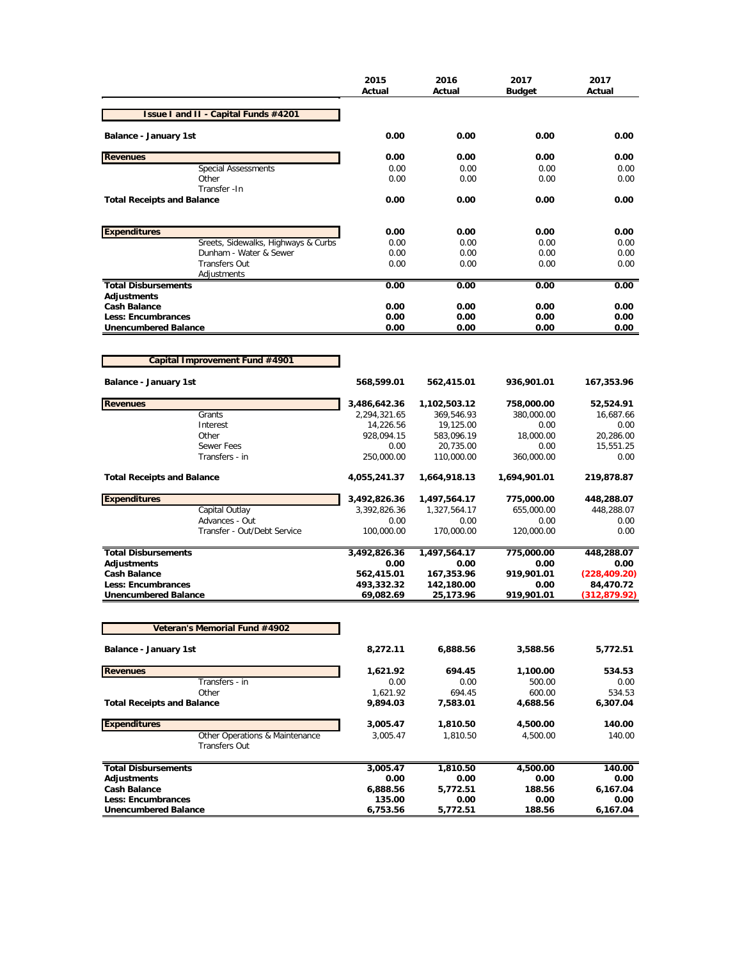| Issue I and II - Capital Funds #4201<br>Balance - January 1st<br>0.00<br>0.00<br>0.00<br>0.00<br><b>Revenues</b><br>0.00<br>0.00<br>0.00<br>0.00<br><b>Special Assessments</b><br>0.00<br>0.00<br>0.00<br>0.00<br>Other<br>0.00<br>0.00<br>0.00<br>0.00<br>Transfer - In<br><b>Total Receipts and Balance</b><br>0.00<br>0.00<br>0.00<br>0.00<br><b>Expenditures</b><br>0.00<br>0.00<br>0.00<br>0.00<br>Sreets, Sidewalks, Highways & Curbs<br>0.00<br>0.00<br>0.00<br>0.00<br>Dunham - Water & Sewer<br>0.00<br>0.00<br>0.00<br>0.00<br><b>Transfers Out</b><br>0.00<br>0.00<br>0.00<br>0.00<br>Adjustments<br><b>Total Disbursements</b><br>0.00<br>0.00<br>0.00<br>0.00<br>Adjustments<br><b>Cash Balance</b><br>0.00<br>0.00<br>0.00<br>0.00<br>Less: Encumbrances<br>0.00<br>0.00<br>0.00<br>0.00<br><b>Unencumbered Balance</b><br>0.00<br>0.00<br>0.00<br>0.00<br>Capital Improvement Fund #4901<br>Balance - January 1st<br>568,599.01<br>562,415.01<br>936,901.01<br>167,353.96<br><b>Revenues</b><br>3,486,642.36<br>1,102,503.12<br>758,000.00<br>52,524.91<br>Grants<br>2,294,321.65<br>369,546.93<br>380,000.00<br>16,687.66<br>Interest<br>14,226.56<br>19,125.00<br>0.00<br>0.00<br>Other<br>928,094.15<br>583,096.19<br>18,000.00<br>20,286.00<br><b>Sewer Fees</b><br>0.00<br>15,551.25<br>20,735.00<br>0.00<br>Transfers - in<br>250,000.00<br>360,000.00<br>110,000.00<br>0.00<br><b>Total Receipts and Balance</b><br>4,055,241.37<br>1,664,918.13<br>1,694,901.01<br>219,878.87<br><b>Expenditures</b><br>3,492,826.36<br>775,000.00<br>1,497,564.17<br>448,288.07<br>Capital Outlay<br>3,392,826.36<br>1,327,564.17<br>655,000.00<br>448,288.07<br>Advances - Out<br>0.00<br>0.00<br>0.00<br>0.00<br>Transfer - Out/Debt Service<br>100,000.00<br>170,000.00<br>120,000.00<br>0.00<br><b>Total Disbursements</b><br>3,492,826.36<br>1,497,564.17<br>775,000.00<br>448,288.07<br><b>Adjustments</b><br>0.00<br>0.00<br>0.00<br>0.00<br><b>Cash Balance</b><br>562,415.01<br>167,353.96<br>919,901.01<br>(228, 409.20)<br>Less: Encumbrances<br>493,332.32<br>142,180.00<br>0.00<br>84,470.72<br><b>Unencumbered Balance</b><br>919,901.01<br>69,082.69<br>25,173.96<br>(312, 879.92)<br>Veteran's Memorial Fund #4902<br>Balance - January 1st<br>8,272.11<br>6,888.56<br>3,588.56<br>5,772.51<br><b>Revenues</b><br>1,621.92<br>694.45<br>1,100.00<br>534.53<br>Transfers - in<br>0.00<br>0.00<br>500.00<br>0.00<br>Other<br>600.00<br>1,621.92<br>694.45<br>534.53<br><b>Total Receipts and Balance</b><br>9,894.03<br>7,583.01<br>4,688.56<br>6,307.04<br><b>Expenditures</b><br>3,005.47<br>4,500.00<br>140.00<br>1,810.50<br>Other Operations & Maintenance<br>140.00<br>3,005.47<br>1,810.50<br>4,500.00<br><b>Transfers Out</b><br><b>Total Disbursements</b><br>3,005.47<br>1,810.50<br>4,500.00<br>140.00<br><b>Adjustments</b><br>0.00<br>0.00<br>0.00<br>0.00<br><b>Cash Balance</b><br>5,772.51<br>188.56<br>6,167.04<br>6,888.56<br>Less: Encumbrances<br>135.00<br>0.00<br>0.00<br>0.00<br><b>Unencumbered Balance</b><br>6,753.56<br>5,772.51<br>188.56<br>6,167.04 |  | 2015<br>Actual | 2016<br>Actual | 2017<br><b>Budget</b> | 2017<br>Actual |
|---------------------------------------------------------------------------------------------------------------------------------------------------------------------------------------------------------------------------------------------------------------------------------------------------------------------------------------------------------------------------------------------------------------------------------------------------------------------------------------------------------------------------------------------------------------------------------------------------------------------------------------------------------------------------------------------------------------------------------------------------------------------------------------------------------------------------------------------------------------------------------------------------------------------------------------------------------------------------------------------------------------------------------------------------------------------------------------------------------------------------------------------------------------------------------------------------------------------------------------------------------------------------------------------------------------------------------------------------------------------------------------------------------------------------------------------------------------------------------------------------------------------------------------------------------------------------------------------------------------------------------------------------------------------------------------------------------------------------------------------------------------------------------------------------------------------------------------------------------------------------------------------------------------------------------------------------------------------------------------------------------------------------------------------------------------------------------------------------------------------------------------------------------------------------------------------------------------------------------------------------------------------------------------------------------------------------------------------------------------------------------------------------------------------------------------------------------------------------------------------------------------------------------------------------------------------------------------------------------------------------------------------------------------------------------------------------------------------------------------------------------------------------------------------------------------------------------------------------------------------------------------------------------------------------------------------------------------------------------------------------------------------------------------------------------------------------------------------------------|--|----------------|----------------|-----------------------|----------------|
|                                                                                                                                                                                                                                                                                                                                                                                                                                                                                                                                                                                                                                                                                                                                                                                                                                                                                                                                                                                                                                                                                                                                                                                                                                                                                                                                                                                                                                                                                                                                                                                                                                                                                                                                                                                                                                                                                                                                                                                                                                                                                                                                                                                                                                                                                                                                                                                                                                                                                                                                                                                                                                                                                                                                                                                                                                                                                                                                                                                                                                                                                                         |  |                |                |                       |                |
|                                                                                                                                                                                                                                                                                                                                                                                                                                                                                                                                                                                                                                                                                                                                                                                                                                                                                                                                                                                                                                                                                                                                                                                                                                                                                                                                                                                                                                                                                                                                                                                                                                                                                                                                                                                                                                                                                                                                                                                                                                                                                                                                                                                                                                                                                                                                                                                                                                                                                                                                                                                                                                                                                                                                                                                                                                                                                                                                                                                                                                                                                                         |  |                |                |                       |                |
|                                                                                                                                                                                                                                                                                                                                                                                                                                                                                                                                                                                                                                                                                                                                                                                                                                                                                                                                                                                                                                                                                                                                                                                                                                                                                                                                                                                                                                                                                                                                                                                                                                                                                                                                                                                                                                                                                                                                                                                                                                                                                                                                                                                                                                                                                                                                                                                                                                                                                                                                                                                                                                                                                                                                                                                                                                                                                                                                                                                                                                                                                                         |  |                |                |                       |                |
|                                                                                                                                                                                                                                                                                                                                                                                                                                                                                                                                                                                                                                                                                                                                                                                                                                                                                                                                                                                                                                                                                                                                                                                                                                                                                                                                                                                                                                                                                                                                                                                                                                                                                                                                                                                                                                                                                                                                                                                                                                                                                                                                                                                                                                                                                                                                                                                                                                                                                                                                                                                                                                                                                                                                                                                                                                                                                                                                                                                                                                                                                                         |  |                |                |                       |                |
|                                                                                                                                                                                                                                                                                                                                                                                                                                                                                                                                                                                                                                                                                                                                                                                                                                                                                                                                                                                                                                                                                                                                                                                                                                                                                                                                                                                                                                                                                                                                                                                                                                                                                                                                                                                                                                                                                                                                                                                                                                                                                                                                                                                                                                                                                                                                                                                                                                                                                                                                                                                                                                                                                                                                                                                                                                                                                                                                                                                                                                                                                                         |  |                |                |                       |                |
|                                                                                                                                                                                                                                                                                                                                                                                                                                                                                                                                                                                                                                                                                                                                                                                                                                                                                                                                                                                                                                                                                                                                                                                                                                                                                                                                                                                                                                                                                                                                                                                                                                                                                                                                                                                                                                                                                                                                                                                                                                                                                                                                                                                                                                                                                                                                                                                                                                                                                                                                                                                                                                                                                                                                                                                                                                                                                                                                                                                                                                                                                                         |  |                |                |                       |                |
|                                                                                                                                                                                                                                                                                                                                                                                                                                                                                                                                                                                                                                                                                                                                                                                                                                                                                                                                                                                                                                                                                                                                                                                                                                                                                                                                                                                                                                                                                                                                                                                                                                                                                                                                                                                                                                                                                                                                                                                                                                                                                                                                                                                                                                                                                                                                                                                                                                                                                                                                                                                                                                                                                                                                                                                                                                                                                                                                                                                                                                                                                                         |  |                |                |                       |                |
|                                                                                                                                                                                                                                                                                                                                                                                                                                                                                                                                                                                                                                                                                                                                                                                                                                                                                                                                                                                                                                                                                                                                                                                                                                                                                                                                                                                                                                                                                                                                                                                                                                                                                                                                                                                                                                                                                                                                                                                                                                                                                                                                                                                                                                                                                                                                                                                                                                                                                                                                                                                                                                                                                                                                                                                                                                                                                                                                                                                                                                                                                                         |  |                |                |                       |                |
|                                                                                                                                                                                                                                                                                                                                                                                                                                                                                                                                                                                                                                                                                                                                                                                                                                                                                                                                                                                                                                                                                                                                                                                                                                                                                                                                                                                                                                                                                                                                                                                                                                                                                                                                                                                                                                                                                                                                                                                                                                                                                                                                                                                                                                                                                                                                                                                                                                                                                                                                                                                                                                                                                                                                                                                                                                                                                                                                                                                                                                                                                                         |  |                |                |                       |                |
|                                                                                                                                                                                                                                                                                                                                                                                                                                                                                                                                                                                                                                                                                                                                                                                                                                                                                                                                                                                                                                                                                                                                                                                                                                                                                                                                                                                                                                                                                                                                                                                                                                                                                                                                                                                                                                                                                                                                                                                                                                                                                                                                                                                                                                                                                                                                                                                                                                                                                                                                                                                                                                                                                                                                                                                                                                                                                                                                                                                                                                                                                                         |  |                |                |                       |                |
|                                                                                                                                                                                                                                                                                                                                                                                                                                                                                                                                                                                                                                                                                                                                                                                                                                                                                                                                                                                                                                                                                                                                                                                                                                                                                                                                                                                                                                                                                                                                                                                                                                                                                                                                                                                                                                                                                                                                                                                                                                                                                                                                                                                                                                                                                                                                                                                                                                                                                                                                                                                                                                                                                                                                                                                                                                                                                                                                                                                                                                                                                                         |  |                |                |                       |                |
|                                                                                                                                                                                                                                                                                                                                                                                                                                                                                                                                                                                                                                                                                                                                                                                                                                                                                                                                                                                                                                                                                                                                                                                                                                                                                                                                                                                                                                                                                                                                                                                                                                                                                                                                                                                                                                                                                                                                                                                                                                                                                                                                                                                                                                                                                                                                                                                                                                                                                                                                                                                                                                                                                                                                                                                                                                                                                                                                                                                                                                                                                                         |  |                |                |                       |                |
|                                                                                                                                                                                                                                                                                                                                                                                                                                                                                                                                                                                                                                                                                                                                                                                                                                                                                                                                                                                                                                                                                                                                                                                                                                                                                                                                                                                                                                                                                                                                                                                                                                                                                                                                                                                                                                                                                                                                                                                                                                                                                                                                                                                                                                                                                                                                                                                                                                                                                                                                                                                                                                                                                                                                                                                                                                                                                                                                                                                                                                                                                                         |  |                |                |                       |                |
|                                                                                                                                                                                                                                                                                                                                                                                                                                                                                                                                                                                                                                                                                                                                                                                                                                                                                                                                                                                                                                                                                                                                                                                                                                                                                                                                                                                                                                                                                                                                                                                                                                                                                                                                                                                                                                                                                                                                                                                                                                                                                                                                                                                                                                                                                                                                                                                                                                                                                                                                                                                                                                                                                                                                                                                                                                                                                                                                                                                                                                                                                                         |  |                |                |                       |                |
|                                                                                                                                                                                                                                                                                                                                                                                                                                                                                                                                                                                                                                                                                                                                                                                                                                                                                                                                                                                                                                                                                                                                                                                                                                                                                                                                                                                                                                                                                                                                                                                                                                                                                                                                                                                                                                                                                                                                                                                                                                                                                                                                                                                                                                                                                                                                                                                                                                                                                                                                                                                                                                                                                                                                                                                                                                                                                                                                                                                                                                                                                                         |  |                |                |                       |                |
|                                                                                                                                                                                                                                                                                                                                                                                                                                                                                                                                                                                                                                                                                                                                                                                                                                                                                                                                                                                                                                                                                                                                                                                                                                                                                                                                                                                                                                                                                                                                                                                                                                                                                                                                                                                                                                                                                                                                                                                                                                                                                                                                                                                                                                                                                                                                                                                                                                                                                                                                                                                                                                                                                                                                                                                                                                                                                                                                                                                                                                                                                                         |  |                |                |                       |                |
|                                                                                                                                                                                                                                                                                                                                                                                                                                                                                                                                                                                                                                                                                                                                                                                                                                                                                                                                                                                                                                                                                                                                                                                                                                                                                                                                                                                                                                                                                                                                                                                                                                                                                                                                                                                                                                                                                                                                                                                                                                                                                                                                                                                                                                                                                                                                                                                                                                                                                                                                                                                                                                                                                                                                                                                                                                                                                                                                                                                                                                                                                                         |  |                |                |                       |                |
|                                                                                                                                                                                                                                                                                                                                                                                                                                                                                                                                                                                                                                                                                                                                                                                                                                                                                                                                                                                                                                                                                                                                                                                                                                                                                                                                                                                                                                                                                                                                                                                                                                                                                                                                                                                                                                                                                                                                                                                                                                                                                                                                                                                                                                                                                                                                                                                                                                                                                                                                                                                                                                                                                                                                                                                                                                                                                                                                                                                                                                                                                                         |  |                |                |                       |                |
|                                                                                                                                                                                                                                                                                                                                                                                                                                                                                                                                                                                                                                                                                                                                                                                                                                                                                                                                                                                                                                                                                                                                                                                                                                                                                                                                                                                                                                                                                                                                                                                                                                                                                                                                                                                                                                                                                                                                                                                                                                                                                                                                                                                                                                                                                                                                                                                                                                                                                                                                                                                                                                                                                                                                                                                                                                                                                                                                                                                                                                                                                                         |  |                |                |                       |                |
|                                                                                                                                                                                                                                                                                                                                                                                                                                                                                                                                                                                                                                                                                                                                                                                                                                                                                                                                                                                                                                                                                                                                                                                                                                                                                                                                                                                                                                                                                                                                                                                                                                                                                                                                                                                                                                                                                                                                                                                                                                                                                                                                                                                                                                                                                                                                                                                                                                                                                                                                                                                                                                                                                                                                                                                                                                                                                                                                                                                                                                                                                                         |  |                |                |                       |                |
|                                                                                                                                                                                                                                                                                                                                                                                                                                                                                                                                                                                                                                                                                                                                                                                                                                                                                                                                                                                                                                                                                                                                                                                                                                                                                                                                                                                                                                                                                                                                                                                                                                                                                                                                                                                                                                                                                                                                                                                                                                                                                                                                                                                                                                                                                                                                                                                                                                                                                                                                                                                                                                                                                                                                                                                                                                                                                                                                                                                                                                                                                                         |  |                |                |                       |                |
|                                                                                                                                                                                                                                                                                                                                                                                                                                                                                                                                                                                                                                                                                                                                                                                                                                                                                                                                                                                                                                                                                                                                                                                                                                                                                                                                                                                                                                                                                                                                                                                                                                                                                                                                                                                                                                                                                                                                                                                                                                                                                                                                                                                                                                                                                                                                                                                                                                                                                                                                                                                                                                                                                                                                                                                                                                                                                                                                                                                                                                                                                                         |  |                |                |                       |                |
|                                                                                                                                                                                                                                                                                                                                                                                                                                                                                                                                                                                                                                                                                                                                                                                                                                                                                                                                                                                                                                                                                                                                                                                                                                                                                                                                                                                                                                                                                                                                                                                                                                                                                                                                                                                                                                                                                                                                                                                                                                                                                                                                                                                                                                                                                                                                                                                                                                                                                                                                                                                                                                                                                                                                                                                                                                                                                                                                                                                                                                                                                                         |  |                |                |                       |                |
|                                                                                                                                                                                                                                                                                                                                                                                                                                                                                                                                                                                                                                                                                                                                                                                                                                                                                                                                                                                                                                                                                                                                                                                                                                                                                                                                                                                                                                                                                                                                                                                                                                                                                                                                                                                                                                                                                                                                                                                                                                                                                                                                                                                                                                                                                                                                                                                                                                                                                                                                                                                                                                                                                                                                                                                                                                                                                                                                                                                                                                                                                                         |  |                |                |                       |                |
|                                                                                                                                                                                                                                                                                                                                                                                                                                                                                                                                                                                                                                                                                                                                                                                                                                                                                                                                                                                                                                                                                                                                                                                                                                                                                                                                                                                                                                                                                                                                                                                                                                                                                                                                                                                                                                                                                                                                                                                                                                                                                                                                                                                                                                                                                                                                                                                                                                                                                                                                                                                                                                                                                                                                                                                                                                                                                                                                                                                                                                                                                                         |  |                |                |                       |                |
|                                                                                                                                                                                                                                                                                                                                                                                                                                                                                                                                                                                                                                                                                                                                                                                                                                                                                                                                                                                                                                                                                                                                                                                                                                                                                                                                                                                                                                                                                                                                                                                                                                                                                                                                                                                                                                                                                                                                                                                                                                                                                                                                                                                                                                                                                                                                                                                                                                                                                                                                                                                                                                                                                                                                                                                                                                                                                                                                                                                                                                                                                                         |  |                |                |                       |                |
|                                                                                                                                                                                                                                                                                                                                                                                                                                                                                                                                                                                                                                                                                                                                                                                                                                                                                                                                                                                                                                                                                                                                                                                                                                                                                                                                                                                                                                                                                                                                                                                                                                                                                                                                                                                                                                                                                                                                                                                                                                                                                                                                                                                                                                                                                                                                                                                                                                                                                                                                                                                                                                                                                                                                                                                                                                                                                                                                                                                                                                                                                                         |  |                |                |                       |                |
|                                                                                                                                                                                                                                                                                                                                                                                                                                                                                                                                                                                                                                                                                                                                                                                                                                                                                                                                                                                                                                                                                                                                                                                                                                                                                                                                                                                                                                                                                                                                                                                                                                                                                                                                                                                                                                                                                                                                                                                                                                                                                                                                                                                                                                                                                                                                                                                                                                                                                                                                                                                                                                                                                                                                                                                                                                                                                                                                                                                                                                                                                                         |  |                |                |                       |                |
|                                                                                                                                                                                                                                                                                                                                                                                                                                                                                                                                                                                                                                                                                                                                                                                                                                                                                                                                                                                                                                                                                                                                                                                                                                                                                                                                                                                                                                                                                                                                                                                                                                                                                                                                                                                                                                                                                                                                                                                                                                                                                                                                                                                                                                                                                                                                                                                                                                                                                                                                                                                                                                                                                                                                                                                                                                                                                                                                                                                                                                                                                                         |  |                |                |                       |                |
|                                                                                                                                                                                                                                                                                                                                                                                                                                                                                                                                                                                                                                                                                                                                                                                                                                                                                                                                                                                                                                                                                                                                                                                                                                                                                                                                                                                                                                                                                                                                                                                                                                                                                                                                                                                                                                                                                                                                                                                                                                                                                                                                                                                                                                                                                                                                                                                                                                                                                                                                                                                                                                                                                                                                                                                                                                                                                                                                                                                                                                                                                                         |  |                |                |                       |                |
|                                                                                                                                                                                                                                                                                                                                                                                                                                                                                                                                                                                                                                                                                                                                                                                                                                                                                                                                                                                                                                                                                                                                                                                                                                                                                                                                                                                                                                                                                                                                                                                                                                                                                                                                                                                                                                                                                                                                                                                                                                                                                                                                                                                                                                                                                                                                                                                                                                                                                                                                                                                                                                                                                                                                                                                                                                                                                                                                                                                                                                                                                                         |  |                |                |                       |                |
|                                                                                                                                                                                                                                                                                                                                                                                                                                                                                                                                                                                                                                                                                                                                                                                                                                                                                                                                                                                                                                                                                                                                                                                                                                                                                                                                                                                                                                                                                                                                                                                                                                                                                                                                                                                                                                                                                                                                                                                                                                                                                                                                                                                                                                                                                                                                                                                                                                                                                                                                                                                                                                                                                                                                                                                                                                                                                                                                                                                                                                                                                                         |  |                |                |                       |                |
|                                                                                                                                                                                                                                                                                                                                                                                                                                                                                                                                                                                                                                                                                                                                                                                                                                                                                                                                                                                                                                                                                                                                                                                                                                                                                                                                                                                                                                                                                                                                                                                                                                                                                                                                                                                                                                                                                                                                                                                                                                                                                                                                                                                                                                                                                                                                                                                                                                                                                                                                                                                                                                                                                                                                                                                                                                                                                                                                                                                                                                                                                                         |  |                |                |                       |                |
|                                                                                                                                                                                                                                                                                                                                                                                                                                                                                                                                                                                                                                                                                                                                                                                                                                                                                                                                                                                                                                                                                                                                                                                                                                                                                                                                                                                                                                                                                                                                                                                                                                                                                                                                                                                                                                                                                                                                                                                                                                                                                                                                                                                                                                                                                                                                                                                                                                                                                                                                                                                                                                                                                                                                                                                                                                                                                                                                                                                                                                                                                                         |  |                |                |                       |                |
|                                                                                                                                                                                                                                                                                                                                                                                                                                                                                                                                                                                                                                                                                                                                                                                                                                                                                                                                                                                                                                                                                                                                                                                                                                                                                                                                                                                                                                                                                                                                                                                                                                                                                                                                                                                                                                                                                                                                                                                                                                                                                                                                                                                                                                                                                                                                                                                                                                                                                                                                                                                                                                                                                                                                                                                                                                                                                                                                                                                                                                                                                                         |  |                |                |                       |                |
|                                                                                                                                                                                                                                                                                                                                                                                                                                                                                                                                                                                                                                                                                                                                                                                                                                                                                                                                                                                                                                                                                                                                                                                                                                                                                                                                                                                                                                                                                                                                                                                                                                                                                                                                                                                                                                                                                                                                                                                                                                                                                                                                                                                                                                                                                                                                                                                                                                                                                                                                                                                                                                                                                                                                                                                                                                                                                                                                                                                                                                                                                                         |  |                |                |                       |                |
|                                                                                                                                                                                                                                                                                                                                                                                                                                                                                                                                                                                                                                                                                                                                                                                                                                                                                                                                                                                                                                                                                                                                                                                                                                                                                                                                                                                                                                                                                                                                                                                                                                                                                                                                                                                                                                                                                                                                                                                                                                                                                                                                                                                                                                                                                                                                                                                                                                                                                                                                                                                                                                                                                                                                                                                                                                                                                                                                                                                                                                                                                                         |  |                |                |                       |                |
|                                                                                                                                                                                                                                                                                                                                                                                                                                                                                                                                                                                                                                                                                                                                                                                                                                                                                                                                                                                                                                                                                                                                                                                                                                                                                                                                                                                                                                                                                                                                                                                                                                                                                                                                                                                                                                                                                                                                                                                                                                                                                                                                                                                                                                                                                                                                                                                                                                                                                                                                                                                                                                                                                                                                                                                                                                                                                                                                                                                                                                                                                                         |  |                |                |                       |                |
|                                                                                                                                                                                                                                                                                                                                                                                                                                                                                                                                                                                                                                                                                                                                                                                                                                                                                                                                                                                                                                                                                                                                                                                                                                                                                                                                                                                                                                                                                                                                                                                                                                                                                                                                                                                                                                                                                                                                                                                                                                                                                                                                                                                                                                                                                                                                                                                                                                                                                                                                                                                                                                                                                                                                                                                                                                                                                                                                                                                                                                                                                                         |  |                |                |                       |                |
|                                                                                                                                                                                                                                                                                                                                                                                                                                                                                                                                                                                                                                                                                                                                                                                                                                                                                                                                                                                                                                                                                                                                                                                                                                                                                                                                                                                                                                                                                                                                                                                                                                                                                                                                                                                                                                                                                                                                                                                                                                                                                                                                                                                                                                                                                                                                                                                                                                                                                                                                                                                                                                                                                                                                                                                                                                                                                                                                                                                                                                                                                                         |  |                |                |                       |                |
|                                                                                                                                                                                                                                                                                                                                                                                                                                                                                                                                                                                                                                                                                                                                                                                                                                                                                                                                                                                                                                                                                                                                                                                                                                                                                                                                                                                                                                                                                                                                                                                                                                                                                                                                                                                                                                                                                                                                                                                                                                                                                                                                                                                                                                                                                                                                                                                                                                                                                                                                                                                                                                                                                                                                                                                                                                                                                                                                                                                                                                                                                                         |  |                |                |                       |                |
|                                                                                                                                                                                                                                                                                                                                                                                                                                                                                                                                                                                                                                                                                                                                                                                                                                                                                                                                                                                                                                                                                                                                                                                                                                                                                                                                                                                                                                                                                                                                                                                                                                                                                                                                                                                                                                                                                                                                                                                                                                                                                                                                                                                                                                                                                                                                                                                                                                                                                                                                                                                                                                                                                                                                                                                                                                                                                                                                                                                                                                                                                                         |  |                |                |                       |                |
|                                                                                                                                                                                                                                                                                                                                                                                                                                                                                                                                                                                                                                                                                                                                                                                                                                                                                                                                                                                                                                                                                                                                                                                                                                                                                                                                                                                                                                                                                                                                                                                                                                                                                                                                                                                                                                                                                                                                                                                                                                                                                                                                                                                                                                                                                                                                                                                                                                                                                                                                                                                                                                                                                                                                                                                                                                                                                                                                                                                                                                                                                                         |  |                |                |                       |                |
|                                                                                                                                                                                                                                                                                                                                                                                                                                                                                                                                                                                                                                                                                                                                                                                                                                                                                                                                                                                                                                                                                                                                                                                                                                                                                                                                                                                                                                                                                                                                                                                                                                                                                                                                                                                                                                                                                                                                                                                                                                                                                                                                                                                                                                                                                                                                                                                                                                                                                                                                                                                                                                                                                                                                                                                                                                                                                                                                                                                                                                                                                                         |  |                |                |                       |                |
|                                                                                                                                                                                                                                                                                                                                                                                                                                                                                                                                                                                                                                                                                                                                                                                                                                                                                                                                                                                                                                                                                                                                                                                                                                                                                                                                                                                                                                                                                                                                                                                                                                                                                                                                                                                                                                                                                                                                                                                                                                                                                                                                                                                                                                                                                                                                                                                                                                                                                                                                                                                                                                                                                                                                                                                                                                                                                                                                                                                                                                                                                                         |  |                |                |                       |                |
|                                                                                                                                                                                                                                                                                                                                                                                                                                                                                                                                                                                                                                                                                                                                                                                                                                                                                                                                                                                                                                                                                                                                                                                                                                                                                                                                                                                                                                                                                                                                                                                                                                                                                                                                                                                                                                                                                                                                                                                                                                                                                                                                                                                                                                                                                                                                                                                                                                                                                                                                                                                                                                                                                                                                                                                                                                                                                                                                                                                                                                                                                                         |  |                |                |                       |                |
|                                                                                                                                                                                                                                                                                                                                                                                                                                                                                                                                                                                                                                                                                                                                                                                                                                                                                                                                                                                                                                                                                                                                                                                                                                                                                                                                                                                                                                                                                                                                                                                                                                                                                                                                                                                                                                                                                                                                                                                                                                                                                                                                                                                                                                                                                                                                                                                                                                                                                                                                                                                                                                                                                                                                                                                                                                                                                                                                                                                                                                                                                                         |  |                |                |                       |                |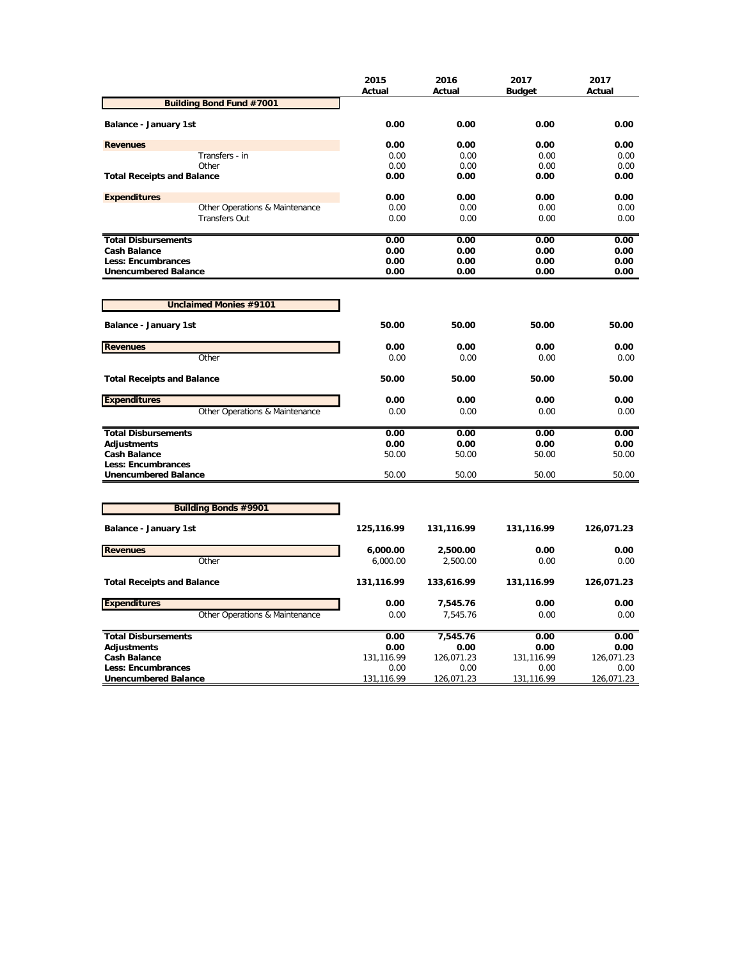| <b>Building Bond Fund #7001</b><br>0.00<br>0.00<br>0.00<br>0.00<br>Balance - January 1st<br>0.00<br>0.00<br>0.00<br>0.00<br><b>Revenues</b><br>Transfers - in<br>0.00<br>0.00<br>0.00<br>0.00<br>Other<br>0.00<br>0.00<br>0.00<br>0.00<br><b>Total Receipts and Balance</b><br>0.00<br>0.00<br>0.00<br>0.00<br><b>Expenditures</b><br>0.00<br>0.00<br>0.00<br>0.00<br>Other Operations & Maintenance<br>0.00<br>0.00<br>0.00<br>0.00<br><b>Transfers Out</b><br>0.00<br>0.00<br>0.00<br>0.00<br><b>Total Disbursements</b><br>0.00<br>0.00<br>0.00<br>0.00<br>0.00<br><b>Cash Balance</b><br>0.00<br>0.00<br>0.00<br><b>Less: Encumbrances</b><br>0.00<br>0.00<br>0.00<br>0.00<br><b>Unencumbered Balance</b><br>0.00<br>0.00<br>0.00<br>0.00<br><b>Unclaimed Monies #9101</b><br>50.00<br>50.00<br>50.00<br>50.00<br><b>Balance - January 1st</b><br><b>Revenues</b><br>0.00<br>0.00<br>0.00<br>0.00<br>Other<br>0.00<br>0.00<br>0.00<br>0.00<br>50.00<br><b>Total Receipts and Balance</b><br>50.00<br>50.00<br>50.00<br><b>Expenditures</b><br>0.00<br>0.00<br>0.00<br>0.00<br>Other Operations & Maintenance<br>0.00<br>0.00<br>0.00<br>0.00<br><b>Total Disbursements</b><br>0.00<br>0.00<br>0.00<br>0.00<br><b>Adjustments</b><br>0.00<br>0.00<br>0.00<br>0.00<br><b>Cash Balance</b><br>50.00<br>50.00<br>50.00<br>50.00<br>Less: Encumbrances<br><b>Unencumbered Balance</b><br>50.00<br>50.00<br>50.00<br>50.00 |                             | 2015<br>Actual | 2016<br>Actual | 2017<br><b>Budget</b> | 2017<br>Actual |
|--------------------------------------------------------------------------------------------------------------------------------------------------------------------------------------------------------------------------------------------------------------------------------------------------------------------------------------------------------------------------------------------------------------------------------------------------------------------------------------------------------------------------------------------------------------------------------------------------------------------------------------------------------------------------------------------------------------------------------------------------------------------------------------------------------------------------------------------------------------------------------------------------------------------------------------------------------------------------------------------------------------------------------------------------------------------------------------------------------------------------------------------------------------------------------------------------------------------------------------------------------------------------------------------------------------------------------------------------------------------------------------------------------------------------|-----------------------------|----------------|----------------|-----------------------|----------------|
|                                                                                                                                                                                                                                                                                                                                                                                                                                                                                                                                                                                                                                                                                                                                                                                                                                                                                                                                                                                                                                                                                                                                                                                                                                                                                                                                                                                                                          |                             |                |                |                       |                |
|                                                                                                                                                                                                                                                                                                                                                                                                                                                                                                                                                                                                                                                                                                                                                                                                                                                                                                                                                                                                                                                                                                                                                                                                                                                                                                                                                                                                                          |                             |                |                |                       |                |
|                                                                                                                                                                                                                                                                                                                                                                                                                                                                                                                                                                                                                                                                                                                                                                                                                                                                                                                                                                                                                                                                                                                                                                                                                                                                                                                                                                                                                          |                             |                |                |                       |                |
|                                                                                                                                                                                                                                                                                                                                                                                                                                                                                                                                                                                                                                                                                                                                                                                                                                                                                                                                                                                                                                                                                                                                                                                                                                                                                                                                                                                                                          |                             |                |                |                       |                |
|                                                                                                                                                                                                                                                                                                                                                                                                                                                                                                                                                                                                                                                                                                                                                                                                                                                                                                                                                                                                                                                                                                                                                                                                                                                                                                                                                                                                                          |                             |                |                |                       |                |
|                                                                                                                                                                                                                                                                                                                                                                                                                                                                                                                                                                                                                                                                                                                                                                                                                                                                                                                                                                                                                                                                                                                                                                                                                                                                                                                                                                                                                          |                             |                |                |                       |                |
|                                                                                                                                                                                                                                                                                                                                                                                                                                                                                                                                                                                                                                                                                                                                                                                                                                                                                                                                                                                                                                                                                                                                                                                                                                                                                                                                                                                                                          |                             |                |                |                       |                |
|                                                                                                                                                                                                                                                                                                                                                                                                                                                                                                                                                                                                                                                                                                                                                                                                                                                                                                                                                                                                                                                                                                                                                                                                                                                                                                                                                                                                                          |                             |                |                |                       |                |
|                                                                                                                                                                                                                                                                                                                                                                                                                                                                                                                                                                                                                                                                                                                                                                                                                                                                                                                                                                                                                                                                                                                                                                                                                                                                                                                                                                                                                          |                             |                |                |                       |                |
|                                                                                                                                                                                                                                                                                                                                                                                                                                                                                                                                                                                                                                                                                                                                                                                                                                                                                                                                                                                                                                                                                                                                                                                                                                                                                                                                                                                                                          |                             |                |                |                       |                |
|                                                                                                                                                                                                                                                                                                                                                                                                                                                                                                                                                                                                                                                                                                                                                                                                                                                                                                                                                                                                                                                                                                                                                                                                                                                                                                                                                                                                                          |                             |                |                |                       |                |
|                                                                                                                                                                                                                                                                                                                                                                                                                                                                                                                                                                                                                                                                                                                                                                                                                                                                                                                                                                                                                                                                                                                                                                                                                                                                                                                                                                                                                          |                             |                |                |                       |                |
|                                                                                                                                                                                                                                                                                                                                                                                                                                                                                                                                                                                                                                                                                                                                                                                                                                                                                                                                                                                                                                                                                                                                                                                                                                                                                                                                                                                                                          |                             |                |                |                       |                |
|                                                                                                                                                                                                                                                                                                                                                                                                                                                                                                                                                                                                                                                                                                                                                                                                                                                                                                                                                                                                                                                                                                                                                                                                                                                                                                                                                                                                                          |                             |                |                |                       |                |
|                                                                                                                                                                                                                                                                                                                                                                                                                                                                                                                                                                                                                                                                                                                                                                                                                                                                                                                                                                                                                                                                                                                                                                                                                                                                                                                                                                                                                          |                             |                |                |                       |                |
|                                                                                                                                                                                                                                                                                                                                                                                                                                                                                                                                                                                                                                                                                                                                                                                                                                                                                                                                                                                                                                                                                                                                                                                                                                                                                                                                                                                                                          |                             |                |                |                       |                |
|                                                                                                                                                                                                                                                                                                                                                                                                                                                                                                                                                                                                                                                                                                                                                                                                                                                                                                                                                                                                                                                                                                                                                                                                                                                                                                                                                                                                                          |                             |                |                |                       |                |
|                                                                                                                                                                                                                                                                                                                                                                                                                                                                                                                                                                                                                                                                                                                                                                                                                                                                                                                                                                                                                                                                                                                                                                                                                                                                                                                                                                                                                          |                             |                |                |                       |                |
|                                                                                                                                                                                                                                                                                                                                                                                                                                                                                                                                                                                                                                                                                                                                                                                                                                                                                                                                                                                                                                                                                                                                                                                                                                                                                                                                                                                                                          |                             |                |                |                       |                |
|                                                                                                                                                                                                                                                                                                                                                                                                                                                                                                                                                                                                                                                                                                                                                                                                                                                                                                                                                                                                                                                                                                                                                                                                                                                                                                                                                                                                                          |                             |                |                |                       |                |
|                                                                                                                                                                                                                                                                                                                                                                                                                                                                                                                                                                                                                                                                                                                                                                                                                                                                                                                                                                                                                                                                                                                                                                                                                                                                                                                                                                                                                          |                             |                |                |                       |                |
|                                                                                                                                                                                                                                                                                                                                                                                                                                                                                                                                                                                                                                                                                                                                                                                                                                                                                                                                                                                                                                                                                                                                                                                                                                                                                                                                                                                                                          |                             |                |                |                       |                |
|                                                                                                                                                                                                                                                                                                                                                                                                                                                                                                                                                                                                                                                                                                                                                                                                                                                                                                                                                                                                                                                                                                                                                                                                                                                                                                                                                                                                                          |                             |                |                |                       |                |
|                                                                                                                                                                                                                                                                                                                                                                                                                                                                                                                                                                                                                                                                                                                                                                                                                                                                                                                                                                                                                                                                                                                                                                                                                                                                                                                                                                                                                          |                             |                |                |                       |                |
|                                                                                                                                                                                                                                                                                                                                                                                                                                                                                                                                                                                                                                                                                                                                                                                                                                                                                                                                                                                                                                                                                                                                                                                                                                                                                                                                                                                                                          |                             |                |                |                       |                |
|                                                                                                                                                                                                                                                                                                                                                                                                                                                                                                                                                                                                                                                                                                                                                                                                                                                                                                                                                                                                                                                                                                                                                                                                                                                                                                                                                                                                                          |                             |                |                |                       |                |
|                                                                                                                                                                                                                                                                                                                                                                                                                                                                                                                                                                                                                                                                                                                                                                                                                                                                                                                                                                                                                                                                                                                                                                                                                                                                                                                                                                                                                          | <b>Building Bonds #9901</b> |                |                |                       |                |
|                                                                                                                                                                                                                                                                                                                                                                                                                                                                                                                                                                                                                                                                                                                                                                                                                                                                                                                                                                                                                                                                                                                                                                                                                                                                                                                                                                                                                          |                             |                |                |                       |                |
| Balance - January 1st<br>125,116.99<br>131,116.99<br>131,116.99<br>126,071.23                                                                                                                                                                                                                                                                                                                                                                                                                                                                                                                                                                                                                                                                                                                                                                                                                                                                                                                                                                                                                                                                                                                                                                                                                                                                                                                                            |                             |                |                |                       |                |
| <b>Revenues</b><br>6,000.00<br>2,500.00<br>0.00<br>0.00                                                                                                                                                                                                                                                                                                                                                                                                                                                                                                                                                                                                                                                                                                                                                                                                                                                                                                                                                                                                                                                                                                                                                                                                                                                                                                                                                                  |                             |                |                |                       |                |
| Other<br>6,000.00<br>2,500.00<br>0.00<br>0.00                                                                                                                                                                                                                                                                                                                                                                                                                                                                                                                                                                                                                                                                                                                                                                                                                                                                                                                                                                                                                                                                                                                                                                                                                                                                                                                                                                            |                             |                |                |                       |                |
| <b>Total Receipts and Balance</b><br>131,116.99<br>133,616.99<br>131,116.99<br>126,071.23                                                                                                                                                                                                                                                                                                                                                                                                                                                                                                                                                                                                                                                                                                                                                                                                                                                                                                                                                                                                                                                                                                                                                                                                                                                                                                                                |                             |                |                |                       |                |
| <b>Expenditures</b><br>0.00<br>0.00<br>0.00<br>7,545.76                                                                                                                                                                                                                                                                                                                                                                                                                                                                                                                                                                                                                                                                                                                                                                                                                                                                                                                                                                                                                                                                                                                                                                                                                                                                                                                                                                  |                             |                |                |                       |                |
| Other Operations & Maintenance<br>0.00<br>7,545.76<br>0.00<br>0.00                                                                                                                                                                                                                                                                                                                                                                                                                                                                                                                                                                                                                                                                                                                                                                                                                                                                                                                                                                                                                                                                                                                                                                                                                                                                                                                                                       |                             |                |                |                       |                |
| <b>Total Disbursements</b><br>0.00<br>0.00<br>0.00<br>7,545.76                                                                                                                                                                                                                                                                                                                                                                                                                                                                                                                                                                                                                                                                                                                                                                                                                                                                                                                                                                                                                                                                                                                                                                                                                                                                                                                                                           |                             |                |                |                       |                |
| <b>Adjustments</b><br>0.00<br>0.00<br>0.00<br>0.00                                                                                                                                                                                                                                                                                                                                                                                                                                                                                                                                                                                                                                                                                                                                                                                                                                                                                                                                                                                                                                                                                                                                                                                                                                                                                                                                                                       |                             |                |                |                       |                |
| <b>Cash Balance</b><br>131,116.99<br>126,071.23<br>131,116.99<br>126,071.23                                                                                                                                                                                                                                                                                                                                                                                                                                                                                                                                                                                                                                                                                                                                                                                                                                                                                                                                                                                                                                                                                                                                                                                                                                                                                                                                              |                             |                |                |                       |                |
| <b>Less: Encumbrances</b><br>0.00<br>0.00<br>0.00<br>0.00<br>131,116.99<br>126,071.23<br>131,116.99<br>126,071.23<br><b>Unencumbered Balance</b>                                                                                                                                                                                                                                                                                                                                                                                                                                                                                                                                                                                                                                                                                                                                                                                                                                                                                                                                                                                                                                                                                                                                                                                                                                                                         |                             |                |                |                       |                |